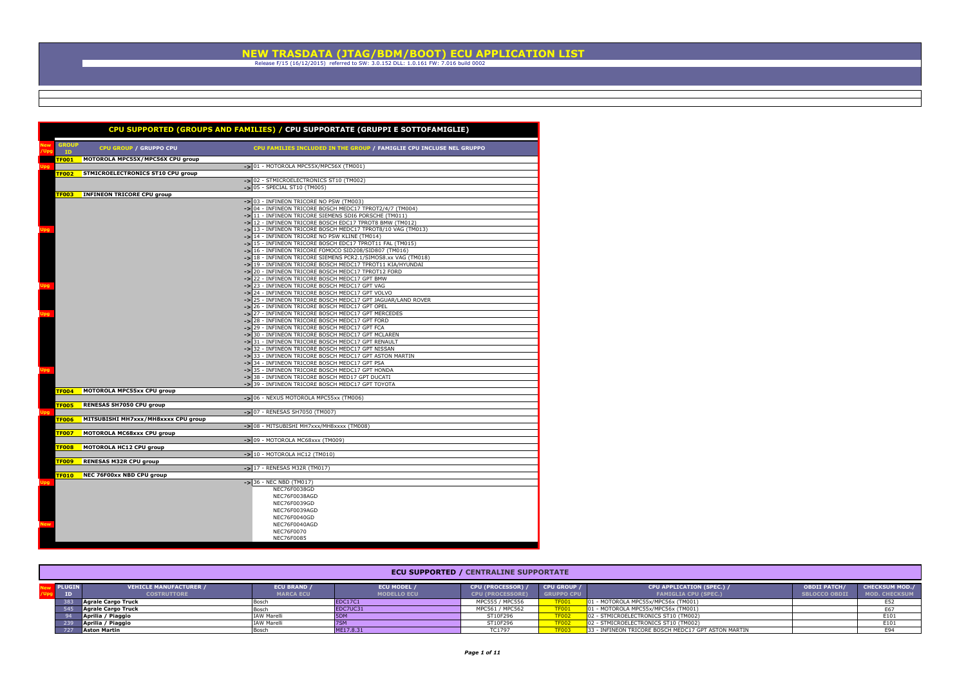|                           |                                     | CPU SUPPORTED (GROUPS AND FAMILIES) / CPU SUPPORTATE (GRUPPI E SOTTOFAMIGLIE)                                     |
|---------------------------|-------------------------------------|-------------------------------------------------------------------------------------------------------------------|
| <b>GROUP</b><br><b>ID</b> | CPU GROUP / GRUPPO CPU              | CPU FAMILIES INCLUDED IN THE GROUP / FAMIGLIE CPU INCLUSE NEL GRUPPO                                              |
| TF001                     | MOTOROLA MPC55X/MPC56X CPU group    |                                                                                                                   |
|                           |                                     | -> 01 - MOTOROLA MPC55X/MPC56X (TM001)                                                                            |
| TF002                     | STMICROELECTRONICS ST10 CPU group   |                                                                                                                   |
|                           |                                     | -> 02 - STMICROELECTRONICS ST10 (TM002)                                                                           |
|                           |                                     | -> 05 - SPECIAL ST10 (TM005)                                                                                      |
| TF003                     | <b>INFINEON TRICORE CPU group</b>   |                                                                                                                   |
|                           |                                     | -> 03 - INFINEON TRICORE NO PSW (TM003)                                                                           |
|                           |                                     | -> 04 - INFINEON TRICORE BOSCH MEDC17 TPROT2/4/7 (TM004)<br>-> 11 - INFINEON TRICORE SIEMENS SDI6 PORSCHE (TM011) |
|                           |                                     | -> 12 - INFINEON TRICORE BOSCH EDC17 TPROT8 BMW (TM012)                                                           |
|                           |                                     | -> 13 - INFINEON TRICORE BOSCH MEDC17 TPROT8/10 VAG (TM013)                                                       |
|                           |                                     | -> 14 - INFINEON TRICORE NO PSW KLINE (TM014)                                                                     |
|                           |                                     | -> 15 - INFINEON TRICORE BOSCH EDC17 TPROT11 FAL (TM015)                                                          |
|                           |                                     | -> 16 - INFINEON TRICORE FOMOCO SID208/SID807 (TM016)                                                             |
|                           |                                     | -> 18 - INFINEON TRICORE SIEMENS PCR2.1/SIMOS8.xx VAG (TM018)                                                     |
|                           |                                     | -> 19 - INFINEON TRICORE BOSCH MEDC17 TPROT11 KIA/HYUNDAI                                                         |
|                           |                                     | -> 20 - INFINEON TRICORE BOSCH MEDC17 TPROT12 FORD                                                                |
|                           |                                     | -> 22 - INFINEON TRICORE BOSCH MEDC17 GPT BMW                                                                     |
|                           |                                     | -> 23 - INFINEON TRICORE BOSCH MEDC17 GPT VAG                                                                     |
|                           |                                     | -> 24 - INFINEON TRICORE BOSCH MEDC17 GPT VOLVO                                                                   |
|                           |                                     | -> 25 - INFINEON TRICORE BOSCH MEDC17 GPT JAGUAR/LAND ROVER                                                       |
|                           |                                     | -> 26 - INFINEON TRICORE BOSCH MEDC17 GPT OPEL                                                                    |
|                           |                                     | -> 27 - INFINEON TRICORE BOSCH MEDC17 GPT MERCEDES                                                                |
|                           |                                     | -> 28 - INFINEON TRICORE BOSCH MEDC17 GPT FORD                                                                    |
|                           |                                     | -> 29 - INFINEON TRICORE BOSCH MEDC17 GPT FCA                                                                     |
|                           |                                     | -> 30 - INFINEON TRICORE BOSCH MEDC17 GPT MCLAREN                                                                 |
|                           |                                     | -> 31 - INFINEON TRICORE BOSCH MEDC17 GPT RENAULT                                                                 |
|                           |                                     | -> 32 - INFINEON TRICORE BOSCH MEDC17 GPT NISSAN                                                                  |
|                           |                                     | -> 33 - INFINEON TRICORE BOSCH MEDC17 GPT ASTON MARTIN                                                            |
|                           |                                     | -> 34 - INFINEON TRICORE BOSCH MEDC17 GPT PSA                                                                     |
|                           |                                     | -> 35 - INFINEON TRICORE BOSCH MEDC17 GPT HONDA                                                                   |
|                           |                                     | -> 38 - INFINEON TRICORE BOSCH MED17 GPT DUCATI                                                                   |
| <b>TF004</b>              | MOTOROLA MPC55xx CPU group          | -> 39 - INFINEON TRICORE BOSCH MEDC17 GPT TOYOTA                                                                  |
|                           |                                     | -> 06 - NEXUS MOTOROLA MPC55xx (TM006)                                                                            |
| <b>TF005</b>              | RENESAS SH7050 CPU group            |                                                                                                                   |
|                           |                                     | -> 07 - RENESAS SH7050 (TM007)                                                                                    |
| <b>TF006</b>              | MITSUBISHI MH7xxx/MH8xxxx CPU group |                                                                                                                   |
|                           |                                     | -> 08 - MITSUBISHI MH7xxx/MH8xxxx (TM008)                                                                         |
| <b>TF007</b>              | MOTOROLA MC68xxx CPU group          |                                                                                                                   |
|                           |                                     | -> 09 - MOTOROLA MC68xxx (TM009)                                                                                  |
| <b>TF008</b>              | MOTOROLA HC12 CPU group             |                                                                                                                   |
|                           |                                     | -> 10 - MOTOROLA HC12 (TM010)                                                                                     |
| TF009                     | <b>RENESAS M32R CPU group</b>       |                                                                                                                   |
|                           |                                     | -> 17 - RENESAS M32R (TM017)                                                                                      |
| <b>TF010</b>              | NEC 76F00xx NBD CPU group           |                                                                                                                   |
|                           |                                     | -> 36 - NEC NBD (TM017)                                                                                           |
|                           |                                     | NEC76F0038GD<br>NEC76F0038AGD                                                                                     |
|                           |                                     |                                                                                                                   |
|                           |                                     | NEC76F0039GD<br>NEC76F0039AGD                                                                                     |
|                           |                                     | NEC76F0040GD                                                                                                      |
|                           |                                     | NEC76F0040AGD                                                                                                     |
|                           |                                     | NEC76F0070                                                                                                        |
|                           |                                     | <b>NEC76F0085</b>                                                                                                 |
|                           |                                     |                                                                                                                   |

| <b>ECU SUPPORTED / CENTRALINE SUPPORTATE</b> |                                                     |                                          |                                          |                                                     |                                         |                                                                 |                                             |                                               |  |  |  |
|----------------------------------------------|-----------------------------------------------------|------------------------------------------|------------------------------------------|-----------------------------------------------------|-----------------------------------------|-----------------------------------------------------------------|---------------------------------------------|-----------------------------------------------|--|--|--|
| <b>PLUGIN</b>                                | <b>VEHICLE MANUFACTURER /</b><br><b>COSTRUTTORE</b> | <b>ECU BRAND / A</b><br><b>MARCA ECU</b> | <b>ECU MODEL /</b><br><b>MODELLO ECU</b> | <b>CPU (PROCESSOR) /</b><br><b>CPU (PROCESSORE)</b> | <b>CPU GROUP /</b><br><b>GRUPPO CPU</b> | <b>CPU APPLICATION (SPEC.) /</b><br><b>FAMIGLIA CPU (SPEC.)</b> | <b>OBDII PATCH/</b><br><b>SBLOCCO OBDII</b> | <b>CHECKSUM MOD./</b><br><b>MOD. CHECKSUM</b> |  |  |  |
|                                              | Agrale Cargo Truck                                  | Boscl                                    | <b>EDC17C1</b>                           | MPC555 / MPC556                                     | <b>TF001</b>                            | 01 - MOTOROLA MPC55x/MPC56x (TM001)                             |                                             |                                               |  |  |  |
|                                              | Agrale Cargo Truck                                  | <b>Bosch</b>                             | EDC7UC31                                 | MPC561 / MPC562                                     | <b>TF001</b>                            | 01 - MOTOROLA MPC55x/MPC56x (TM001)                             |                                             |                                               |  |  |  |
|                                              | Aprilia / Piaggio                                   | <b>IAW Marell</b>                        |                                          | ST10F296                                            | <b>TF002</b>                            | 02 - STMICROELECTRONICS ST10 (TM002)                            |                                             | E101                                          |  |  |  |
|                                              | Aprilia / Piaggio                                   | <b>IAW Marelli</b>                       |                                          | ST10F296                                            | TF002                                   | 02 - STMICROELECTRONICS ST10 (TM002)                            |                                             | E101                                          |  |  |  |
|                                              | <b>Aston Martin</b>                                 | Bosch                                    | ME17.8.31                                | TC1797                                              | <b>TF003</b>                            | 33 - INFINEON TRICORE BOSCH MEDC17 GPT ASTON MARTIN             |                                             |                                               |  |  |  |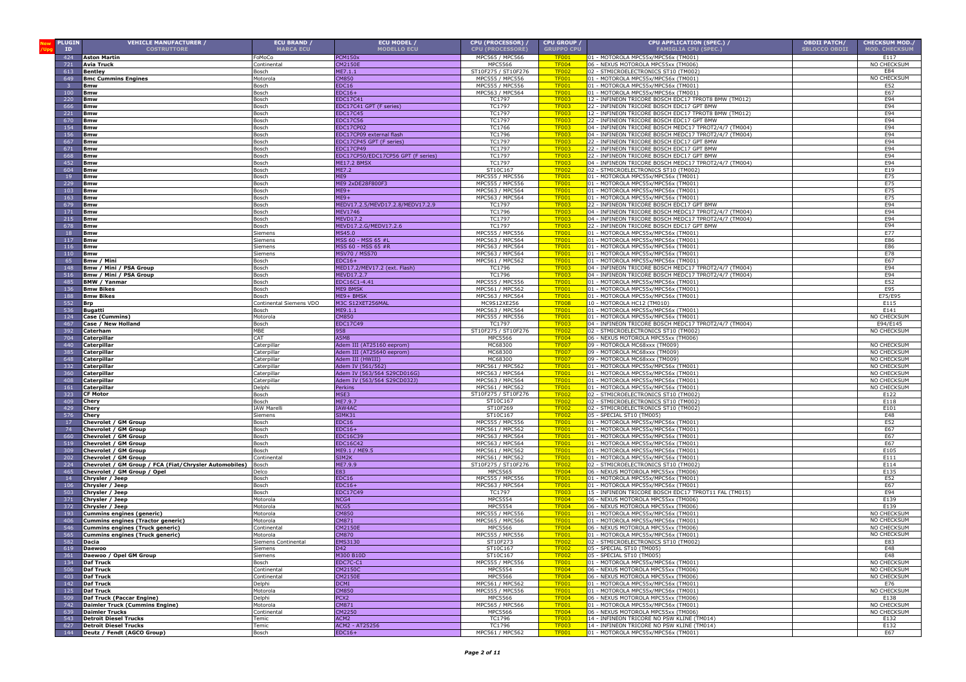| <b>PLUGIN</b>           | <b>VEHICLE MANUFACTURER /</b>                          | ECU BRAND /                           | ECU MODEL /                                               | CPU (PROCESSOR) /                          | <b>CPU GROUP</b>             | CPU APPLICATION (SPEC.) /                                                                                      | <b>OBDII PATCH/</b>  | <b>CHECKSUM MOD./</b>        |
|-------------------------|--------------------------------------------------------|---------------------------------------|-----------------------------------------------------------|--------------------------------------------|------------------------------|----------------------------------------------------------------------------------------------------------------|----------------------|------------------------------|
| ID<br>424               | <b>COSTRUTTORE</b>                                     | <b>MARCA ECU</b><br>oMoCo             | <b>MODELLO ECU</b><br>PCM150x                             | <b>CPU (PROCESSORE)</b><br>MPC565 / MPC566 | <b>GRUPPO CPU</b>            | <b>FAMIGLIA CPU (SPEC.)</b><br>01 - MOTOROLA MPC55x/MPC56x (TM001)                                             | <b>SBLOCCO OBDII</b> | <b>MOD. CHECKSUM</b><br>E117 |
| 721                     | <b>Aston Martin</b><br>Avia Truck                      | Continental                           | CM2150E                                                   | <b>MPC5566</b>                             | <b>TF001</b><br><b>TF004</b> | 06 - NEXUS MOTOROLA MPC55xx (TM006)                                                                            |                      | NO CHECKSUM                  |
| 613                     | <b>Bentley</b>                                         | Bosch                                 | ME7.1.1                                                   | ST10F275 / ST10F276                        | <b>TF002</b>                 | 02 - STMICROELECTRONICS ST10 (TM002)                                                                           |                      | E84                          |
| 649                     | <b>Bmc Cummins Engines</b>                             | Motorola                              | CM850                                                     | MPC555 / MPC556                            | <b>TF001</b>                 | 01 - MOTOROLA MPC55x/MPC56x (TM001)                                                                            |                      | NO CHECKSUM                  |
| $\overline{\mathbf{3}}$ | Bmw                                                    | Bosch                                 | EDC16                                                     | MPC555 / MPC556                            | <b>TF001</b>                 | 01 - MOTOROLA MPC55x/MPC56x (TM001)                                                                            |                      | E52                          |
| 100<br>220              | Bmw<br>Bmw                                             | Bosch<br>Bosch                        | $EDC16+$<br>EDC17C4:                                      | MPC563 / MPC564<br>TC1797                  | <b>TF001</b><br><b>TF003</b> | 01 - MOTOROLA MPC55x/MPC56x (TM001)<br>12 - INFINEON TRICORE BOSCH EDC17 TPROT8 BMW (TM012)                    |                      | E67<br>E94                   |
| 666                     | Bmw                                                    | Bosch                                 | EDC17C41 GPT (F series)                                   | TC1797                                     | <b>TF003</b>                 | 22 - INFINEON TRICORE BOSCH EDC17 GPT BMW                                                                      |                      | E94                          |
| 221                     | <b>Bmw</b>                                             | Bosch                                 | EDC17C45                                                  | TC1797                                     | <b>TF003</b>                 | 12 - INFINEON TRICORE BOSCH EDC17 TPROT8 BMW (TM012)                                                           |                      | E94                          |
| 670                     | <b>Bmw</b>                                             | Bosch                                 | EDC17C56                                                  | TC1797                                     | <b>TF003</b>                 | 22 - INFINEON TRICORE BOSCH EDC17 GPT BMW                                                                      |                      | E94                          |
| 154<br>156              | <b>Bmw</b><br><b>Bmw</b>                               | Bosch<br>Bosch                        | EDC17CP02<br>EDC17CP09 external flash                     | TC1766<br>TC1796                           | <b>TF003</b><br><b>TF003</b> | 04 - INFINEON TRICORE BOSCH MEDC17 TPROT2/4/7 (TM004)<br>04 - INFINEON TRICORE BOSCH MEDC17 TPROT2/4/7 (TM004) |                      | E94<br>E94                   |
| 667                     | <b>Bmw</b>                                             | Bosch                                 | EDC17CP45 GPT (F series)                                  | TC1797                                     | <b>TF003</b>                 | 22 - INFINEON TRICORE BOSCH EDC17 GPT BMW                                                                      |                      | E94                          |
| 671                     | Bmw                                                    | Bosch                                 | <b>EDC17CP49</b>                                          | <b>TC1797</b>                              | <b>TF003</b>                 | 22 - INFINEON TRICORE BOSCH EDC17 GPT BMW                                                                      |                      | E94                          |
| 668                     | Bmw                                                    | Bosch                                 | EDC17CP50/EDC17CP56 GPT (F series)                        | <b>TC1797</b>                              | <b>TF003</b>                 | 22 - INFINEON TRICORE BOSCH EDC17 GPT BMW                                                                      |                      | E94                          |
| 452<br>604              | Bmw                                                    | Bosch                                 | ME17.2 BMSX<br>ME7.2                                      | TC1797<br>ST10C167                         | <b>TF003</b><br><b>TF002</b> | 04 - INFINEON TRICORE BOSCH MEDC17 TPROT2/4/7 (TM004)<br>02 - STMICROELECTRONICS ST10 (TM002)                  |                      | E94<br>E19                   |
| 19                      | Bmw<br>Bmw                                             | Bosch<br>Bosch                        | ME9                                                       | MPC555 / MPC556                            | <b>TF001</b>                 | 01 - MOTOROLA MPC55x/MPC56x (TM001)                                                                            |                      | E75                          |
| 229                     | Bmw                                                    | Bosch                                 | 1E9 2xDE28F800F3                                          | MPC555 / MPC556                            | <b>TF001</b>                 | 01 - MOTOROLA MPC55x/MPC56x (TM001)                                                                            |                      | E75                          |
| 103                     | Bmw                                                    | Bosch                                 | $IE9+$                                                    | MPC563 / MPC564                            | <b>TF001</b>                 | 01 - MOTOROLA MPC55x/MPC56x (TM001)                                                                            |                      | E75                          |
| 163                     | Bmw                                                    | Bosch                                 | $IE9+$                                                    | MPC563 / MPC564                            | <b>TF001</b>                 | 01 - MOTOROLA MPC55x/MPC56x (TM001)                                                                            |                      | E75<br>E94                   |
| 679<br>171              | Bmw<br><b>Bmw</b>                                      | Bosch<br>Bosch                        | IEDV17.2.5/MEVD17.2.8/MEDV17.2.9<br>1EV1746               | TC1797<br>TC1796                           | <b>TF003</b><br><b>TF003</b> | 22 - INFINEON TRICORE BOSCH EDC17 GPT BMW<br>04 - INFINEON TRICORE BOSCH MEDC17 TPROT2/4/7 (TM004)             |                      | E94                          |
| 215                     | <b>Bmw</b>                                             | Bosch                                 | IEVD17.2                                                  | TC1797                                     | <b>TF003</b>                 | 04 - INFINEON TRICORE BOSCH MEDC17 TPROT2/4/7 (TM004)                                                          |                      | E94                          |
| 678                     | Bmw                                                    | Bosch                                 | 4EVD17.2.G/MEDV17.2.6                                     | <b>TC1797</b>                              | <b>TF003</b>                 | 22 - INFINEON TRICORE BOSCH EDC17 GPT BMW                                                                      |                      | E94                          |
| 18                      | Bmw                                                    | Siemens                               | MS45.0                                                    | MPC555 / MPC556<br>MPC563 / MPC564         | <b>TF001</b>                 | 01 - MOTOROLA MPC55x/MPC56x (TM001)                                                                            |                      | E77<br>E86                   |
| 117<br>116              | Bmw<br>Bmw                                             | Siemens<br>Siemens                    | MSS 60 - MSS 65 #L<br>MSS 60 - MSS 65 #R                  | MPC563 / MPC564                            | <b>TF001</b><br><b>TF001</b> | 01 - MOTOROLA MPC55x/MPC56x (TM001)<br>01 - MOTOROLA MPC55x/MPC56x (TM001)                                     |                      | E86                          |
| 110                     | <b>Bmw</b>                                             | Siemens                               | MSV70 / MSS70                                             | MPC563 / MPC564                            | <b>TF001</b>                 | 01 - MOTOROLA MPC55x/MPC56x (TM001)                                                                            |                      | E78                          |
| 65                      | Bmw / Mini                                             | Bosch                                 | $EDC16+$                                                  | MPC561 / MPC562                            | <b>TF001</b>                 | 01 - MOTOROLA MPC55x/MPC56x (TM001)                                                                            |                      | E67                          |
| 148                     | Bmw / Mini / PSA Group                                 | Bosch                                 | MED17.2/MEV17.2 (ext. Flash)                              | TC1796                                     | <b>TF003</b>                 | 04 - INFINEON TRICORE BOSCH MEDC17 TPROT2/4/7 (TM004)                                                          |                      | E94                          |
| 516<br>485              | Bmw / Mini / PSA Group<br><b>BMW / Yanmar</b>          | Bosch<br>Bosch                        | MEVD17.2.7<br>EDC16C1-4.41                                | TC1796<br>MPC555 / MPC556                  | <b>TF003</b><br><b>TF001</b> | 04 - INFINEON TRICORE BOSCH MEDC17 TPROT2/4/7 (TM004)<br>01 - MOTOROLA MPC55x/MPC56x (TM001)                   |                      | E94<br>E52                   |
| 136                     | <b>Bmw Bikes</b>                                       | Bosch                                 | ME9 BMSK                                                  | MPC561 / MPC562                            | <b>TF001</b>                 | 01 - MOTOROLA MPC55x/MPC56x (TM001)                                                                            |                      | E95                          |
| 188                     | <b>Bmw Bikes</b>                                       | Bosch                                 | ME9+ BMSK                                                 | MPC563 / MPC564                            | <b>TF001</b>                 | 01 - MOTOROLA MPC55x/MPC56x (TM001)                                                                            |                      | E75/E95                      |
| 552<br>536              | Brn<br>Bugatti                                         | Continental Siemens VDO<br>Bosch      | M3C S12XET256MAL<br>ME9.1.1                               | MC9S12XF256<br>MPC563 / MPC564             | <b>TF008</b><br><b>TF001</b> | 10 - MOTOROLA HC12 (TM010<br>01 - MOTOROLA MPC55x/MPC56x (TM001)                                               |                      | E115<br>E141                 |
| 124                     | Case (Cummins)                                         | Motorola                              | <b>CM850</b>                                              | MPC555 / MPC556                            | <b>TF001</b>                 | 01 - MOTOROLA MPC55x/MPC56x (TM001)                                                                            |                      | NO CHECKSUM                  |
| 467                     | Case / New Holland                                     | Bosch                                 | <b>EDC17C49</b>                                           | TC1797                                     | <b>TF003</b>                 | 04 - INFINEON TRICORE BOSCH MEDC17 TPROT2/4/7 (TM004)                                                          |                      | E94/E145                     |
| 392                     | Caterham                                               | MBE                                   | 958                                                       | ST10F275 / ST10F276                        | <b>TF002</b>                 | 02 - STMICROELECTRONICS ST10 (TM002)                                                                           |                      | NO CHECKSUM                  |
| 704                     | Caterpillar                                            | CAT                                   | A5M8                                                      | MPC5566<br>MC68300                         | <b>TF004</b><br><b>TF007</b> | 06 - NEXUS MOTOROLA MPC55xx (TM006)                                                                            |                      |                              |
| 440<br>385              | Caterpillar<br>Caterpillar                             | Caterpillar<br>aterpilla              | Adem III (AT25160 eeprom)<br>Adem III (AT25640 eeprom)    | MC68300                                    | <b>TF007</b>                 | 09 - MOTOROLA MC68xxx (TM009)<br>09 - MOTOROLA MC68xxx (TM009)                                                 |                      | NO CHECKSUM<br>NO CHECKSUM   |
| 648                     | Caterpillar                                            | Caterpillar                           | Adem III (HWIII)                                          | MC68300                                    | <b>TF007</b>                 | 09 - MOTOROLA MC68xxx (TM009)                                                                                  |                      | NO CHECKSUM                  |
| 332                     | Caterpillar                                            | aterpillar                            | dem IV (561/562)                                          | MPC561 / MPC562                            | TF <sub>00</sub>             | 01 - MOTOROLA MPC55x/MPC56x (TM001)                                                                            |                      | NO CHECKSUM                  |
| 360<br>408              | Caterpillar<br>Caterpillar                             | Caterpillar<br>Caterpillar            | Adem IV (563/564 S29CD016G)<br>dem IV (563/564 S29CD032J) | MPC563 / MPC564<br>MPC563 / MPC564         | <b>TF001</b><br><b>TF001</b> | 01 - MOTOROLA MPC55x/MPC56x (TM001)<br>01 - MOTOROLA MPC55x/MPC56x (TM001)                                     |                      | NO CHECKSUM<br>NO CHECKSUM   |
| 161                     | Caterpillar                                            | Delphi                                | erkins                                                    | MPC561 / MPC562                            | <b>TF001</b>                 | 01 - MOTOROLA MPC55x/MPC56x (TM001)                                                                            |                      | NO CHECKSUM                  |
| 323                     | <b>F Motor</b>                                         | Bosch                                 | <b>MSE3</b>                                               | ST10F275 / ST10F276                        | TF002                        | 02 - STMICROELECTRONICS ST10 (TM002)                                                                           |                      | E122                         |
| 409<br>429              | Chery<br>Chery                                         | Bosch<br><b>IAW Marell</b>            | ME7.9.7<br><b>IAW4AC</b>                                  | ST10C167<br>ST10F269                       | <b>TF002</b><br><b>TF002</b> | 02 - STMICROELECTRONICS ST10 (TM002)<br>02 - STMICROELECTRONICS ST10 (TM002)                                   |                      | E118<br>F101                 |
| 576                     | Chery                                                  | Siemens                               | SIMK31                                                    | ST10C167                                   | <b>TF002</b>                 | 05 - SPECIAL ST10 (TM005)                                                                                      |                      | E48                          |
| 17                      | Chevrolet / GM Group                                   | Bosch                                 | EDC16                                                     | MPC555 / MPC556                            | <b>TF001</b>                 | 01 - MOTOROLA MPC55x/MPC56x (TM001)                                                                            |                      | E52                          |
| 74                      | Chevrolet / GM Group                                   | Bosch                                 | $EDC16+$                                                  | MPC561 / MPC562                            | <b>TF001</b>                 | 01 - MOTOROLA MPC55x/MPC56x (TM001)                                                                            |                      | E67                          |
| 660<br>519              | Chevrolet / GM Group<br>Chevrolet / GM Group           | Bosch<br>Bosch                        | EDC16C3<br>EDC16C42                                       | MPC563 / MPC564<br>MPC563 / MPC564         | <b>TF001</b><br><b>TF001</b> | 01 - MOTOROLA MPC55x/MPC56x (TM001)<br>01 - MOTOROLA MPC55x/MPC56x (TM001)                                     |                      | E67<br>E67                   |
| 309                     | Chevrolet / GM Group                                   | Bosch                                 | ME9.1 / ME9.5                                             | MPC561 / MPC562                            | <b>TF001</b>                 | 01 - MOTOROLA MPC55x/MPC56x (TM001)                                                                            |                      | E105                         |
| 202                     | Chevrolet / GM Group                                   | Continental                           | SIM <sub>2</sub> K                                        | MPC561 / MPC562                            | <b>TF001</b>                 | 01 - MOTOROLA MPC55x/MPC56x (TM001)                                                                            |                      | E111                         |
| 224<br>465              | Chevrolet / GM Group / FCA (Fiat/Chrysler Automobiles) | Bosch<br>Delco                        | ME7.9.9<br>E83                                            | ST10F275 / ST10F276                        | <b>TF002</b><br><b>TF004</b> | 02 - STMICROELECTRONICS ST10 (TM002)<br>06 - NEXUS MOTOROLA MPC55xx (TM006)                                    |                      | E114<br>E135                 |
| 14                      | Chevrolet / GM Group / Opel<br>Chrysler / Jeep         | Bosch                                 | EDC16                                                     | MPC5565<br>MPC555 / MPC556                 | <b>TF001</b>                 | 01 - MOTOROLA MPC55x/MPC56x (TM001)                                                                            |                      | E52                          |
| 106                     | Chrysler / Jeep                                        | Bosch                                 | $EDC16+$                                                  | MPC563 / MPC564                            | <b>TF001</b>                 | 01 - MOTOROLA MPC55x/MPC56x (TM001)                                                                            |                      | E67                          |
| 503                     | Chrysler / Jeep                                        | Bosch                                 | EDC17C49                                                  | <b>TC1797</b>                              | <b>TF003</b>                 | 15 - INFINEON TRICORE BOSCH EDC17 TPROT11 FAL (TM015)                                                          |                      | E94                          |
| 371<br>372              | Chrysler / Jeep                                        | Motorola                              | NCG4                                                      | <b>MPC5554</b><br><b>MPC5554</b>           | <b>TF004</b><br><b>TF004</b> | 06 - NEXUS MOTOROLA MPC55xx (TM006)                                                                            |                      | E139<br>E139                 |
| 193                     | Chrysler / Jeep<br>Cummins engines (generic)           | Motorola<br>Motorola                  | NCG5<br>CM850                                             | MPC555 / MPC556                            | TF001                        | 06 - NEXUS MOTOROLA MPC55xx (TM006)<br>01 - MOTOROLA MPC55x/MPC56x (TM001)                                     |                      | NO CHECKSUM                  |
| 406                     | Cummins engines (Tractor generic)                      | <b>Aotorola</b>                       | CM871                                                     | MPC565 / MPC566                            | <b>TF001</b>                 | 01 - MOTOROLA MPC55x/MPC56x (TM001)                                                                            |                      | NO CHECKSUM                  |
| 546                     | Cummins engines (Truck generic)                        | continenta                            | CM2150E                                                   | MPC5566                                    | <b>TF004</b>                 | 06 - NEXUS MOTOROLA MPC55xx (TM006)                                                                            |                      | NO CHECKSUM                  |
| 565<br>582              | Cummins engines (Truck generic)<br>Dacia               | <b>Aotorola</b><br>iemens Continental | CM870<br>EMS3130                                          | <b>MPC555 / MPC55</b><br>ST10F273          | <b>TF00</b><br><b>TF002</b>  | 01 - MOTOROLA MPC55x/MPC56x (TM001)<br>02 - STMICROELECTRONICS ST10 (TM002)                                    |                      | NO CHECKSUM<br>E83           |
| 619                     | Daewoo                                                 | Siemens                               | D42                                                       | ST10C167                                   | <b>TF002</b>                 | 05 - SPECIAL ST10 (TM005)                                                                                      |                      | E48                          |
| 361                     | Daewoo / Opel GM Group                                 | Siemens                               | M300 B10D                                                 | ST10C167                                   | <b>TF002</b>                 | 05 - SPECIAL ST10 (TM005)                                                                                      |                      | E48                          |
| 134                     | Daf Truck                                              | Bosch                                 | EDC7C-C1                                                  | MPC555 / MPC556                            | <b>TF001</b>                 | 01 - MOTOROLA MPC55x/MPC56x (TM001)                                                                            |                      | NO CHECKSUM                  |
| 506<br>403              | Daf Truck<br><b>Daf Truck</b>                          | Continental<br>Continental            | <b>CM2150C</b><br>CM2150E                                 | <b>MPC5554</b><br>MPC5566                  | <b>TF004</b><br><b>TF004</b> | 06 - NEXUS MOTOROLA MPC55xx (TM006)<br>06 - NEXUS MOTOROLA MPC55xx (TM006)                                     |                      | NO CHECKSUM<br>NO CHECKSUM   |
| 142                     | <b>Daf Truck</b>                                       | Delphi                                | <b>DCMI</b>                                               | MPC561 / MPC562                            | <b>TF001</b>                 | 01 - MOTOROLA MPC55x/MPC56x (TM001)                                                                            |                      | E76                          |
| 125                     | <b>Daf Truck</b>                                       | Motorola                              | <b>CM850</b>                                              | MPC555 / MPC556                            | <b>TF001</b>                 | 01 - MOTOROLA MPC55x/MPC56x (TM001)                                                                            |                      | NO CHECKSUM                  |
| 509                     | Daf Truck (Paccar Engine)                              | Delphi                                | PCX <sub>2</sub>                                          | MPC5566                                    | <b>TF004</b>                 | 06 - NEXUS MOTOROLA MPC55xx (TM006)                                                                            |                      | E138                         |
| 742<br>639              | Daimler Truck (Cummins Engine)<br>Daimler Trucks       | Motorola<br>Continental               | CM871<br>CM2250                                           | MPC565 / MPC566<br>MPC5566                 | <b>TF001</b><br><b>TF004</b> | 01 - MOTOROLA MPC55x/MPC56x (TM001)<br>06 - NEXUS MOTOROLA MPC55xx (TM006)                                     |                      | NO CHECKSUM<br>NO CHECKSUM   |
| 543                     | <b>Detroit Diesel Trucks</b>                           | Temic                                 | ACM <sub>2</sub>                                          | TC1796                                     | <b>TF003</b>                 | 14 - INFINEON TRICORE NO PSW KLINE (TM014)                                                                     |                      | E132                         |
| 627                     | <b>Detroit Diesel Trucks</b>                           | Temic                                 | ACM2 - AT25256                                            | TC1796                                     | <b>TF003</b>                 | 14 - INFINEON TRICORE NO PSW KLINE (TM014)                                                                     |                      | E132                         |
| 144                     | Deutz / Fendt (AGCO Group)                             | Bosch                                 | $EDC16+$                                                  | MPC561 / MPC562                            | <b>TF001</b>                 | 01 - MOTOROLA MPC55x/MPC56x (TM001)                                                                            |                      | E67                          |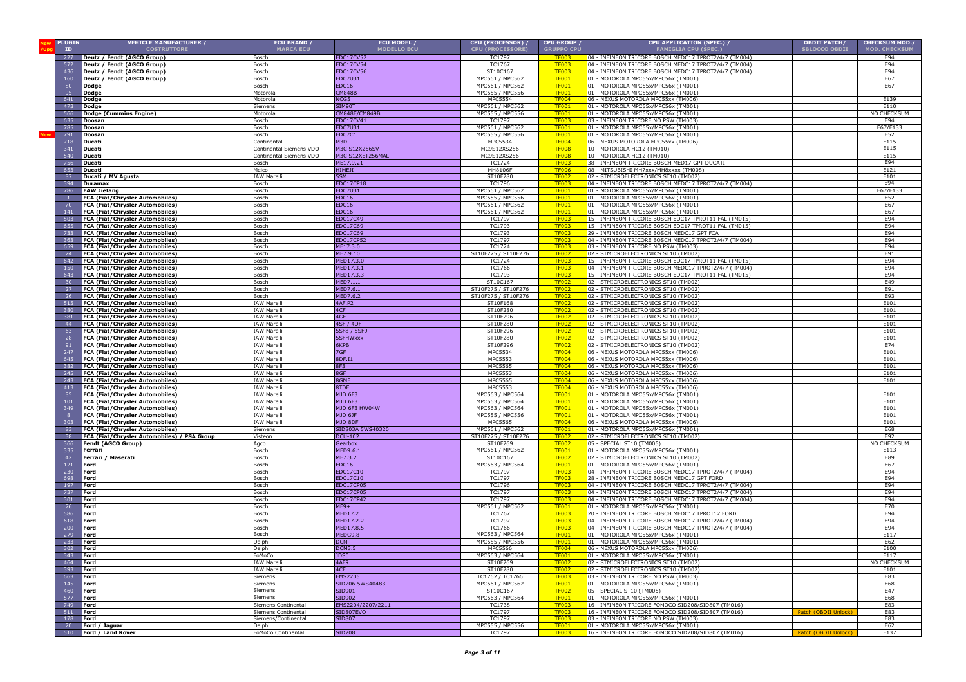| <b>PLUGIN</b>          | <b>VEHICLE MANUFACTURER /</b>                                             | <b>ECU BRAND /</b>               | ECU MODEL /                          | CPU (PROCESSOR) /                  | <b>CPU GROUP</b>             | CPU APPLICATION (SPEC.) /                                                                                      | <b>OBDII PATCH/</b>  | <b>CHECKSUM MOD./</b> |
|------------------------|---------------------------------------------------------------------------|----------------------------------|--------------------------------------|------------------------------------|------------------------------|----------------------------------------------------------------------------------------------------------------|----------------------|-----------------------|
| ID                     | <b>COSTRUTTORE</b>                                                        | <b>MARCA ECU</b>                 | <b>MODELLO ECU</b>                   | <b>CPU (PROCESSORE)</b>            | <b>GRUPPO CPU</b>            | <b>FAMIGLIA CPU (SPEC.)</b>                                                                                    | <b>SBLOCCO OBDII</b> | <b>MOD. CHECKSUM</b>  |
| 227<br>572             | Deutz / Fendt (AGCO Group)                                                | Bosch                            | <b>EDC17CV52</b>                     | TC1797<br>TC1767                   | <b>TF003</b>                 | 04 - INFINEON TRICORE BOSCH MEDC17 TPROT2/4/7 (TM004)<br>04 - INFINEON TRICORE BOSCH MEDC17 TPROT2/4/7 (TM004) |                      | E94<br>E94            |
| 436                    | Deutz / Fendt (AGCO Group)<br>Deutz / Fendt (AGCO Group)                  | Bosch<br>Bosch                   | <b>EDC17CV54</b><br><b>EDC17CV56</b> | ST10C167                           | <b>TF003</b><br><b>TF003</b> | 04 - INFINEON TRICORE BOSCH MEDC17 TPROT2/4/7 (TM004)                                                          |                      | E94                   |
| 160                    | Deutz / Fendt (AGCO Group)                                                | Bosch                            | EDC7U31                              | MPC561 / MPC562                    | <b>TF001</b>                 | 01 - MOTOROLA MPC55x/MPC56x (TM001)                                                                            |                      | E67                   |
| 80                     | Dodge                                                                     | Bosch                            | $EDC16+$                             | MPC561 / MPC562                    | <b>TF001</b>                 | 01 - MOTOROLA MPC55x/MPC56x (TM001)                                                                            |                      | E67                   |
| 95                     | Dodge                                                                     | Motorola                         | <b>CM848B</b>                        | MPC555 / MPC556                    | <b>TF001</b>                 | 01 - MOTOROLA MPC55x/MPC56x (TM001)                                                                            |                      |                       |
| 641                    | Dodge                                                                     | Motorola                         | NCG5                                 | <b>MPC5554</b>                     | <b>TF004</b>                 | 06 - NEXUS MOTOROLA MPC55xx (TM006)                                                                            |                      | E139                  |
| 473                    | Dodge                                                                     | Siemens                          | SIM90T<br>CM848E/CM849B              | MPC561 / MPC562<br>MPC555 / MPC556 | <b>TF001</b>                 | 01 - MOTOROLA MPC55x/MPC56x (TM001)<br>01 - MOTOROLA MPC55x/MPC56x (TM001)                                     |                      | E110<br>NO CHECKSUM   |
| 566<br>635             | Dodge (Cummins Engine)<br>Doosan                                          | Motorola<br>Bosch                | EDC17CV41                            | TC1797                             | <b>TF001</b><br><b>TF003</b> | 03 - INFINEON TRICORE NO PSW (TM003)                                                                           |                      | E94                   |
| 785                    | Doosan                                                                    | Bosch                            | EDC7U31                              | MPC561 / MPC562                    | <b>TF001</b>                 | 01 - MOTOROLA MPC55x/MPC56x (TM001)                                                                            |                      | E67/E13               |
| 791                    | Doosan                                                                    | Bosch                            | EDC7C1                               | MPC555 / MPC556                    | <b>TF001</b>                 | 01 - MOTOROLA MPC55x/MPC56x (TM001)                                                                            |                      | E52                   |
| 718                    | Ducati                                                                    | Continental                      | M3D                                  | <b>MPC5534</b>                     | <b>TF004</b>                 | 06 - NEXUS MOTOROLA MPC55xx (TM006)                                                                            |                      | E115                  |
| 341                    | Ducati                                                                    | Continental Siemens VDO          | <b>M3C S12X256SV</b>                 | MC9S12XS256                        | TF008                        | 10 - MOTOROLA HC12 (TM010)                                                                                     |                      | E115                  |
| 540                    | Ducati                                                                    | Continental Siemens VDO          | M3C S12XET256MAL                     | MC9S12XS256<br>TC1724              | <b>TF008</b><br><b>TF003</b> | 10 - MOTOROLA HC12 (TM010)                                                                                     |                      | E115<br>E94           |
| 756<br>653             | Ducati<br>Ducati                                                          | Bosch<br>Melco                   | ME17.9.21<br><b>HIMEJI</b>           | <b>MH8106F</b>                     | <b>TF006</b>                 | 38 - INFINEON TRICORE BOSCH MED17 GPT DUCATI<br>08 - MITSUBISHI MH7xxx/MH8xxxx (TM008)                         |                      | E121                  |
| 87                     | Ducati / MV Agusta                                                        | <b>IAW Marelli</b>               | 5SM                                  | ST10F280                           | <b>TF002</b>                 | 02 - STMICROELECTRONICS ST10 (TM002)                                                                           |                      | E101                  |
| 394                    | Duramax                                                                   | Bosch                            | EDC17CP18                            | TC1796                             | <b>TF003</b>                 | 04 - INFINEON TRICORE BOSCH MEDC17 TPROT2/4/7 (TM004)                                                          |                      | E94                   |
| 786                    | <b>FAW Jiefang</b>                                                        | Bosch                            | <b>EDC7U31</b>                       | MPC561 / MPC562                    | <b>TF001</b>                 | 01 - MOTOROLA MPC55x/MPC56x (TM001)                                                                            |                      | E67/E133              |
|                        | <b>FCA (Fiat/Chrysler Automobiles)</b>                                    | Bosch                            | EDC16                                | MPC555 / MPC556                    | <b>TF001</b>                 | 01 - MOTOROLA MPC55x/MPC56x (TM001)                                                                            |                      | E52                   |
| - 70<br>141            | FCA (Fiat/Chrysler Automobiles)<br><b>FCA (Fiat/Chrysler Automobiles)</b> | Bosch<br>Bosch                   | $EDC16+$<br>$EDC16+$                 | MPC561 / MPC562<br>MPC561 / MPC562 | <b>TF001</b><br><b>TF001</b> | 01 - MOTOROLA MPC55x/MPC56x (TM001)<br>01 - MOTOROLA MPC55x/MPC56x (TM001)                                     |                      | E67<br>E67            |
| 503                    | FCA (Fiat/Chrysler Automobiles)                                           | Bosch                            | EDC17C49                             | TC1797                             | <b>TF003</b>                 | 15 - INFINEON TRICORE BOSCH EDC17 TPROT11 FAL (TM015)                                                          |                      | E94                   |
| 655                    | FCA (Fiat/Chrysler Automobiles)                                           | Bosch                            | <b>EDC17C69</b>                      | <b>TC1793</b>                      | <b>TF003</b>                 | 15 - INFINEON TRICORE BOSCH EDC17 TPROT11 FAL (TM015)                                                          |                      | E94                   |
| 733                    | FCA (Fiat/Chrysler Automobiles)                                           | Bosch                            | EDC17C69                             | TC1793                             | <b>TF003</b>                 | 29 - INFINEON TRICORE BOSCH MEDC17 GPT FCA                                                                     |                      | E94                   |
| 363                    | <b>FCA (Fiat/Chrysler Automobiles)</b>                                    | Bosch                            | <b>EDC17CP52</b>                     | TC1797                             | <b>TF003</b>                 | 04 - INFINEON TRICORE BOSCH MEDC17 TPROT2/4/7 (TM004)                                                          |                      | E94                   |
| 659                    | <b>FCA (Fiat/Chrysler Automobiles)</b>                                    | Bosch                            | ME17.3.0                             | TC1724                             | <b>TF003</b>                 | 03 - INFINEON TRICORE NO PSW (TM003)                                                                           |                      | E94                   |
| 24<br>642              | FCA (Fiat/Chrysler Automobiles)<br><b>FCA (Fiat/Chrysler Automobiles)</b> | Bosch<br>Bosch                   | ME7.9.10<br>MED17.3.0                | ST10F275 / ST10F276<br>TC1724      | <b>TF002</b><br><b>TF003</b> | 02 - STMICROELECTRONICS ST10 (TM002)<br>15 - INFINEON TRICORE BOSCH EDC17 TPROT11 FAL (TM015)                  |                      | E91<br>E94            |
| 150                    | FCA (Fiat/Chrysler Automobiles)                                           | Bosch                            | MED17.3.1                            | TC1766                             | <b>TF003</b>                 | 04 - INFINEON TRICORE BOSCH MEDC17 TPROT2/4/7 (TM004)                                                          |                      | E94                   |
| 643                    | <b>FCA (Fiat/Chrysler Automobiles)</b>                                    | Bosch                            | MED17.3.3                            | TC1793                             | <b>TF003</b>                 | 15 - INFINEON TRICORE BOSCH EDC17 TPROT11 FAL (TM015)                                                          |                      | E94                   |
| 30                     | FCA (Fiat/Chrysler Automobiles)                                           | Bosch                            | MED7.1.1                             | ST10C167                           | <b>TF002</b>                 | 02 - STMICROELECTRONICS ST10 (TM002)                                                                           |                      | E49                   |
| 27                     | FCA (Fiat/Chrysler Automobiles)                                           | Bosch                            | MED7.6.1                             | ST10F275 / ST10F276                | <b>TF002</b>                 | 02 - STMICROELECTRONICS ST10 (TM002)<br>02 - STMICROELECTRONICS ST10 (TM002                                    |                      | E91                   |
| - 26<br>515            | <b>FCA (Fiat/Chrysler Automobiles)</b><br>FCA (Fiat/Chrysler Automobiles) | Bosch<br><b>IAW Marell</b>       | MED7.6.2<br>4AF.P2                   | ST10F275 / ST10F276<br>ST10F168    | <b>TF002</b><br><b>TF002</b> | 02 - STMICROELECTRONICS ST10 (TM002)                                                                           |                      | E93<br>E101           |
| 380                    | FCA (Fiat/Chrysler Automobiles)                                           | <b>IAW Marelli</b>               | 4CF                                  | ST10F280                           | <b>TF002</b>                 | 02 - STMICROELECTRONICS ST10 (TM002)                                                                           |                      | E101                  |
| 381                    | FCA (Fiat/Chrysler Automobiles)                                           | <b>IAW Marelli</b>               | 4GF                                  | ST10F296                           | <b>TF002</b>                 | 02 - STMICROELECTRONICS ST10 (TM002)                                                                           |                      | E101                  |
| 44                     | FCA (Fiat/Chrysler Automobiles)                                           | <b>IAW Marelli</b>               | <b>4SF / 4DF</b>                     | ST10F280                           | <b>TF002</b>                 | 02 - STMICROELECTRONICS ST10 (TM002)                                                                           |                      | E101                  |
| 63                     | FCA (Fiat/Chrysler Automobiles)                                           | <b>IAW Marelli</b>               | 5SF8 / 5SF9                          | ST10F296                           | <b>TF002</b>                 | 02 - STMICROELECTRONICS ST10 (TM002)                                                                           |                      | E101                  |
| 28<br>91               | FCA (Fiat/Chrysler Automobiles)<br>FCA (Fiat/Chrysler Automobiles)        | IAW Marelli<br>IAW Marelli       | 5SFHWxxx<br>6KPB                     | ST10F280<br>ST10F296               | <b>TF002</b><br><b>TF002</b> | 02 - STMICROELECTRONICS ST10 (TM002)<br>02 - STMICROELECTRONICS ST10 (TM002)                                   |                      | E101<br>E74           |
| 247                    | FCA (Fiat/Chrysler Automobiles)                                           | AW Marelli                       | 7GF                                  | MPC5534                            | <b>TF004</b>                 | 06 - NEXUS MOTOROLA MPC55xx (TM006)                                                                            |                      | E101                  |
| 645                    | <b>FCA (Fiat/Chrysler Automobiles)</b>                                    | AW Marelli                       | 8DF.I1                               | MPC5553                            | <b>TF004</b>                 | 06 - NEXUS MOTOROLA MPC55xx (TM006)                                                                            |                      | E101                  |
| 382                    | <b>FCA (Fiat/Chrysler Automobiles)</b>                                    | AW Marelli                       | 8F3                                  | <b>MPC5565</b>                     | <b>TF004</b>                 | 06 - NEXUS MOTOROLA MPC55xx (TM006)                                                                            |                      | E101                  |
| 245                    | FCA (Fiat/Chrysler Automobiles)                                           | AW Marelli                       | 8GF                                  | MPC5553                            | <b>TF004</b>                 | 06 - NEXUS MOTOROLA MPC55xx (TM006)                                                                            |                      | E101                  |
| 243<br>413             | FCA (Fiat/Chrysler Automobiles)<br>FCA (Fiat/Chrysler Automobiles)        | AW Marelli<br><b>IAW Marelli</b> | 8GMF<br>8TDF                         | MPC5565<br>MPC5553                 | <b>TF004</b><br><b>TF004</b> | 06 - NEXUS MOTOROLA MPC55xx (TM006)<br>06 - NEXUS MOTOROLA MPC55xx (TM006)                                     |                      | E101                  |
| 85                     | FCA (Fiat/Chrysler Automobiles)                                           | <b>IAW Marelli</b>               | MJD 6F3                              | MPC563 / MPC564                    | <b>TF001</b>                 | 01 - MOTOROLA MPC55x/MPC56x (TM001)                                                                            |                      | E101                  |
| 101                    | FCA (Fiat/Chrysler Automobiles)                                           | <b>IAW Marelli</b>               | MJD 6F3                              | MPC563 / MPC564                    | <b>TF001</b>                 | 01 - MOTOROLA MPC55x/MPC56x (TM001)                                                                            |                      | E101                  |
| 349                    | <b>FCA (Fiat/Chrysler Automobiles)</b>                                    | <b>IAW Marelli</b>               | MJD 6F3 HW04W                        | MPC563 / MPC564                    | <b>TF001</b>                 | 01 - MOTOROLA MPC55x/MPC56x (TM001)                                                                            |                      | E101                  |
| -8                     | <b>FCA (Fiat/Chrysler Automobiles)</b>                                    | <b>IAW Marelli</b>               | MJD 6JF                              | MPC555 / MPC556                    | <b>TF001</b>                 | 01 - MOTOROLA MPC55x/MPC56x (TM001)                                                                            |                      | E101<br>E101          |
| 303<br>83              | <b>FCA (Fiat/Chrysler Automobiles)</b><br>FCA (Fiat/Chrysler Automobiles) | <b>IAW Marelli</b><br>Siemens    | MJD 8DF<br>SID803A 5WS40320          | MPC5565<br>MPC561 / MPC562         | <b>TF004</b><br><b>TF001</b> | 06 - NEXUS MOTOROLA MPC55xx (TM006)<br>01 - MOTOROLA MPC55x/MPC56x (TM001)                                     |                      | E68                   |
| 38                     | FCA (Fiat/Chrysler Automobiles) / PSA Group                               | 'isteon                          | <b>DCU-102</b>                       | ST10F275 / ST10F276                | <b>TF002</b>                 | 02 - STMICROELECTRONICS ST10 (TM002)                                                                           |                      | E92                   |
| 366                    | <b>Fendt (AGCO Group)</b>                                                 | Agco                             | Gearbox                              | ST10F269                           | <b>TF002</b>                 | 05 - SPECIAL ST10 (TM005)                                                                                      |                      | NO CHECKSUN           |
| 335                    | Ferrari                                                                   | Bosch                            | MED9.6.1                             | MPC561 / MPC562                    | <b>TF001</b>                 | 01 - MOTOROLA MPC55x/MPC56x (TM001)                                                                            |                      | E113                  |
| 42<br>121              | Ferrari / Maserati                                                        | Bosch<br>Bosch                   | ME7.3.2                              | ST10C167<br>MPC563 / MPC564        | <b>TF002</b><br><b>TF001</b> | 02 - STMICROELECTRONICS ST10 (TM002                                                                            |                      | E89                   |
| 230                    | Ford<br>Ford                                                              | Bosch                            | $EDC16+$<br>EDC17C10                 | TC1797                             | <b>TF003</b>                 | 01 - MOTOROLA MPC55x/MPC56x (TM001)<br>04 - INFINEON TRICORE BOSCH MEDC17 TPROT2/4/7 (TM004)                   |                      | E67<br>E94            |
| 69                     | Ford                                                                      | Bosch                            | <b>EDC17C10</b>                      | TC1797                             | <b>TF003</b>                 | 28 - INFINEON TRICORE BOSCH MEDC17 GPT FORD                                                                    |                      | E94                   |
| 19                     | Ford                                                                      | Bosch                            | EDC17CP05                            | <b>TC1796</b>                      | <b>TF003</b>                 | 04 - INFINEON TRICORE BOSCH MEDC17 TPROT2/4/7 (TM004)                                                          |                      | E94                   |
| 737                    | Ford                                                                      | Bosch                            | EDC17CP05                            | <b>TC1797</b>                      | <b>TF003</b>                 | 04 - INFINEON TRICORE BOSCH MEDC17 TPROT2/4/7 (TM004)                                                          |                      | E94                   |
| 301                    | Ford<br>Ford                                                              | Bosch<br>Bosch                   | EDC17CP42<br>$ME9+$                  | <b>TC1797</b><br>MPC561 / MPC562   | <b>TF003</b><br><b>TF001</b> | 04 - INFINEON TRICORE BOSCH MEDC17 TPROT2/4/7 (TM004)<br>01 - MOTOROLA MPC55x/MPC56x (TM001)                   |                      | E94<br>E70            |
|                        | Ford                                                                      | Bosch                            | MED17.2                              | TC1767                             | <b>TF003</b>                 | 20 - INFINEON TRICORE BOSCH MEDC17 TPROT12 FORD                                                                |                      | E94                   |
| 618                    | Ford                                                                      | Bosch                            | MED17.2.2                            | TC1797                             | <b>TF003</b>                 | 04 - INFINEON TRICORE BOSCH MEDC17 TPROT2/4/7 (TM004)                                                          |                      | E94                   |
| 200                    | Ford                                                                      | <b>Bosch</b>                     | MED17.8.5                            | TC1766                             | <b>TF003</b>                 | 04 - INFINEON TRICORE BOSCH MEDC17 TPROT2/4/7 (TM004)                                                          |                      | E94                   |
| 279                    | Ford                                                                      | Bosch                            | MEDG9.8                              | MPC563 / MPC564                    | <b>TF001</b>                 | 01 - MOTOROLA MPC55x/MPC56x (TM001)                                                                            |                      | E117                  |
| 233<br>302             | Ford<br>Ford                                                              | elphi<br>Delnh                   | <b>DCM</b><br><b>DCM3.5</b>          | MPC555 / MPC556<br>MPC5566         | <b>TF001</b>                 | 01 - MOTOROLA MPC55x/MPC56x (TM001)                                                                            |                      | E62<br>E100           |
| 343 <b>Ford</b>        |                                                                           | FoMoCo                           | JDS0                                 | MPC563 / MPC564                    | <b>TF004</b><br><b>TF001</b> | 06 - NEXUS MOTOROLA MPC55xx (TM006)<br>01 - MOTOROLA MPC55x/MPC56x (TM001)                                     |                      | E117                  |
| 464                    | Ford                                                                      | <b>IAW Marelli</b>               | 4AFR                                 | ST10F269                           | <b>TF002</b>                 | 02 - STMICROELECTRONICS ST10 (TM002)                                                                           |                      | NO CHECKSUM           |
| 393                    | Ford                                                                      | <b>IAW Marelli</b>               | 4CF                                  | ST10F280                           | <b>TF002</b>                 | 02 - STMICROELECTRONICS ST10 (TM002)                                                                           |                      | E101                  |
| 663                    | Ford                                                                      | Siemens                          | <b>EMS2205</b>                       | TC1762 / TC1766                    | <b>TF003</b>                 | 03 - INFINEON TRICORE NO PSW (TM003)                                                                           |                      | E83                   |
| 145<br>460             | Ford<br>Ford                                                              | Siemens<br>Siemens               | SID206 5WS40483<br>SID901            | MPC561 / MPC562<br>ST10C167        | <b>TF001</b><br><b>TF002</b> | 01 - MOTOROLA MPC55x/MPC56x (TM001)<br>05 - SPECIAL ST10 (TM005)                                               |                      | E68<br>E47            |
| 577                    | Ford                                                                      | Siemens                          | SID902                               | MPC563 / MPC564                    | <b>TF001</b>                 | 01 - MOTOROLA MPC55x/MPC56x (TM001)                                                                            |                      | E68                   |
| 749                    | Ford                                                                      | Siemens Continental              | EMS2204/2207/2211                    | TC1738                             | <b>TF003</b>                 | 16 - INFINEON TRICORE FOMOCO SID208/SID807 (TM016)                                                             |                      | E83                   |
| 511                    | <b>IFord</b>                                                              | Siemens Continental              | SID807EVO                            | TC1797                             | <b>TF003</b>                 | 16 - INFINEON TRICORE FOMOCO SID208/SID807 (TM016)                                                             | Patch (OBDII Unlock  | E83                   |
| 178                    | Ford                                                                      | Siemens/Continental              | <b>SID807</b>                        | TC1797                             | <b>TF003</b>                 | 03 - INFINEON TRICORE NO PSW (TM003)                                                                           |                      | E83                   |
| 20 <sup>°</sup><br>510 | Ford / Jaguar<br>Ford / Land Rover                                        | Delphi<br>FoMoCo Continental     | <b>SID208</b>                        | MPC555 / MPC556<br>TC1797          | <b>TF001</b><br><b>TF003</b> | 01 - MOTOROLA MPC55x/MPC56x (TM001)<br>16 - INFINEON TRICORE FOMOCO SID208/SID807 (TM016)                      | Patch (OBDII Unlock) | E62<br>E137           |
|                        |                                                                           |                                  |                                      |                                    |                              |                                                                                                                |                      |                       |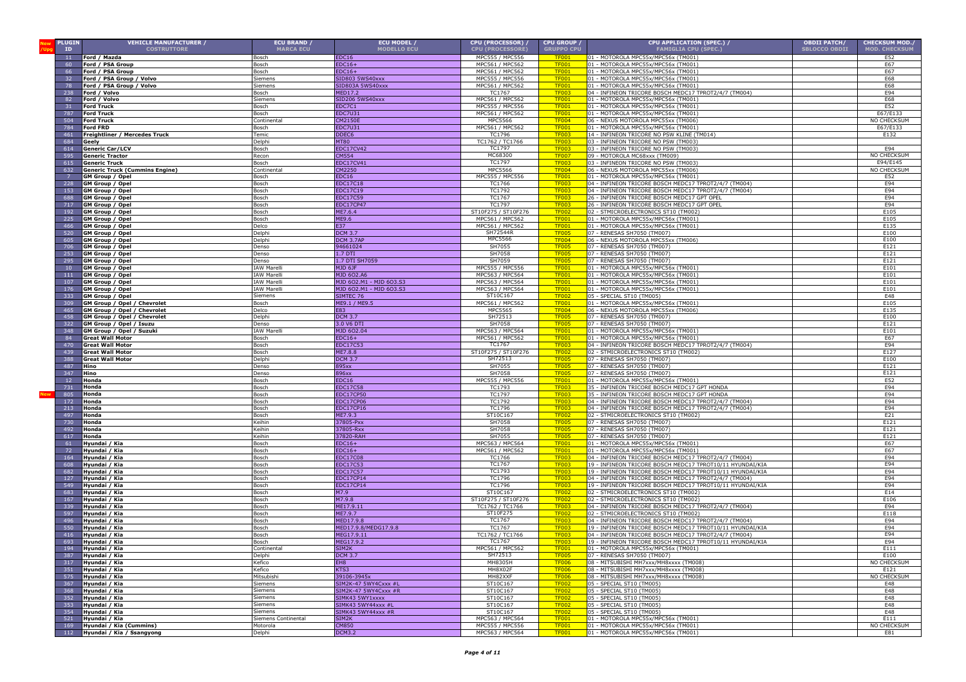| <b>PLUGIN</b>   | <b>VEHICLE MANUFACTURER /</b>                              | ECU BRAND /          | ECU MODEL /                                  | <b>CPU (PROCESSOR) /</b>           | CPU GROUP                    | CPU APPLICATION (SPEC.) /                                                                                          | <b>OBDII PATCH/</b>  | <b>CHECKSUM MOD./</b> |
|-----------------|------------------------------------------------------------|----------------------|----------------------------------------------|------------------------------------|------------------------------|--------------------------------------------------------------------------------------------------------------------|----------------------|-----------------------|
| ID              | <b>COSTRUTTORE</b>                                         | <b>MARCA ECU</b>     | <b>MODELLO ECU</b>                           | <b>CPU (PROCESSORE)</b>            | <b>GRUPPO CPU</b>            | <b>FAMIGLIA CPU (SPEC.)</b>                                                                                        | <b>SBLOCCO OBDII</b> | <b>MOD. CHECKSUM</b>  |
| 11              | Ford / Mazda                                               | Bosch                | EDC16                                        | MPC555 / MPC556<br>MPC561 / MPC562 | <b>TF001</b>                 | 01 - MOTOROLA MPC55x/MPC56x (TM001)                                                                                |                      | E52                   |
| 60<br>66        | Ford / PSA Group<br>Ford / PSA Group                       | Bosch<br>Bosch       | $EDC16+$<br>$EDC16+$                         | MPC561 / MPC562                    | <b>TF001</b><br><b>TF001</b> | 01 - MOTOROLA MPC55x/MPC56x (TM001)<br>01 - MOTOROLA MPC55x/MPC56x (TM001)                                         |                      | E67<br>E67            |
| 32 <sub>2</sub> | Ford / PSA Group / Volvo                                   | Siemens              | SID803 5WS40xxx                              | MPC555 / MPC556                    | <b>TF001</b>                 | 01 - MOTOROLA MPC55x/MPC56x (TM001)                                                                                |                      | E68                   |
| 78              | Ford / PSA Group / Volvo                                   | Siemens              | SID803A 5WS40xxx                             | MPC561 / MPC562                    | <b>TF001</b>                 | 01 - MOTOROLA MPC55x/MPC56x (TM001)                                                                                |                      | E68                   |
| 238             | Ford / Volvo                                               | Bosch                | MED17.2                                      | TC1767                             | <b>TF003</b>                 | 04 - INFINEON TRICORE BOSCH MEDC17 TPROT2/4/7 (TM004)                                                              |                      | E94                   |
| 82              | Ford / Volvo                                               | Siemens              | SID206 5WS40xxx                              | MPC561 / MPC562                    | <b>TF001</b>                 | 01 - MOTOROLA MPC55x/MPC56x (TM001)                                                                                |                      | E68                   |
| 31              | <b>Ford Truck</b>                                          | Bosch                | EDC7C1                                       | MPC555 / MPC556                    | <b>TF001</b>                 | 01 - MOTOROLA MPC55x/MPC56x (TM001)                                                                                |                      | E52                   |
| 787             | Ford Truck                                                 | Bosch                | EDC7U31                                      | MPC561 / MPC562                    | <b>TF001</b>                 | 01 - MOTOROLA MPC55x/MPC56x (TM001)                                                                                |                      | E67/E133              |
| 504<br>784      | Ford Truck<br><b>Ford FRD</b>                              | Continental<br>Bosch | CM2150E                                      | MPC5566<br>MPC561 / MPC562         | <b>TF004</b><br><b>TF001</b> | 06 - NEXUS MOTOROLA MPC55xx (TM006)<br>01 - MOTOROLA MPC55x/MPC56x (TM001)                                         |                      | <b>NO CHECKSUI</b>    |
| 461             | Freightliner / Mercedes Truck                              | Temic                | EDC7U31<br>DDEC6                             | TC1796                             | <b>TF003</b>                 | 14 - INFINEON TRICORE NO PSW KLINE (TM014)                                                                         |                      | E67/E133<br>E132      |
| 684             | Geely                                                      | Delphi               | <b>MT80</b>                                  | TC1762 / TC1766                    | <b>TF003</b>                 | 03 - INFINEON TRICORE NO PSW (TM003)                                                                               |                      |                       |
| 614             | Generic Car/LCV                                            | Bosch                | EDC17CV42                                    | TC1797                             | TF <sub>003</sub>            | 03 - INFINEON TRICORE NO PSW (TM003)                                                                               |                      | E94                   |
| 595             | <b>Generic Tractor</b>                                     | Recon                | <b>CM554</b>                                 | MC68300                            | <b>TF007</b>                 | 09 - MOTOROLA MC68xxx (TM009)                                                                                      |                      | NO CHECKSUM           |
| 615             | <b>Generic Truck</b>                                       | Bosch                | EDC17CV41                                    | TC1797                             | TF <sub>00</sub>             | 03 - INFINEON TRICORE NO PSW (TM003)                                                                               |                      | E94/E145              |
| 632             | <b>Generic Truck (Cummins Engine)</b>                      | Continental          | CM2250                                       | <b>MPC5566</b>                     | <b>TF004</b>                 | 06 - NEXUS MOTOROLA MPC55xx (TM006)                                                                                |                      | NO CHECKSUM           |
|                 | GM Group / Opel                                            | Bosch                | EDC16                                        | MPC555 / MPC556                    | <b>TF001</b>                 | 01 - MOTOROLA MPC55x/MPC56x (TM001)                                                                                |                      | E52                   |
| 228<br>153      | <b>GM Group / Opel</b><br>GM Group / Opel                  | 3osch<br>Bosch       | EDC17C18<br>EDC17C19                         | TC1766<br>TC1792                   | <b>TF00</b><br><b>TF00</b>   | 04 - INFINEON TRICORE BOSCH MEDC17 TPROT2/4/7 (TM004)<br>04 - INFINEON TRICORE BOSCH MEDC17 TPROT2/4/7 (TM004)     |                      | E94<br>E94            |
| 688             | <b>GM Group / Opel</b>                                     | Bosch                | EDC17C59                                     | TC1767                             | <b>TF003</b>                 | 26 - INFINEON TRICORE BOSCH MEDC17 GPT OPEL                                                                        |                      | E94                   |
| 717             | GM Group / Opel                                            | Bosch                | EDC17CP47                                    | TC1797                             | <b>TF003</b>                 | 26 - INFINEON TRICORE BOSCH MEDC17 GPT OPEL                                                                        |                      | E94                   |
| 192             | GM Group / Opel                                            | Bosch                | ME7.6.4                                      | ST10F275 / ST10F276                | <b>TF002</b>                 | 02 - STMICROELECTRONICS ST10 (TM002)                                                                               |                      | E105                  |
| 225             | GM Group / Opel                                            | Bosch                | ME9.6                                        | MPC561 / MPC562                    | <b>TF001</b>                 | 01 - MOTOROLA MPC55x/MPC56x (TM001)                                                                                |                      | E105                  |
| 466             | GM Group / Opel                                            | Delco                | E37                                          | MPC561 / MPC562                    | <b>TF001</b>                 | 01 - MOTOROLA MPC55x/MPC56x (TM001)                                                                                |                      | E135                  |
| 520             | <b>GM Group / Opel</b>                                     | Delphi               | <b>DCM 3.7</b>                               | SH72544R<br><b>MPC5566</b>         | <b>TF005</b>                 | 07 - RENESAS SH7050 (TM007)                                                                                        |                      | E100<br>E100          |
| 605<br>706      | GM Group / Opel                                            | Delphi<br>Denso      | DCM 3.7AP<br>94661024                        | SH7055                             | <b>TF004</b><br><b>TF005</b> | 06 - NEXUS MOTOROLA MPC55xx (TM006)<br>07 - RENESAS SH7050 (TM007)                                                 |                      | E121                  |
| 253             | GM Group / Opel<br><b>GM Group / Opel</b>                  | Denso                | 1.7 DTI                                      | SH7058                             | <b>TF005</b>                 | 07 - RENESAS SH7050 (TM007)                                                                                        |                      | E121                  |
| 295             | <b>GM Group / Opel</b>                                     | Denso                | 1.7 DTI SH7059                               | SH7059                             | <b>TF005</b>                 | 07 - RENESAS SH7050 (TM007)                                                                                        |                      | E121                  |
| 10 <sup>°</sup> | <b>GM Group / Opel</b>                                     | <b>IAW Marell</b>    | MJD 6JF                                      | MPC555 / MPC556                    | <b>TF001</b>                 | 01 - MOTOROLA MPC55x/MPC56x (TM001)                                                                                |                      | E101                  |
| 111             | GM Group / Opel                                            | <b>IAW Marell</b>    | MJD 602.A6                                   | MPC563 / MPC564                    | <b>TF001</b>                 | 01 - MOTOROLA MPC55x/MPC56x (TM001)                                                                                |                      | E101                  |
| 107             | GM Group / Opel                                            | <b>IAW Marell</b>    | MJD 602.M1 - MJD 603.S3                      | MPC563 / MPC564                    | <b>TF001</b>                 | 01 - MOTOROLA MPC55x/MPC56x (TM001)                                                                                |                      | E101                  |
| 176             | GM Group / Opel                                            | <b>IAW Marell</b>    | MJD 602.M1 - MJD 603.S3                      | MPC563 / MPC564                    | <b>TF001</b>                 | 01 - MOTOROLA MPC55x/MPC56x (TM001)                                                                                |                      | E101                  |
| 333<br>309      | GM Group / Opel                                            | Siemens<br>Bosch     | SIMTEC 76<br>ME9.1 / ME9.5                   | ST10C167<br>MPC561 / MPC562        | <b>TF002</b><br><b>TF001</b> | 05 - SPECIAL ST10 (TM005)<br>01 - MOTOROLA MPC55x/MPC56x (TM001                                                    |                      | E48<br>E105           |
| 465             | GM Group / Opel / Chevrolet<br>GM Group / Opel / Chevrolet | Delco                | E83                                          | <b>MPC5565</b>                     | <b>TF004</b>                 | 06 - NEXUS MOTOROLA MPC55xx (TM006)                                                                                |                      | E135                  |
| 458             | GM Group / Opel / Chevrolet                                | Delphi               | <b>DCM 3.7</b>                               | SH72513                            | TF <sub>00</sub> s           | 07 - RENESAS SH7050 (TM007)                                                                                        |                      | E100                  |
| 322             | GM Group / Opel / Isuzu                                    | Denso                | 3.0 V6 DTI                                   | SH7058                             | TF <sub>00</sub> s           | 07 - RENESAS SH7050 (TM007)                                                                                        |                      | E121                  |
| 348             | GM Group / Opel / Suzuki                                   | <b>IAW Marell</b>    | MJD 602.04                                   | MPC563 / MPC564                    | <b>TF001</b>                 | 01 - MOTOROLA MPC55x/MPC56x (TM001)                                                                                |                      | E101                  |
| 84              | <b>Great Wall Motor</b>                                    | Bosch                | $EDC16+$                                     | MPC561 / MPC562                    | <b>TF001</b>                 | 01 - MOTOROLA MPC55x/MPC56x (TM001)                                                                                |                      | E67                   |
| 470             | <b>Great Wall Motor</b>                                    | Bosch                | EDC17C53                                     | TC1767                             | <b>TF00</b>                  | 04 - INFINEON TRICORE BOSCH MEDC17 TPROT2/4/7 (TM004)                                                              |                      | E94                   |
| 439             | <b>Great Wall Motor</b>                                    | 3osch                | ME7.8.8                                      | ST10F275 / ST10F276                | <b>TF00</b>                  | 02 - STMICROELECTRONICS ST10 (TM002)                                                                               |                      | E127                  |
| 388<br>487      | <b>Great Wall Motor</b><br>Hino                            | Delphi<br>Denso      | <b>DCM 3.7</b><br>895xx                      | SH72513<br>SH7055                  | <b>TF00</b><br><b>TF005</b>  | 07 - RENESAS SH7050 (TM007)<br>07 - RENESAS SH7050 (TM007)                                                         |                      | E100<br>E121          |
| 347             | Hino                                                       | Denso                | 396xx                                        | SH7058                             | <b>TF005</b>                 | 07 - RENESAS SH7050 (TM007)                                                                                        |                      | E121                  |
| 12 <sup>°</sup> | Honda                                                      | Bosch                | EDC16                                        | MPC555 / MPC556                    | <b>TF001</b>                 | 01 - MOTOROLA MPC55x/MPC56x (TM001)                                                                                |                      | E52                   |
| 731             | Honda                                                      | Bosch                | EDC17C58                                     | TC1793                             | <b>TF003</b>                 | 35 - INFINEON TRICORE BOSCH MEDC17 GPT HONDA                                                                       |                      | E94                   |
| 805             | Honda                                                      | Bosch                | EDC17CP50                                    | TC1797                             | <b>TF003</b>                 | 35 - INFINEON TRICORE BOSCH MEDC17 GPT HONDA                                                                       |                      | E94                   |
| 172             | Honda                                                      | Bosch                | EDC17CP06                                    | TC1792                             | <b>TF003</b>                 | 04 - INFINEON TRICORE BOSCH MEDC17 TPROT2/4/7 (TM004)                                                              |                      | E94                   |
| 213             | Honda                                                      | Bosch                | EDC17CP16                                    | TC1796                             | <b>TF003</b>                 | 04 - INFINEON TRICORE BOSCH MEDC17 TPROT2/4/7 (TM004)                                                              |                      | E94                   |
| 497             | Honda                                                      | Bosch                | ME7.9.3                                      | ST10C167                           | <b>TF002</b>                 | 02 - STMICROELECTRONICS ST10 (TM002)                                                                               |                      | E21                   |
| 730<br>492      | Honda<br>Honda                                             | Keihin<br>Keihin     | 37805-Pxx<br>37805-Rxx                       | SH7058<br>SH7058                   | <b>TF005</b><br><b>TF005</b> | 07 - RENESAS SH7050 (TM007)<br>07 - RENESAS SH7050 (TM007)                                                         |                      | E121<br>E121          |
| 617             | Honda                                                      | Keihin               | 37820-RAH                                    | SH7055                             | <b>TF005</b>                 | 07 - RENESAS SH7050 (TM007)                                                                                        |                      | E121                  |
| 61              | Hyundai / Kia                                              | Bosch                | $EDC16+$                                     | MPC563 / MPC564                    | <b>TF001</b>                 | 01 - MOTOROLA MPC55x/MPC56x (TM001)                                                                                |                      | E67                   |
| 72              | Hyundai / Kia                                              | Bosch                | $EDC16+$                                     | MPC561 / MPC562                    | <b>TF001</b>                 | 01 - MOTOROLA MPC55x/MPC56x (TM001)                                                                                |                      | E67                   |
| 164             | Hyundai / Kia                                              | Bosch                | EDC17C08                                     | TC1766                             | <b>TF003</b>                 | 04 - INFINEON TRICORE BOSCH MEDC17 TPROT2/4/7 (TM004)                                                              |                      | E94                   |
| 608             | Hyundai / Kia                                              | Bosch                | EDC17C53                                     | TC1767                             | <b>TF003</b>                 | 19 - INFINEON TRICORE BOSCH MEDC17 TPROT10/11 HYUNDAI/KIA                                                          |                      | E94                   |
| 682<br>127      | Hyundai / Kia<br>Hyundai / Kia                             | Bosch<br>Bosch       | EDC17C57<br>EDC17CP14                        | TC1793<br><b>TC1796</b>            | <b>TF003</b><br><b>TF003</b> | 19 - INFINEON TRICORE BOSCH MEDC17 TPROT10/11 HYUNDAI/KIA<br>04 - INFINEON TRICORE BOSCH MEDC17 TPROT2/4/7 (TM004) |                      | E94<br>E94            |
| 549             | Hyundai / Kia                                              | Bosch                | EDC17CP14                                    | <b>TC1796</b>                      | TE00                         | 19 - INFINEON TRICORE BOSCH MEDC17 TPROT10/11 HYUNDAI/KIA                                                          |                      | E94                   |
| 683             | Hyundai / Kia                                              | Bosch                | M7.9                                         | ST10C167                           | <b>TF002</b>                 | 02 - STMICROELECTRONICS ST10 (TM002)                                                                               |                      | E14                   |
| 167             | Hyundai / Kia                                              | Bosch                | M7.9.8                                       | ST10F275 / ST10F276                | <b>TF002</b>                 | 02 - STMICROELECTRONICS ST10 (TM002)                                                                               |                      | E106                  |
| 339             | Hyundai / Kia                                              | Bosch                | ME17.9.11                                    | TC1762 / TC1766                    | TF <sub>00</sub>             | 04 - INFINEON TRICORE BOSCH MEDC17 TPROT2/4/7 (TM004)                                                              |                      | E94                   |
| 597             | Hyundai / Kia                                              | Bosch                | ME7.9.7                                      | ST10F275                           | <b>TF002</b>                 | 02 - STMICROELECTRONICS ST10 (TM002)                                                                               |                      | E118                  |
| 496             | Hyundai / Kia                                              | Bosch                | MED17.9.8                                    | TC1767                             | <b>TF00</b>                  | 04 - INFINEON TRICORE BOSCH MEDC17 TPROT2/4/7 (TM004)                                                              |                      | E94                   |
| 550<br>416      | Hyundai / Kia<br>Hvundai / Kia                             | Bosch<br>Bosch       | 4ED17.9.8/MEDG17.9.8<br>4EG17.9.11           | TC1767<br>TC1762 / TC1766          | <b>TF00</b><br><b>TF00</b>   | 19 - INFINEON TRICORE BOSCH MEDC17 TPROT10/11 HYUNDAI/KIA<br>04 - INFINEON TRICORE BOSCH MEDC17 TPROT2/4/7 (TM004) |                      | E94<br>E94            |
| 693             | Hyundai / Kia                                              | Bosch                | 4EG17.9.2                                    | TC1767                             | <b>TF003</b>                 | 19 - INFINEON TRICORE BOSCH MEDC17 TPROT10/11 HYUNDAI/KIA                                                          |                      | E94                   |
| 194             | Hyundai / Kia                                              | Continenta           | SIM <sub>2K</sub>                            | MPC561 / MPC562                    | <b>TF001</b>                 | 01 - MOTOROLA MPC55x/MPC56x (TM001)                                                                                |                      | E111                  |
|                 | 387 Hyundai / Kia                                          | Delphi               | <b>DCM 3.7</b>                               | SH72513                            | <b>TF005</b>                 | 07 - RENESAS SH7050 (TM007)                                                                                        |                      | E100                  |
|                 | 317 Hyundai / Kia                                          | Kefico               | EH8                                          | MH8305H                            | <b>TF006</b>                 | 08 - MITSUBISHI MH7xxx/MH8xxxx (TM008)                                                                             |                      | NO CHECKSUM           |
| 351             | Hyundai / Kia                                              | Kefico               | KTS3                                         | MH8X02F                            | <b>TF006</b>                 | 08 - MITSUBISHI MH7xxx/MH8xxxx (TM008)                                                                             |                      | E121                  |
| 575             | Hyundai / Kia                                              | Mitsubishi           | 39106-3945x                                  | MH82XXF                            | <b>TF006</b>                 | 08 - MITSUBISHI MH7xxx/MH8xxxx (TM008)                                                                             |                      | NO CHECKSUM           |
| 367<br>368      | Hyundai / Kia<br>Hyundai / Kia                             | Siemens<br>Siemens   | SIM2K-47 5WY4Cxxx #L<br>SIM2K-47 5WY4Cxxx #R | ST10C167<br>ST10C167               | <b>TF002</b><br><b>TF002</b> | 05 - SPECIAL ST10 (TM005)<br>05 - SPECIAL ST10 (TM005)                                                             |                      | E48<br>E48            |
| 352             | Hyundai / Kia                                              | Siemens              | SIMK43 5WY1xxxx                              | ST10C167                           | <b>TF002</b>                 | 05 - SPECIAL ST10 (TM005)                                                                                          |                      | E48                   |
| 353             | Hyundai / Kia                                              | Siemens              | SIMK43 5WY44xxx #L                           | ST10C167                           | <b>TF002</b>                 | 05 - SPECIAL ST10 (TM005)                                                                                          |                      | E48                   |
| 354             | Hyundai / Kia                                              | Siemens              | SIMK43 5WY44xxx #R                           | ST10C167                           | <b>TF002</b>                 | 05 - SPECIAL ST10 (TM005)                                                                                          |                      | E48                   |
| 521             | Hyundai / Kia                                              | Siemens Continental  | SIM2K                                        | MPC563 / MPC564                    | <b>TF001</b>                 | 01 - MOTOROLA MPC55x/MPC56x (TM001)                                                                                |                      | E111                  |
| 169             | Hyundai / Kia (Cummins)                                    | Motorola             | <b>CM850</b>                                 | MPC555 / MPC556                    | <b>TF001</b>                 | 01 - MOTOROLA MPC55x/MPC56x (TM001)                                                                                |                      | NO CHECKSUM           |
| 112             | Hyundai / Kia / Ssangyong                                  | Delphi               | <b>DCM3.2</b>                                | MPC563 / MPC564                    | <b>TF001</b>                 | 01 - MOTOROLA MPC55x/MPC56x (TM001)                                                                                |                      | E81                   |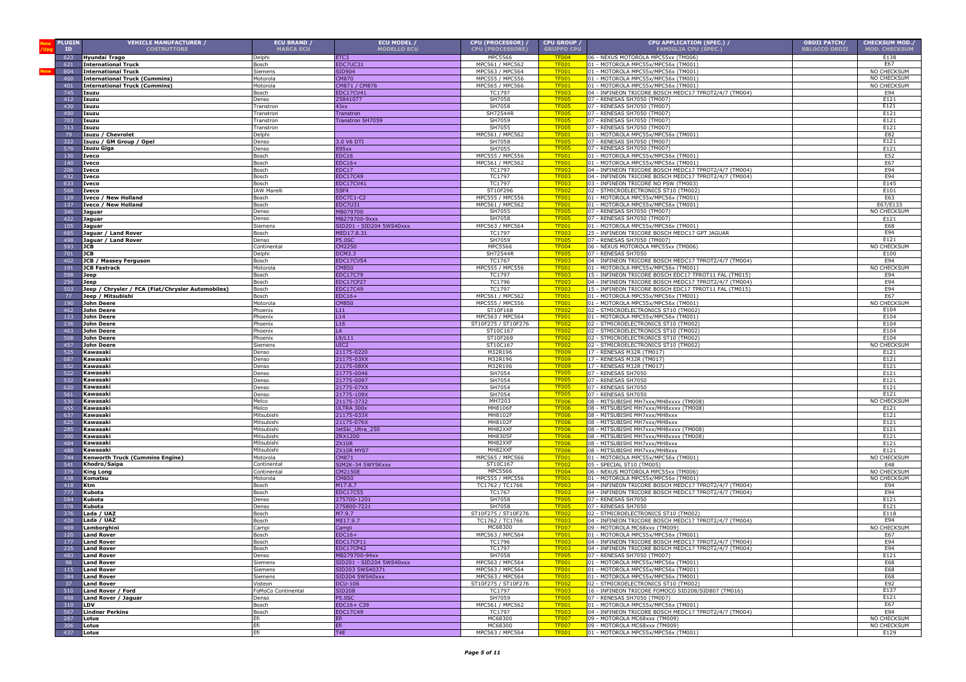| <b>PLUGIN</b>         | <b>VEHICLE MANUFACTURER /</b>                     | <b>ECU BRAND /</b>    | ECU MODEL /                    | CPU (PROCESSOR) /                  | <b>CPU GROUP</b>             | CPU APPLICATION (SPEC.) /                                                                                      | <b>OBDII PATCH/</b>  | <b>CHECKSUM MOD./</b>      |
|-----------------------|---------------------------------------------------|-----------------------|--------------------------------|------------------------------------|------------------------------|----------------------------------------------------------------------------------------------------------------|----------------------|----------------------------|
| ID                    | <b>COSTRUTTORE</b>                                | <b>MARCA ECU</b>      | <b>MODELLO ECU</b>             | <b>CPU (PROCESSORE)</b>            | <b>GRUPPO CPU</b>            | <b>FAMIGLIA CPU (SPEC.)</b>                                                                                    | <b>SBLOCCO OBDII</b> | <b>MOD. CHECKSUM</b>       |
| 623                   | Hyundai Trago                                     | Delphi                | ETC3                           | <b>MPC5566</b>                     | <b>TF004</b>                 | 06 - NEXUS MOTOROLA MPC55xx (TM006)                                                                            |                      | E138                       |
| 621                   | <b>International Truck</b>                        | Bosch                 | EDC7UC31                       | MPC561 / MPC562                    | <b>TF001</b>                 | 01 - MOTOROLA MPC55x/MPC56x (TM001)                                                                            |                      | E67                        |
| 804                   | <b>International Truck</b>                        | Siemens               | SID904                         | MPC563 / MPC564                    | <b>TF001</b>                 | 01 - MOTOROLA MPC55x/MPC56x (TM001)                                                                            |                      | NO CHECKSUM<br>NO CHECKSUM |
| 400<br>401            | <b>International Truck (Cummins)</b>              | Motorola<br>Motorola  | <b>CM870</b><br>CM871 / CM876  | MPC555 / MPC556<br>MPC565 / MPC566 | <b>TF001</b><br><b>TF001</b> | 01 - MOTOROLA MPC55x/MPC56x (TM001)<br>01 - MOTOROLA MPC55x/MPC56x (TM001)                                     |                      | NO CHECKSUM                |
| 745                   | <b>International Truck (Cummins)</b><br>Isuzu     | Bosch                 | EDC17CV41                      | TC1797                             | <b>TF003</b>                 | 04 - INFINEON TRICORE BOSCH MEDC17 TPROT2/4/7 (TM004)                                                          |                      | E94                        |
| 412                   | Isuzu                                             | enso                  | 25841077                       | SH7058                             | <b>TF005</b>                 | 07 - RENESAS SH7050 (TM007)                                                                                    |                      | E121                       |
| 430                   | Isuzu                                             | ranstror              | 4Jxx                           | SH7058                             | <b>TF005</b>                 | 07 - RENESAS SH7050 (TM007)                                                                                    |                      | E121                       |
| 490                   | Isuzu                                             | ranstron              | Transtron                      | SH72544R                           | <b>TF005</b>                 | 07 - RENESAS SH7050 (TM007)                                                                                    |                      | E121                       |
| 703                   | Isuzu                                             | ranstron              | Transtron SH7059               | SH7059                             | <b>TF005</b>                 | 07 - RENESAS SH7050 (TM007)                                                                                    |                      | E121                       |
| 313                   | Isuzu                                             | ranstron              |                                | SH7055                             | <b>TF005</b>                 | 07 - RENESAS SH7050 (TM007)                                                                                    |                      | E121                       |
| 79                    | Isuzu / Chevrolet                                 | <b>Delphi</b>         |                                | MPC561 / MPC562                    | <b>TF001</b>                 | 01 - MOTOROLA MPC55x/MPC56x (TM001)                                                                            |                      | E82                        |
| -322                  | Isuzu / GM Group / Opel                           | Denso                 | 3.0 V6 DTI                     | SH7058                             | <b>TF005</b>                 | 07 - RENESAS SH7050 (TM007)                                                                                    |                      | E121                       |
| 579                   | <b>Isuzu Giga</b>                                 | enso                  | 895xx                          | SH7055                             | <b>TF005</b>                 | 07 - RENESAS SH7050 (TM007)                                                                                    |                      | E121                       |
| 130                   | Iveco                                             | Bosch                 | EDC16                          | MPC555 / MPC556                    | <b>TF001</b>                 | 01 - MOTOROLA MPC55x/MPC56x (TM001)                                                                            |                      | E52                        |
| 140                   | <b>Iveco</b>                                      | Bosch                 | $EDC16+$                       | MPC561 / MPC562                    | <b>TF001</b>                 | 01 - MOTOROLA MPC55x/MPC56x (TM001)                                                                            |                      | E67                        |
| 206                   | <b>Iveco</b>                                      | Bosch                 | EDC17                          | TC1797                             | <b>TF003</b>                 | 04 - INFINEON TRICORE BOSCH MEDC17 TPROT2/4/7 (TM004)                                                          |                      | E94                        |
| 432                   | Iveco                                             | Bosch                 | <b>EDC17C49</b>                | TC1797                             | <b>TF003</b>                 | 04 - INFINEON TRICORE BOSCH MEDC17 TPROT2/4/7 (TM004)                                                          |                      | E94                        |
| 633                   | Iveco                                             | osch                  | EDC17CV41                      | TC1797                             | <b>TF003</b>                 | 03 - INFINEON TRICORE NO PSW (TM003)                                                                           |                      | E145                       |
| 568                   | Iveco                                             | <b>AW Marel</b>       | 5SF4                           | ST10F296                           | <b>TF002</b>                 | 02 - STMICROELECTRONICS ST10 (TM002)                                                                           |                      | E101                       |
| 129                   | Iveco / New Holland                               | Bosch                 | <b>EDC7C1-C2</b>               | MPC555 / MPC556                    | <b>TF001</b>                 | 01 - MOTOROLA MPC55x/MPC56x (TM001)                                                                            |                      | E63                        |
| 137<br>346            | Iveco / New Holland                               | Bosch<br>Denso        | <b>EDC7U31</b><br>4B079700     | MPC561 / MPC562<br>SH7055          | <b>TF001</b><br><b>TF005</b> | 01 - MOTOROLA MPC55x/MPC56x (TM001)<br>07 - RENESAS SH7050 (TM007)                                             |                      | E67/E133<br>NO CHECKSUM    |
| 422                   | Jaguar                                            | Denso                 | MB279700-9xxx                  | SH7058                             | <b>TF005</b>                 | 07 - RENESAS SH7050 (TM007)                                                                                    |                      | E121                       |
| 105                   | Jaguar<br>Jaguar                                  | Siemens               | SID201 - SID204 5WS40xxx       | MPC563 / MPC564                    | <b>TF001</b>                 | 01 - MOTOROLA MPC55x/MPC56x (TM001)                                                                            |                      | E68                        |
| 685                   | Jaguar / Land Rover                               | Bosch                 | MED17.8.31                     | TC1797                             | <b>TF003</b>                 | 25 - INFINEON TRICORE BOSCH MEDC17 GPT JAGUAR                                                                  |                      | E94                        |
| 498                   | Jaguar / Land Rover                               | Denso                 | <b>P5.0SC</b>                  | SH7059                             | <b>TF005</b>                 | 07 - RENESAS SH7050 (TM007)                                                                                    |                      | E121                       |
| 593                   | <b>JCB</b>                                        | Continental           | CM2250                         | <b>MPC5566</b>                     | <b>TF004</b>                 | 06 - NEXUS MOTOROLA MPC55xx (TM006)                                                                            |                      | NO CHECKSUM                |
| 701                   | <b>JCB</b>                                        | Delphi                | <b>DCM3.3</b>                  | SH72544R                           | <b>TF005</b>                 | 07 - RENESAS SH7050                                                                                            |                      | E100                       |
| 402                   | JCB / Massey Ferguson                             | Bosch                 | <b>EDC17CV54</b>               | TC1767                             | <b>TF003</b>                 | 04 - INFINEON TRICORE BOSCH MEDC17 TPROT2/4/7 (TM004)                                                          |                      | E94                        |
| 191                   | JCB Fastrack                                      | Motorola              | <b>CM850</b>                   | MPC555 / MPC556                    | <b>TF001</b>                 | 01 - MOTOROLA MPC55x/MPC56x (TM001)                                                                            |                      | NO CHECKSUM                |
| 598                   | Jeep                                              | Bosch                 | <b>EDC17C79</b>                | TC1797                             | <b>TF003</b>                 | 15 - INFINEON TRICORE BOSCH EDC17 TPROT11 FAL (TM015)                                                          |                      | E94                        |
| 256                   | Jeep                                              | Bosch                 | <b>EDC17CP27</b>               | TC1796                             | <b>TF003</b>                 | 04 - INFINEON TRICORE BOSCH MEDC17 TPROT2/4/7 (TM004)                                                          |                      | E94                        |
| 503                   | Jeep / Chrysler / FCA (Fiat/Chrysler Automobiles) | Bosch                 | EDC17C49                       | TC1797                             | <b>TF003</b>                 | 15 - INFINEON TRICORE BOSCH EDC17 TPROT11 FAL (TM015)                                                          |                      | E94                        |
| 77                    | Jeep / Mitsubishi                                 | Bosch                 | $EDC16+$                       | MPC561 / MPC562                    | <b>TF001</b>                 | 01 - MOTOROLA MPC55x/MPC56x (TM001                                                                             |                      | E67                        |
| 190                   | John Deere                                        | Motorola              | <b>CM850</b>                   | MPC555 / MPC556                    | <b>TF001</b>                 | 01 - MOTOROLA MPC55x/MPC56x (TM001                                                                             |                      | NO CHECKSU                 |
| 462                   | <b>John Deere</b>                                 | hoenix                | L11                            | ST10F168                           | <b>TF002</b><br><b>TF001</b> | 02 - STMICROELECTRONICS ST10 (TM002)                                                                           |                      | E104                       |
| 123                   | John Deere                                        | hoenix                | L14                            | MPC563 / MPC564                    | <b>TF002</b>                 | 01 - MOTOROLA MPC55x/MPC56x (TM001)                                                                            |                      | E104                       |
| 236<br>463            | <b>John Deere</b><br><b>John Deere</b>            | hoenix<br>hoenix      | L16<br>L4                      | ST10F275 / ST10F276<br>ST10C167    | <b>TF002</b>                 | 02 - STMICROELECTRONICS ST10 (TM002)<br>02 - STMICROELECTRONICS ST10 (TM002)                                   |                      | E104<br>E104               |
| 508                   | <b>John Deere</b>                                 | hoenix                | L9/L11                         | ST10F269                           | <b>TF002</b>                 | 02 - STMICROELECTRONICS ST10 (TM002)                                                                           |                      | E104                       |
| 457                   | <b>John Deere</b>                                 | iemens                | UIC2                           | ST10C167                           | <b>TF002</b>                 | 02 - STMICROELECTRONICS ST10 (TM002)                                                                           |                      | NO CHECKSUM                |
| 525                   | Kawasaki                                          | enso                  | 21175-0220                     | M32R196                            | TF009                        | 17 - RENESAS M32R (TM017)                                                                                      |                      | E121                       |
| 687                   | Kawasaki                                          | enso                  | 21175-03XX                     | M32R196                            | TF009                        | 17 - RENESAS M32R (TM017)                                                                                      |                      | E121                       |
| 652                   | Kawasaki                                          | enso                  | 21175-08XX                     | M32R196                            | <b>TF009</b>                 | 17 - RENESAS M32R (TM017)                                                                                      |                      | E121                       |
| 522                   | Kawasaki                                          | enso                  | 21775-0046                     | SH7054                             | <b>TF005</b>                 | 07 - RENESAS SH7050                                                                                            |                      | E121                       |
| 532                   | Kawasaki                                          | Denso                 | 21775-0097                     | SH7054                             | <b>TF005</b>                 | 07 - RENESAS SH7050                                                                                            |                      | E121                       |
| 620                   | Kawasaki                                          | <b>Denso</b>          | 21775-07XX                     | SH7054                             | <b>TF005</b>                 | 07 - RENESAS SH7050                                                                                            |                      | E121                       |
| 561                   | Kawasaki                                          | Denso                 | 21775-109X                     | SH7054                             | <b>TF005</b>                 | 07 - RENESAS SH7050                                                                                            |                      | E121                       |
| 530<br>455            | Kawasaki<br>Kawasaki                              | 1elco<br><b>Aelco</b> | 21175-3732                     | MH7203<br><b>MH8106F</b>           | <b>TF006</b>                 | 08 - MITSUBISHI MH7xxx/MH8xxxx (TM008)                                                                         |                      | <b>NO CHECKSUM</b>         |
| 637                   | Kawasaki                                          | Mitsubishi            | ULTRA 300x<br>21175-033X       | MH8102F                            | <b>TF006</b><br><b>TF006</b> | 08 - MITSUBISHI MH7xxx/MH8xxxx (TM008)<br>08 - MITSUBISHI MH7xxx/MH8xxx                                        |                      | E121<br>E121               |
| 625                   | Kawasaki                                          | Mitsubishi            | 21175-076X                     | MH8102F                            | <b>TF006</b>                 | 08 - MITSUBISHI MH7xxx/MH8xxx                                                                                  |                      | E121                       |
| 285                   | Kawasaki                                          | Mitsubishi            | JetSki_Ultra_250               | MH82XXF                            | <b>TF006</b>                 | 08 - MITSUBISHI MH7xxx/MH8xxxx (TM008)                                                                         |                      | E121                       |
| 300                   | Kawasaki                                          | Mitsubishi            | ZRX1200                        | MH8305F                            | <b>TF006</b>                 | 08 - MITSUBISHI MH7xxx/MH8xxxx (TM008)                                                                         |                      | E121                       |
| 484                   | Kawasaki                                          | Mitsubishi            | <b>ZX10R</b>                   | MH82XXF                            | <b>TF006</b>                 | 08 - MITSUBISHI MH7xxx/MH8xxx                                                                                  |                      | E121                       |
| 488                   | Kawasaki                                          | Mitsubishi            | <b>ZX10R MY07</b>              | MH82XXF                            | <b>TF006</b>                 | 08 - MITSUBISHI MH7xxx/MH8xxx                                                                                  |                      | E121                       |
| 744                   | <b>Kenworth Truck (Cummins Engine)</b>            | Motorola              | <b>CM871</b>                   | MPC565 / MPC566                    | <b>TF001</b>                 | 01 - MOTOROLA MPC55x/MPC56x (TM001)                                                                            |                      | NO CHECKSUM                |
| 541                   | Khodro/Saipa                                      | ontinental            | SIM2K-34 5WY5Kxxx              | ST10C167                           | <b>TF002</b>                 | 05 - SPECIAL ST10 (TM005)                                                                                      |                      | E48                        |
| 379                   | <b>King Long</b>                                  | ontinental            | CM2150E                        | MPC5566                            | <b>TF004</b>                 | 06 - NEXUS MOTOROLA MPC55xx (TM006)                                                                            |                      | NO CHECKSUM                |
| 438                   | Komatsu                                           | Motorola              | <b>CM850</b>                   | MPC555 / MPC556                    | <b>TF001</b>                 | 01 - MOTOROLA MPC55x/MPC56x (TM001)                                                                            |                      | NO CHECKSUM                |
| 418                   | Ktm                                               | osch                  | M17.8.7                        | TC1762 / TC1766<br><b>TC1767</b>   | <b>TF003</b><br><b>TF003</b> | 04 - INFINEON TRICORE BOSCH MEDC17 TPROT2/4/7 (TM004)<br>04 - INFINEON TRICORE BOSCH MEDC17 TPROT2/4/7 (TM004) |                      | E94<br>E94                 |
| 773<br>584            | Kubota<br>Kubota                                  | Bosch<br>Denso        | <b>EDC17C55</b><br>275700-1201 | SH7058                             | <b>TF005</b>                 | 07 - RENESAS SH7050                                                                                            |                      | E121                       |
| 578                   | Kubota                                            | Denso                 | 275800-7221                    | SH7058                             | <b>TF005</b>                 | 07 - RENESAS SH7050                                                                                            |                      | E121                       |
| 376                   | Lada / UAZ                                        | Bosch                 | M7.9.7                         | ST10F275 / ST10F276                | <b>TF002</b>                 | 02 - STMICROELECTRONICS ST10 (TM002)                                                                           |                      | E118                       |
| 428                   | Lada / UAZ                                        | Bosch                 | ME17.9.7                       | TC1762 / TC1766                    | <b>TF003</b>                 | 04 - INFINEON TRICORE BOSCH MEDC17 TPROT2/4/7 (TM004)                                                          |                      | E94                        |
| 46 <sup>c</sup>       | .amborghini                                       | ampi                  | Campi                          | MC68300                            | <b>TF007</b>                 | 09 - MOTOROLA MC68xxx (TM009)                                                                                  |                      | NO CHECKSUM                |
| 120                   | and Rover.                                        | osch                  | $EDC16+$                       | MPC563 / MPC564                    | <b>TF001</b>                 | 01 - MOTOROLA MPC55x/MPC56x (TM001)                                                                            |                      | E67                        |
| 177                   | Land Rover                                        | osch                  | EDC17CP11                      | TC1796                             | <b>TF003</b>                 | 04 - INFINEON TRICORE BOSCH MEDC17 TPROT2/4/7 (TM004)                                                          |                      | E94                        |
| 235                   | <b>Land Rover</b>                                 | Bosch                 | <b>EDC17CP42</b>               | TC1797                             | <b>TF003</b>                 | 04 - INFINEON TRICORE BOSCH MEDC17 TPROT2/4/7 (TM004)                                                          |                      | E94                        |
|                       | 483 Land Rover                                    | Denso                 | MB279700-94xx                  | SH7058                             | <b>TF005</b>                 | 07 - RENESAS SH7050 (TM007)                                                                                    |                      | E121                       |
| 98                    | <b>Land Rover</b>                                 | Siemens               | SID201 - SID204 5WS40xxx       | MPC563 / MPC564                    | <b>TF001</b>                 | 01 - MOTOROLA MPC55x/MPC56x (TM001)                                                                            |                      | E68                        |
| 115                   | Land Rover                                        | Siemens               | SID203 5WS40371                | MPC563 / MPC564                    | <b>TF001</b>                 | 01 - MOTOROLA MPC55x/MPC56x (TM001)                                                                            |                      | E68                        |
| 384                   | <b>Land Rover</b>                                 | Siemens               | SID204 5WS40xxx                | MPC563 / MPC564                    | <b>TF001</b>                 | 01 - MOTOROLA MPC55x/MPC56x (TM001)                                                                            |                      | E68                        |
| 37 <sup>2</sup>       | <b>Land Rover</b>                                 | Visteon               | <b>DCU-106</b>                 | ST10F275 / ST10F276                | <b>TF002</b>                 | 02 - STMICROELECTRONICS ST10 (TM002)                                                                           |                      | E92                        |
| 510                   | Land Rover / Ford                                 | FoMoCo Continental    | <b>SID208</b>                  | TC1797                             | <b>TF003</b>                 | 16 - INFINEON TRICORE FOMOCO SID208/SID807 (TM016)<br>07 - RENESAS SH7050 (TM007)                              |                      | E137<br>E121               |
| 498<br>310 <b>LDV</b> | Land Rover / Jaguar                               | Denso<br>Bosch        | <b>P5.0SC</b><br>EDC16+ C39    | SH7059<br>MPC561 / MPC562          | <b>TF005</b><br><b>TF001</b> | 01 - MOTOROLA MPC55x/MPC56x (TM001)                                                                            |                      | E67                        |
| 567                   | <b>Lindner Perkins</b>                            | Bosch                 | EDC17C49                       | TC1797                             | <b>TF003</b>                 | 04 - INFINEON TRICORE BOSCH MEDC17 TPROT2/4/7 (TM004)                                                          |                      | E94                        |
| 287                   | Lotus                                             | Ffi                   | Efi                            | MC68300                            | <b>TF007</b>                 | 09 - MOTOROLA MC68xxx (TM009)                                                                                  |                      | NO CHECKSUM                |
| 306                   | Lotus                                             | Efi                   | Efi                            | MC68300                            | <b>TF007</b>                 | 09 - MOTOROLA MC68xxx (TM009)                                                                                  |                      | NO CHECKSUM                |
| 437                   | Lotus                                             | Efi                   | T4E                            | MPC563 / MPC564                    | <b>TF001</b>                 | 01 - MOTOROLA MPC55x/MPC56x (TM001)                                                                            |                      | E129                       |
|                       |                                                   |                       |                                |                                    |                              |                                                                                                                |                      |                            |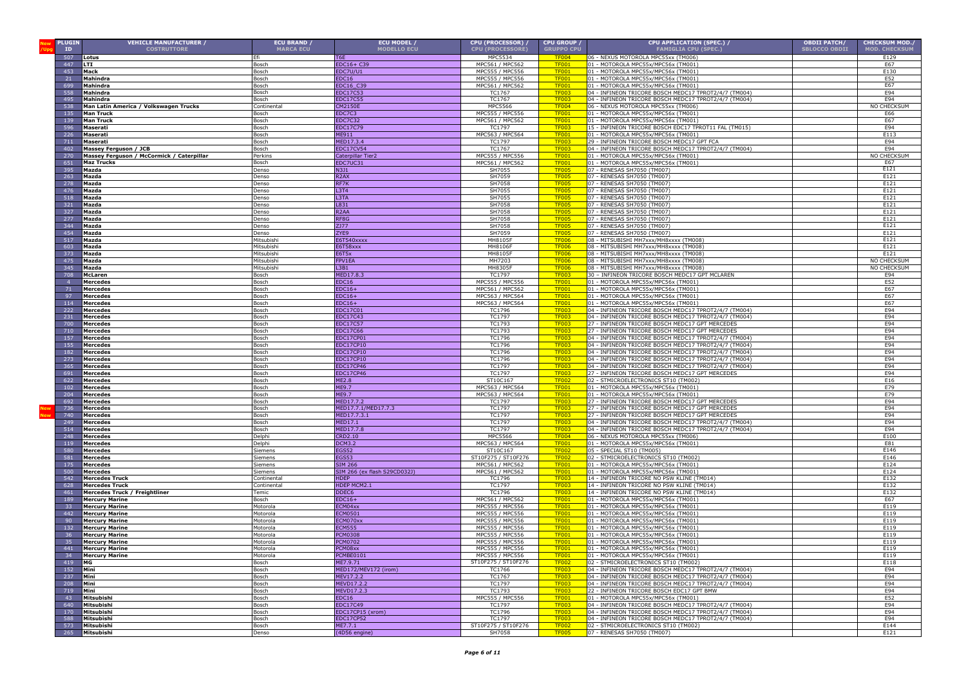| <b>PLUGIN</b><br>ID | <b>VEHICLE MANUFACTURER /</b><br><b>COSTRUTTORE</b> | ECU BRAND /<br><b>MARCA ECU</b> | ECU MODEL /<br><b>MODELLO ECU</b>    | CPU (PROCESSOR) /<br><b>CPU (PROCESSORE)</b> | <b>CPU GROUP</b><br><b>GRUPPO CPU</b> | CPU APPLICATION (SPEC.) /<br><b>FAMIGLIA CPU (SPEC.)</b>                                                       | <b>OBDII PATCH/</b><br><b>SBLOCCO OBDII</b> | <b>CHECKSUM MOD./</b><br><b>MOD. CHECKSUM</b> |
|---------------------|-----------------------------------------------------|---------------------------------|--------------------------------------|----------------------------------------------|---------------------------------------|----------------------------------------------------------------------------------------------------------------|---------------------------------------------|-----------------------------------------------|
| 507                 | Lotus                                               |                                 | <b>T<sub>6F</sub></b>                | MPC5534                                      | TF004                                 | 06 - NEXUS MOTOROLA MPC55xx (TM006)                                                                            |                                             | E129                                          |
| 447                 | <b>LTI</b>                                          | Bosch                           | EDC16+ C39                           | MPC561 / MPC562                              | TF001                                 | 01 - MOTOROLA MPC55x/MPC56x (TM001)                                                                            |                                             | E67                                           |
| 453                 | Mack                                                | Bosch                           | EDC7U/U1                             | MPC555 / MPC556                              | <b>TF001</b>                          | 01 - MOTOROLA MPC55x/MPC56x (TM001)                                                                            |                                             | E130                                          |
| 21                  | <b>Mahindra</b>                                     | Bosch                           | EDC16                                | MPC555 / MPC556                              | <b>TF001</b>                          | 01 - MOTOROLA MPC55x/MPC56x (TM001)                                                                            |                                             | E52                                           |
| 699                 | Mahindra                                            | Bosch                           | EDC16 C39                            | MPC561 / MPC562                              | <b>TF001</b>                          | 01 - MOTOROLA MPC55x/MPC56x (TM001)                                                                            |                                             | E67                                           |
| 558                 | Mahindra                                            | Bosch                           | EDC17C53                             | TC1767                                       | <b>TF003</b>                          | 04 - INFINEON TRICORE BOSCH MEDC17 TPROT2/4/7 (TM004)                                                          |                                             | E94                                           |
| 495                 | Mahindra                                            | Bosch                           | EDC17C55                             | TC1767                                       | <b>TF003</b>                          | 04 - INFINEON TRICORE BOSCH MEDC17 TPROT2/4/7 (TM004)                                                          |                                             | E94                                           |
| 538                 | Man Latin America / Volkswagen Trucks               | Continental                     | CM2150E                              | MPC5566                                      | <b>TF004</b>                          | 06 - NEXUS MOTOROLA MPC55xx (TM006)                                                                            |                                             | NO CHECKSUM                                   |
| 135<br>139          | <b>Man Truck</b><br><b>Man Truck</b>                | Bosch<br>Bosch                  | EDC7C3<br><b>EDC7C32</b>             | MPC555 / MPC556<br>MPC561 / MPC562           | <b>TF001</b><br><b>TF001</b>          | 01 - MOTOROLA MPC55x/MPC56x (TM001)<br>01 - MOTOROLA MPC55x/MPC56x (TM001)                                     |                                             | E66<br>E67                                    |
| 596                 | <b>Maserati</b>                                     | Bosch                           | <b>EDC17C79</b>                      | TC1797                                       | <b>TF003</b>                          | 15 - INFINEON TRICORE BOSCH EDC17 TPROT11 FAL (TM015)                                                          |                                             | E94                                           |
| 226                 | <b>Maserati</b>                                     | Bosch                           | ME911                                | MPC563 / MPC564                              | <b>TF001</b>                          | 01 - MOTOROLA MPC55x/MPC56x (TM001)                                                                            |                                             | E113                                          |
| 711                 | Maserati                                            | Bosch                           | 1ED17.3.4                            | TC179.                                       | <b>TF003</b>                          | 29 - INFINEON TRICORE BOSCH MEDC17 GPT FCA                                                                     |                                             | E94                                           |
| 402                 | Massey Ferguson / JCB                               | Bosch                           | <b>EDC17CV54</b>                     | TC1767                                       | <b>TF003</b>                          | 04 - INFINEON TRICORE BOSCH MEDC17 TPROT2/4/7 (TM004)                                                          |                                             | E94                                           |
| 270                 | Massey Ferguson / McCormick / Caterpillar           | Perkins                         | Caterpillar Tier2                    | MPC555 / MPC556                              | <b>TF001</b>                          | 01 - MOTOROLA MPC55x/MPC56x (TM001)                                                                            |                                             | NO CHECKSUM                                   |
| 651                 | <b>Maz Trucks</b>                                   | Bosch                           | EDC7UC31                             | MPC561 / MPC562                              | <b>TF001</b>                          | 01 - MOTOROLA MPC55x/MPC56x (TM001)                                                                            |                                             | E67                                           |
| 395                 | Mazda                                               | Denso                           | N3J1                                 | SH7055                                       | TF <sub>00</sub> s                    | 07 - RENESAS SH7050 (TM007)                                                                                    |                                             | E121                                          |
| 263                 | Mazda                                               | Denso                           | R <sub>2</sub> AX                    | SH7059                                       | <b>TF005</b>                          | 07 - RENESAS SH7050 (TM007)                                                                                    |                                             | E121                                          |
| 278                 | Mazda                                               | Denso                           | RF7K                                 | SH7058                                       | TF <sub>00</sub>                      | 07 - RENESAS SH7050 (TM007)                                                                                    |                                             | E121                                          |
| 476                 | Mazda                                               | Denso                           | L3T4                                 | SH7055<br>SH7055                             | TF <sub>00</sub><br><b>TF005</b>      | 07 - RENESAS SH7050 (TM007)<br>07 - RENESAS SH7050 (TM007)                                                     |                                             | E121<br>E121                                  |
| 518<br>321          | Mazda<br>Mazda                                      | <b>Denso</b><br><b>Denso</b>    | L3TA<br>L831                         | SH7058                                       | TF <sub>00</sub>                      | 07 - RENESAS SH7050 (TM007)                                                                                    |                                             | E121                                          |
| 327                 | Mazda                                               | <b>Denso</b>                    | R <sub>2</sub> AA                    | SH7058                                       | TF <sub>00</sub>                      | 07 - RENESAS SH7050 (TM007)                                                                                    |                                             | E121                                          |
| 277                 | Mazda                                               | <b>Denso</b>                    | RF8G                                 | SH7058                                       | <b>TF005</b>                          | 07 - RENESAS SH7050 (TM007)                                                                                    |                                             | E121                                          |
| 344                 | Mazda                                               | Denso                           | ZJ77                                 | SH7058                                       | <b>TF00</b>                           | 07 - RENESAS SH7050 (TM007)                                                                                    |                                             | E121                                          |
| 454                 | Mazda                                               | Denso                           | ZYE9                                 | SH7059                                       | <b>TF00!</b>                          | 07 - RENESAS SH7050 (TM007)                                                                                    |                                             | E121                                          |
| 517                 | Mazda                                               | Mitsubishi                      | E6T540xxxx                           | MH8105F                                      | <b>TF006</b>                          | 08 - MITSUBISHI MH7xxx/MH8xxxx (TM008)                                                                         |                                             | E121                                          |
| 603                 | Mazda                                               | Mitsubishi                      | E6T58xxx                             | <b>MH8106F</b>                               | <b>TF006</b>                          | 08 - MITSUBISHI MH7xxx/MH8xxxx (TM008)                                                                         |                                             | E121                                          |
| 373                 | Mazda                                               | Mitsubishi                      | E6T5x                                | MH8105F                                      | <b>TF006</b>                          | 08 - MITSUBISHI MH7xxx/MH8xxxx (TM008)                                                                         |                                             | E121                                          |
| 475                 | Mazda                                               | Mitsubish                       | FPV1EA                               | MH7203                                       | <b>TF006</b>                          | 08 - MITSUBISHI MH7xxx/MH8xxxx (TM008)                                                                         |                                             | NO CHECKSUM                                   |
| 345                 | Mazda                                               | Mitsubishi                      | L3B1                                 | MH8305F                                      | <b>TF006</b>                          | 08 - MITSUBISHI MH7xxx/MH8xxxx (TM008)                                                                         |                                             | NO CHECKSUM                                   |
| 708                 | McLaren                                             | Bosch                           | MED17.8.                             | TC1797<br>MPC555 / MPC556                    | <b>TF003</b>                          | 30 - INFINEON TRICORE BOSCH MEDC17 GPT MCLAREN                                                                 |                                             | E94                                           |
| 71                  | <b>Mercedes</b><br><b>Mercedes</b>                  | Bosch<br>Bosch                  | EDC16<br>$EDC16+$                    | MPC561 / MPC562                              | <b>TF001</b><br><b>TF001</b>          | 01 - MOTOROLA MPC55x/MPC56x (TM001)<br>01 - MOTOROLA MPC55x/MPC56x (TM001)                                     |                                             | E52<br>E67                                    |
| 97                  | <b>Mercedes</b>                                     | Bosch                           | $EDC16+$                             | MPC563 / MPC564                              | <b>TF001</b>                          | 01 - MOTOROLA MPC55x/MPC56x (TM001)                                                                            |                                             | E67                                           |
| 114                 | <b>Mercedes</b>                                     | Bosch                           | $EDC16+$                             | MPC563 / MPC564                              | <b>TF001</b>                          | 01 - MOTOROLA MPC55x/MPC56x (TM001)                                                                            |                                             | E67                                           |
| 222                 | <b>Mercedes</b>                                     | Bosch                           | EDC17C0:                             | TC1796                                       | <b>TF003</b>                          | 04 - INFINEON TRICORE BOSCH MEDC17 TPROT2/4/7 (TM004)                                                          |                                             | E94                                           |
| 231                 | <b>Mercedes</b>                                     | Bosch                           | EDC17C43                             | TC1797                                       | <b>TF003</b>                          | 04 - INFINEON TRICORE BOSCH MEDC17 TPROT2/4/7 (TM004)                                                          |                                             | E94                                           |
| 700                 | Mercedes                                            | Bosch                           | EDC17C57                             | TC1793                                       | <b>TF003</b>                          | 27 - INFINEON TRICORE BOSCH MEDC17 GPT MERCEDES                                                                |                                             | E94                                           |
| 710                 | <b>Mercedes</b>                                     | Bosch                           | <b>EDC17C66</b>                      | TC1793                                       | <b>TF003</b>                          | 27 - INFINEON TRICORE BOSCH MEDC17 GPT MERCEDES                                                                |                                             | E94                                           |
| 157                 | Mercedes                                            | Bosch                           | EDC17CP01                            | <b>TC1796</b>                                | <b>TF003</b>                          | 04 - INFINEON TRICORE BOSCH MEDC17 TPROT2/4/7 (TM004)                                                          |                                             | E94                                           |
| 155                 | <b>Mercedes</b>                                     | Bosch                           | EDC17CP10                            | TC1796                                       | <b>TF003</b>                          | 04 - INFINEON TRICORE BOSCH MEDC17 TPROT2/4/7 (TM004)                                                          |                                             | E94                                           |
| 182                 | <b>Mercedes</b>                                     | Bosch                           | EDC17CP10                            | <b>TC1796</b>                                | <b>TF003</b>                          | 04 - INFINEON TRICORE BOSCH MEDC17 TPROT2/4/7 (TM004)                                                          |                                             | E94                                           |
| 273                 | <b>Mercedes</b>                                     | Bosch                           | EDC17CP10                            | TC1796                                       | TF <sub>00</sub><br><b>TF00</b>       | 04 - INFINEON TRICORE BOSCH MEDC17 TPROT2/4/7 (TM004)                                                          |                                             | E94                                           |
| 365<br>691          | <b>Mercedes</b><br><b>Mercedes</b>                  | Bosch<br>3osch                  | EDC17CP46<br><b>EDC17CP46</b>        | TC1797<br>TC1797                             | <b>TFOC</b>                           | 04 - INFINEON TRICORE BOSCH MEDC17 TPROT2/4/7 (TM004)<br>27 - INFINEON TRICORE BOSCH MEDC17 GPT MERCEDES       |                                             | E94<br>E94                                    |
| 622                 | <b>Mercedes</b>                                     | Bosch                           | <b>ME2.8</b>                         | ST10C167                                     | TF <sub>00</sub>                      | 02 - STMICROELECTRONICS ST10 (TM002)                                                                           |                                             | E16                                           |
| 102                 | <b>Mercedes</b>                                     | Bosch                           | <b>ME9.7</b>                         | MPC563 / MPC564                              | <b>TF001</b>                          | 01 - MOTOROLA MPC55x/MPC56x (TM001)                                                                            |                                             | E79                                           |
| 204                 | <b>Mercedes</b>                                     | Bosch                           | <b>ME9.7</b>                         | MPC563 / MPC564                              | <b>TF001</b>                          | 01 - MOTOROLA MPC55x/MPC56x (TM001)                                                                            |                                             | E79                                           |
| 692                 | <b>Mercedes</b>                                     | Bosch                           | 4ED17.7.2                            | TC1797                                       | <b>TF003</b>                          | 27 - INFINEON TRICORE BOSCH MEDC17 GPT MERCEDES                                                                |                                             | E94                                           |
| 736                 | <b>Mercedes</b>                                     | Bosch                           | 4ED17.7.1/MED17.7.3                  | <b>TC1797</b>                                | <b>TF003</b>                          | 27 - INFINEON TRICORE BOSCH MEDC17 GPT MERCEDES                                                                |                                             | E94                                           |
| 740                 | <b>Mercedes</b>                                     | Bosch                           | MED17.7.3.1                          | TC1797                                       | <b>TF003</b>                          | 27 - INFINEON TRICORE BOSCH MEDC17 GPT MERCEDES                                                                |                                             | E94                                           |
| 249                 | Mercedes                                            | Bosch                           | MED17.1                              | TC1797                                       | TF <sub>00</sub> 3                    | 04 - INFINEON TRICORE BOSCH MEDC17 TPROT2/4/7 (TM004)                                                          |                                             | E94                                           |
| 514                 | Mercedes                                            | Bosch                           | MED17.7.8                            | TC1797                                       | <b>TF003</b>                          | 04 - INFINEON TRICORE BOSCH MEDC17 TPROT2/4/7 (TM004)                                                          |                                             | E94                                           |
| 248                 | <b>Mercedes</b>                                     | Delphi                          | CRD2.10                              | MPC5566                                      | <b>TF004</b>                          | 06 - NEXUS MOTOROLA MPC55xx (TM006)                                                                            |                                             | E100                                          |
| 119                 | <b>Mercedes</b>                                     | Delphi                          | <b>DCM3.2</b>                        | MPC563 / MPC564                              | <b>TF001</b>                          | 01 - MOTOROLA MPC55x/MPC56x (TM001)                                                                            |                                             | E81<br>E146                                   |
| 580<br>581          | <b>Mercedes</b><br><b>Mercedes</b>                  | Siemens<br>Siemens              | <b>EGS52</b><br>EGS53                | ST10C167<br>ST10F275 / ST10F276              | <b>TF002</b><br><b>TF002</b>          | 05 - SPECIAL ST10 (TM005)<br>02 - STMICROELECTRONICS ST10 (TM002)                                              |                                             | E146                                          |
| 175                 | <b>Mercedes</b>                                     | Siemens                         | <b>SIM 266</b>                       | MPC561 / MPC562                              | <b>TF001</b>                          | 01 - MOTOROLA MPC55x/MPC56x (TM001)                                                                            |                                             | E124                                          |
| 500                 | <b>Mercedes</b>                                     | Siemens                         | SIM 266 (ex flash S29CD032J)         | MPC561 / MPC562                              | <b>TF001</b>                          | 01 - MOTOROLA MPC55x/MPC56x (TM001)                                                                            |                                             | E124                                          |
| 542                 | <b>Mercedes Truck</b>                               | continenta                      | <b>HDEP</b>                          | TC1796                                       | <b>TF003</b>                          | 14 - INFINEON TRICORE NO PSW KLINE (TM014                                                                      |                                             | E132                                          |
| 628                 | <b>Mercedes Truck</b>                               | Continental                     | HDEP MCM2.1                          | TC1797                                       | <b>TF003</b>                          | 14 - INFINEON TRICORE NO PSW KLINE (TM014                                                                      |                                             | E132                                          |
| 461                 | Mercedes Truck / Freightliner                       | Temic                           | DDEC6                                | TC1796                                       | <b>TF003</b>                          | 14 - INFINEON TRICORE NO PSW KLINE (TM014)                                                                     |                                             | E132                                          |
| 189                 | <b>Mercury Marine</b>                               | Bosch                           | $EDC16+$                             | MPC561 / MPC562                              | <b>TF001</b>                          | 01 - MOTOROLA MPC55x/MPC56x (TM001)                                                                            |                                             | E67                                           |
| 33                  | <b>Mercury Marine</b>                               | Motorola                        | ECM04xx                              | MPC555 / MPC556                              | <b>TF001</b>                          | 01 - MOTOROLA MPC55x/MPC56x (TM001)                                                                            |                                             | E119                                          |
| 442                 | <b>Mercury Marine</b>                               | Motorola                        | ECM0501                              | MPC555 / MPC556                              | <b>TF001</b>                          | 01 - MOTOROLA MPC55x/MPC56x (TM001)                                                                            |                                             | E119                                          |
| 90                  | <b>Mercury Marine</b>                               | Motorola                        | ECM070xx                             | MPC555 / MPC556                              | <b>TF001</b>                          | 01 - MOTOROLA MPC55x/MPC56x (TM001)                                                                            |                                             | E119                                          |
| 132                 | <b>Mercury Marine</b><br><b>Mercury Marine</b>      | Motorola<br>Motorola            | ECM555<br>PCM0308                    | MPC555 / MPC556<br>MPC555 / MPC556           | TF <sub>00</sub><br><b>TF001</b>      | 01 - MOTOROLA MPC55x/MPC56x (TM001)<br>01 - MOTOROLA MPC55x/MPC56x (TM001)                                     |                                             | E119<br>E119                                  |
| 35                  | <b>Mercury Marine</b>                               | Motorola                        | <b>PCM0702</b>                       | MPC555 / MPC556                              | <b>TF001</b>                          | 01 - MOTOROLA MPC55x/MPC56x (TM001)                                                                            |                                             | E119                                          |
| 441                 | <b>Mercury Marine</b>                               | lotorola                        | PCM08xx                              | MPC555 / MPC556                              | <b>TF001</b>                          | 01 - MOTOROLA MPC55x/MPC56x (TM001)                                                                            |                                             | E119                                          |
| 34                  | <b>Mercury Marine</b>                               | Motorola                        | PCMBE0101                            | MPC555 / MPC556                              | <b>TF001</b>                          | 01 - MOTOROLA MPC55x/MPC56x (TM001)                                                                            |                                             | E119                                          |
| 419                 | <b>MG</b>                                           | Bosch                           | ME7.9.71                             | ST10F275 / ST10F276                          | <b>TF002</b>                          | 02 - STMICROELECTRONICS ST10 (TM002)                                                                           |                                             | E118                                          |
| 152                 | <b>Mini</b>                                         | Bosch                           | MED172/MEV172 (irom)                 | TC1766                                       | <b>TF003</b>                          | 04 - INFINEON TRICORE BOSCH MEDC17 TPROT2/4/7 (TM004)                                                          |                                             | E94                                           |
| 237                 | Mini                                                | Bosch                           | MEV17.2.2                            | TC1767                                       | <b>TF003</b>                          | 04 - INFINEON TRICORE BOSCH MEDC17 TPROT2/4/7 (TM004)                                                          |                                             | E94                                           |
| 208                 | Mini                                                | Bosch                           | MEVD17.2.2                           | TC1797                                       | <b>TF003</b>                          | 04 - INFINEON TRICORE BOSCH MEDC17 TPROT2/4/7 (TM004)                                                          |                                             | E94                                           |
| 719                 | Mini                                                | Bosch                           | MEVD17.2.3                           | <b>TC1793</b>                                | <b>TF003</b>                          | 22 - INFINEON TRICORE BOSCH EDC17 GPT BMW                                                                      |                                             | E94                                           |
| 43                  | Mitsubishi                                          | Bosch                           | EDC16                                | MPC555 / MPC556                              | <b>TF001</b>                          | 01 - MOTOROLA MPC55x/MPC56x (TM001)                                                                            |                                             | E52                                           |
| 640                 | Mitsubishi                                          | Bosch                           | EDC17C49                             | TC1797                                       | <b>TF003</b>                          | 04 - INFINEON TRICORE BOSCH MEDC17 TPROT2/4/7 (TM004)                                                          |                                             | E94                                           |
| 170<br>588          | Mitsubishi<br>Mitsubishi                            | Bosch<br>Bosch                  | EDC17CP15 (xrom)<br><b>EDC17CP52</b> | TC1796<br>TC1797                             | <b>TF003</b><br><b>TF003</b>          | 04 - INFINEON TRICORE BOSCH MEDC17 TPROT2/4/7 (TM004)<br>04 - INFINEON TRICORE BOSCH MEDC17 TPROT2/4/7 (TM004) |                                             | E94<br>E94                                    |
| 573                 | Mitsubishi                                          | Bosch                           | ME7.7.1                              | ST10F275 / ST10F276                          | <b>TF002</b>                          | 02 - STMICROELECTRONICS ST10 (TM002)                                                                           |                                             | E144                                          |
| 265                 | Mitsubishi                                          | Denso                           | (4D56 engine)                        | SH7058                                       | <b>TF005</b>                          | 07 - RENESAS SH7050 (TM007)                                                                                    |                                             | E121                                          |
|                     |                                                     |                                 |                                      |                                              |                                       |                                                                                                                |                                             |                                               |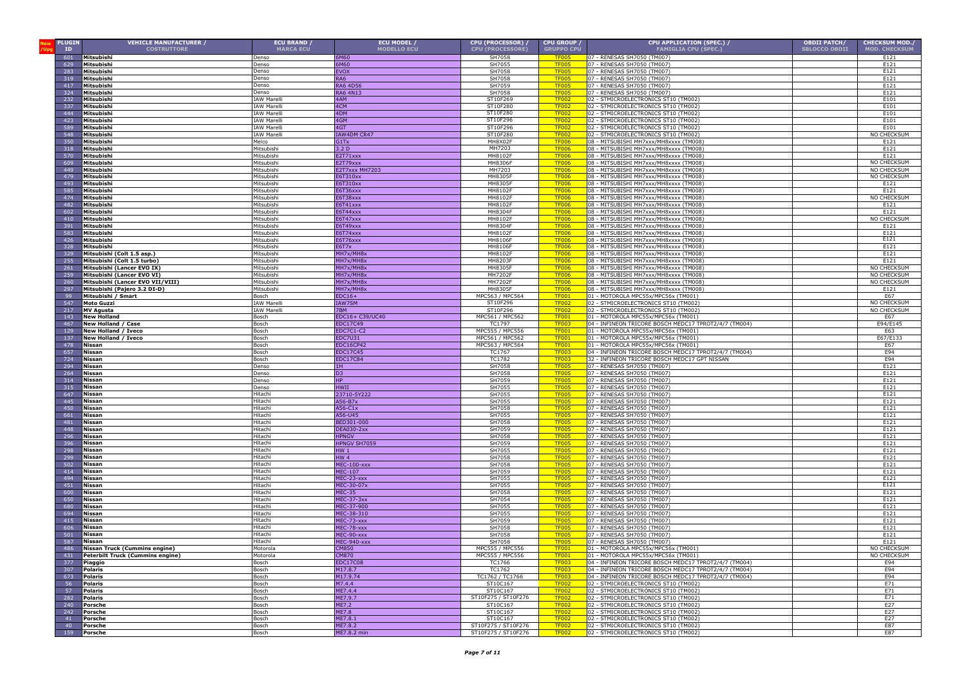| <b>PLUGIN</b><br>ID | <b>VEHICLE MANUFACTURER /</b><br><b>COSTRUTTORE</b>       | <b>ECU BRAND /</b><br><b>MARCA ECU</b> | ECU MODEL /<br><b>MODELLO ECU</b> | CPU (PROCESSOR) /<br><b>CPU (PROCESSORE)</b> | CPU GROUP /<br><b>GRUPPO CPU</b> | CPU APPLICATION (SPEC.) /<br><b>FAMIGLIA CPU (SPEC.)</b>                                     | <b>OBDII PATCH/</b><br><b>SBLOCCO OBDII</b> | <b>CHECKSUM MOD./</b><br><b>MOD. CHECKSUM</b> |
|---------------------|-----------------------------------------------------------|----------------------------------------|-----------------------------------|----------------------------------------------|----------------------------------|----------------------------------------------------------------------------------------------|---------------------------------------------|-----------------------------------------------|
| 601                 | Mitsubishi                                                | Denso                                  | 6M60                              | SH7058                                       | <b>TF005</b>                     | 07 - RENESAS SH7050 (TM007)                                                                  |                                             | E121                                          |
| 629                 | Mitsubishi                                                | Denso                                  | 6M60                              | SH7055                                       | <b>TF005</b>                     | 07 - RENESAS SH7050 (TM007)                                                                  |                                             | E121                                          |
| 283                 | Mitsubishi                                                | Denso                                  | <b>EVOX</b>                       | SH7058                                       | <b>TF005</b>                     | 07 - RENESAS SH7050 (TM007)                                                                  |                                             | E121                                          |
| 319                 | Mitsubishi                                                | Denso                                  | RA6                               | SH7058                                       | <b>TF005</b>                     | 07 - RENESAS SH7050 (TM007)                                                                  |                                             | E121                                          |
| 417                 | Mitsubishi                                                | Denso                                  | RA6 4D56                          | SH7059                                       | <b>TF005</b>                     | 07 - RENESAS SH7050 (TM007)                                                                  |                                             | E121                                          |
| 324<br>232          | Mitsubishi<br>Mitsubishi                                  | Denso<br><b>IAW Marell</b>             | RA6 4N13<br>4AM                   | SH7058<br>ST10F269                           | <b>TF005</b><br><b>TF002</b>     | 07 - RENESAS SH7050 (TM007)<br>02 - STMICROELECTRONICS ST10 (TM002)                          |                                             | E121<br>E101                                  |
| 337                 | Mitsubishi                                                | <b>IAW Marell</b>                      | 4CM                               | ST10F280                                     | <b>TF002</b>                     | 02 - STMICROELECTRONICS ST10 (TM002)                                                         |                                             | E101                                          |
| 444                 | Mitsubishi                                                | <b>IAW Marell</b>                      | 4DM                               | ST10F280                                     | <b>TF002</b>                     | 02 - STMICROELECTRONICS ST10 (TM002)                                                         |                                             | E101                                          |
| 423                 | Mitsubishi                                                | IAW Marelli                            | 4GM                               | ST10F296                                     | <b>TF002</b>                     | 02 - STMICROELECTRONICS ST10 (TM002)                                                         |                                             | E101                                          |
| 589                 | Mitsubishi                                                | <b>IAW Marelli</b>                     | 4GT                               | ST10F296                                     | <b>TF002</b>                     | 02 - STMICROELECTRONICS ST10 (TM002)                                                         |                                             | E101                                          |
| 548                 | Mitsubishi                                                | <b>IAW Marelli</b>                     | IAW4DM CR47                       | ST10F280                                     | <b>TF002</b>                     | 02 - STMICROELECTRONICS ST10 (TM002)                                                         |                                             | NO CHECKSUM                                   |
| 350                 | Mitsubishi                                                | Melco                                  | G1Tx                              | MH8X02F                                      | <b>TF006</b>                     | 08 - MITSUBISHI MH7xxx/MH8xxxx (TM008)                                                       |                                             | E121                                          |
| 318<br>570          | Mitsubishi                                                | Mitsubishi                             | 3.2 <sub>D</sub>                  | MH7203<br>MH8102F                            | TF006<br><b>TF006</b>            | 08 - MITSUBISHI MH7xxx/MH8xxxx (TM008)                                                       |                                             | E121                                          |
| 609                 | Mitsubishi<br>Mitsubishi                                  | Mitsubishi<br>Mitsubishi               | E2T71xxx<br>E2T79xxx              | MH8306F                                      | <b>TF006</b>                     | 08 - MITSUBISHI MH7xxx/MH8xxxx (TM008)<br>08 - MITSUBISHI MH7xxx/MH8xxxx (TM008)             |                                             | E121<br>NO CHECKSUM                           |
| 449                 | Mitsubishi                                                | Mitsubishi                             | <b>E2T7xxx MH7203</b>             | MH7203                                       | <b>TF006</b>                     | 08 - MITSUBISHI MH7xxx/MH8xxxx (TM008)                                                       |                                             | NO CHECKSUM                                   |
| 479                 | Mitsubishi                                                | Mitsubishi                             | 6T310xx                           | <b>MH8305F</b>                               | <b>TF006</b>                     | 08 - MITSUBISHI MH7xxx/MH8xxxx (TM008)                                                       |                                             | NO CHECKSUM                                   |
| 493                 | Mitsubishi                                                | Mitsubishi                             | 6T310xx                           | MH8305F                                      | <b>TF006</b>                     | 08 - MITSUBISHI MH7xxx/MH8xxxx (TM008)                                                       |                                             | E121                                          |
| 585                 | Mitsubishi                                                | Mitsubishi                             | 6T36xxx                           | MH8102F                                      | <b>TF006</b>                     | 08 - MITSUBISHI MH7xxx/MH8xxxx (TM008)                                                       |                                             | E121                                          |
| 474                 | Mitsubishi                                                | Mitsubishi                             | 6T38xxx                           | MH8102F                                      | <b>TF006</b>                     | 08 - MITSUBISHI MH7xxx/MH8xxxx (TM008)                                                       |                                             | NO CHECKSUM                                   |
| 482<br>602          | Mitsubishi<br>Mitsubishi                                  | Mitsubishi<br>Mitsubishi               | $6T41$ xxx<br>6T44xxx             | MH8102F<br><b>MH8304F</b>                    | <b>TF006</b>                     | 08 - MITSUBISHI MH7xxx/MH8xxxx (TM008)<br>08 - MITSUBISHI MH7xxx/MH8xxxx (TM008)             |                                             | E121<br>E121                                  |
| 410                 | Mitsubishi                                                | Mitsubishi                             | 6T47xxx                           | MH8102F                                      | <b>TF006</b><br><b>TF006</b>     | 08 - MITSUBISHI MH7xxx/MH8xxxx (TM008)                                                       |                                             | NO CHECKSUM                                   |
| 391                 | Mitsubishi                                                | Mitsubishi                             | $5749$ xxx                        | <b>MH8304F</b>                               | <b>TF006</b>                     | 08 - MITSUBISHI MH7xxx/MH8xxxx (TM008)                                                       |                                             | E121                                          |
| 583                 | Mitsubishi                                                | Mitsubishi                             | $5774$ xxx                        | MH8102F                                      | <b>TF006</b>                     | 08 - MITSUBISHI MH7xxx/MH8xxxx (TM008)                                                       |                                             | E121                                          |
| 426                 | Mitsubishi                                                | Mitsubishi                             | E6T76xxx                          | MH8106F                                      | <b>TF006</b>                     | 08 - MITSUBISHI MH7xxx/MH8xxxx (TM008)                                                       |                                             | E121                                          |
| 328                 | Mitsubishi                                                | Mitsubishi                             | E6T7x                             | <b>MH8106F</b>                               | <b>TF006</b>                     | 08 - MITSUBISHI MH7xxx/MH8xxxx (TM008)                                                       |                                             | E121                                          |
| 329<br>255          | Mitsubishi (Colt 1.5 asp.)                                | Mitsubishi                             | MH7x/MH8x<br>MH7x/MH8x            | MH8102F<br>MH8203F                           | <b>TF006</b><br><b>TF006</b>     | 08 - MITSUBISHI MH7xxx/MH8xxxx (TM008)<br>08 - MITSUBISHI MH7xxx/MH8xxxx (TM008)             |                                             | E121<br>E121                                  |
| 261                 | Mitsubishi (Colt 1.5 turbo)<br>Mitsubishi (Lancer EVO IX) | Mitsubishi<br>Mitsubishi               | MH7x/MH8x                         | MH8305F                                      | <b>TF006</b>                     | 08 - MITSUBISHI MH7xxx/MH8xxxx (TM008)                                                       |                                             | NO CHECKSUM                                   |
| 259                 | Mitsubishi (Lancer EVO VI)                                | Mitsubishi                             | MH7x/MH8x                         | MH7202F                                      | <b>TF006</b>                     | 08 - MITSUBISHI MH7xxx/MH8xxxx (TM008)                                                       |                                             | NO CHECKSUM                                   |
| 260                 | Mitsubishi (Lancer EVO VII/VIII)                          | Mitsubishi                             | MH7x/MH8x                         | MH7202F                                      | <b>TF006</b>                     | 08 - MITSUBISHI MH7xxx/MH8xxxx (TM008)                                                       |                                             | NO CHECKSUM                                   |
| 297                 | Mitsubishi (Paiero 3.2 DI-D)                              | Mitsubishi                             | MH7x/MH8x                         | MH8305F                                      | <b>TF006</b>                     | 08 - MITSUBISHI MH7xxx/MH8xxxx (TM008                                                        |                                             | E121                                          |
| 99                  | Mitsubishi / Smart                                        | Bosch                                  | $EDC16+$                          | MPC563 / MPC564                              | <b>TF001</b>                     | 01 - MOTOROLA MPC55x/MPC56x (TM001)                                                          |                                             | E67                                           |
| 547                 | <b>Moto Guzzi</b>                                         | <b>IAW Marelli</b>                     | <b>IAW7SM</b>                     | ST10F296                                     | <b>TF002</b>                     | 02 - STMICROELECTRONICS ST10 (TM002                                                          |                                             | NO CHECKSUM                                   |
| 217<br>143          | <b>MV Agusta</b><br><b>New Holland</b>                    | <b>IAW Marelli</b>                     | 7BM<br>EDC16+ C39/UC40            | ST10F296<br>MPC561 / MPC562                  | <b>TF002</b><br><b>TF001</b>     | 02 - STMICROELECTRONICS ST10 (TM002)<br>01 - MOTOROLA MPC55x/MPC56x (TM001)                  |                                             | NO CHECKSUM<br>E67                            |
| 467                 | New Holland / Case                                        | Bosch<br>Bosch                         | EDC17C49                          | TC1797                                       | <b>TF003</b>                     | 04 - INFINEON TRICORE BOSCH MEDC17 TPROT2/4/7 (TM004)                                        |                                             | E94/E145                                      |
| 129                 | New Holland / Iveco                                       | Bosch                                  | EDC7C1-C2                         | MPC555 / MPC556                              | <b>TF00</b>                      | 01 - MOTOROLA MPC55x/MPC56x (TM001)                                                          |                                             | E63                                           |
| 137                 | New Holland / Iveco                                       | Bosch                                  | EDC7U31                           | MPC561 / MPC562                              | <b>TF00</b>                      | 01 - MOTOROLA MPC55x/MPC56x (TM001)                                                          |                                             | E67/E133                                      |
| 478                 | Nissan                                                    | Bosch                                  | DC16CP42                          | MPC563 / MPC564                              | <b>TF001</b>                     | 01 - MOTOROLA MPC55x/MPC56x (TM001)                                                          |                                             | E67                                           |
| 657                 | Nissan                                                    | Bosch                                  | DC17C45                           | TC1767                                       | <b>TF00</b>                      | 04 - INFINEON TRICORE BOSCH MEDC17 TPROT2/4/7 (TM004)                                        |                                             | E94                                           |
| 724                 | Nissan                                                    | Bosch                                  | DC17C84                           | TC1782                                       | <b>TF003</b>                     | 32 - INFINEON TRICORE BOSCH MEDC17 GPT NISSAN<br>07 - RENESAS SH7050 (TM007)                 |                                             | E94<br>E121                                   |
| 294<br>264          | Nissan<br>Nissan                                          | Denso<br>Denso                         | 1H<br>D3                          | SH7058<br>SH7058                             | <b>TF005</b><br><b>TF005</b>     | 07 - RENESAS SH7050 (TM007)                                                                  |                                             | E121                                          |
| 314                 | Nissan                                                    | Denso                                  | HP                                | SH7059                                       | <b>TF005</b>                     | 07 - RENESAS SH7050 (TM007)                                                                  |                                             | E121                                          |
| 315                 | Nissan                                                    | Denso                                  | HWII                              | SH7055                                       | <b>TF005</b>                     | 07 - RENESAS SH7050 (TM007)                                                                  |                                             | E121                                          |
| 647                 | Nissan                                                    | Hitachi                                | 23710-5Y222                       | SH7055                                       | TF00.                            | 07 - RENESAS SH7050 (TM007)                                                                  |                                             | E121                                          |
| 445                 | Nissan                                                    | Hitachi                                | A56-B7x                           | SH7055                                       | <b>TF005</b>                     | 07 - RENESAS SH7050 (TM007)                                                                  |                                             | E121                                          |
| 450<br>661          | Nissan<br>Nissan                                          | Hitachi<br>Hitachi                     | A56-C1x                           | SH7058<br>SH7055                             | <b>TF005</b>                     | 07 - RENESAS SH7050 (TM007)<br>07 - RENESAS SH7050 (TM007)                                   |                                             | E121                                          |
| 481                 | Nissan                                                    | Hitachi                                | A56-U45<br>BED301-000             | SH7058                                       | <b>TF005</b><br><b>TF005</b>     | 07 - RENESAS SH7050 (TM007)                                                                  |                                             | E121<br>E121                                  |
| 448                 | Nissan                                                    | Hitachi                                | DEA030-2xx                        | SH7059                                       | <b>TF005</b>                     | 07 - RENESAS SH7050 (TM007)                                                                  |                                             | E121                                          |
| 296                 | Nissan                                                    | Hitachi                                | <b>HPNGV</b>                      | SH7058                                       | <b>TF005</b>                     | 07 - RENESAS SH7050 (TM007)                                                                  |                                             | E121                                          |
| 396                 | Nissan                                                    | Hitachi                                | <b>IPNGV SH7059</b>               | SH7059                                       | <b>TF005</b>                     | 07 - RENESAS SH7050 (TM007)                                                                  |                                             | E121                                          |
| 298                 | Nissan                                                    | Hitachi                                | HW 1                              | SH7055                                       | <b>TF005</b>                     | 07 - RENESAS SH7050 (TM007)                                                                  |                                             | E121                                          |
| 299<br>502          | Nissan<br>Nissan                                          | Hitachi<br>Hitachi                     | HW 4<br>MEC-100-xxx               | SH7058<br>SH7058                             | <b>TF005</b><br><b>TF005</b>     | 07 - RENESAS SH7050 (TM007<br>07 - RENESAS SH7050 (TM007)                                    |                                             | E121<br>E121                                  |
| 414                 | Nissan                                                    | Hitachi                                | MEC-107                           | SH7059                                       | <b>TF005</b>                     | 07 - RENESAS SH7050 (TM007)                                                                  |                                             | E121                                          |
| 494                 | <b>Nissan</b>                                             | Hitachi                                | MEC-23-xxx                        | SH7055                                       | TF <sub>00</sub>                 | 07 - RENESAS SH7050 (TM007)                                                                  |                                             | E121                                          |
| 451                 | Nissan                                                    | Hitachi                                | MEC-30-07x                        | SH7055                                       | <b>TF005</b>                     | 07 - RENESAS SH7050 (TM007)                                                                  |                                             | E121                                          |
| 600                 | Nissan                                                    | Hitachi                                | <b>MEC-35</b>                     | SH7058                                       | <b>TF005</b>                     | 07 - RENESAS SH7050 (TM007)                                                                  |                                             | E121                                          |
| 650                 | Nissan                                                    | Hitachi                                | MEC-37-3xx                        | SH7054                                       | <b>TF005</b><br><b>TF00</b>      | 07 - RENESAS SH7050 (TM007)                                                                  |                                             | E121                                          |
| 694                 | Nissan<br>Nissan                                          | Hitachi<br>Hitachi                     | MEC-37-900<br>MEC-38-310          | SH7055<br>SH7055                             | <b>TF005</b>                     | 07 - RENESAS SH7050 (TM007)<br>07 - RENESAS SH7050 (TM007)                                   |                                             | E121<br>E121                                  |
| 41!                 | Nissan                                                    | Hitachi                                | MEC-73-xxx                        | SH7059                                       | <b>TF005</b>                     | 07 - RENESAS SH7050 (TM007)                                                                  |                                             | E121                                          |
| 606                 | Nissan                                                    | Hitachi                                | MEC-78-xxx                        | SH7058                                       | <b>TF00</b>                      | 07 - RENESAS SH7050 (TM007)                                                                  |                                             | E121                                          |
| 501                 | Nissan                                                    | Hitachi                                | MEC-90-xxx                        | SH7058                                       | <b>TF005</b>                     | 07 - RENESAS SH7050 (TM007)                                                                  |                                             | E121                                          |
| 587                 | Nissan                                                    | Hitachi                                | MEC-940-xxx                       | SH7058                                       | <b>TF005</b>                     | 07 - RENESAS SH7050 (TM007)                                                                  |                                             | E121                                          |
| 486                 | Nissan Truck (Cummins engine)                             | <b>Aotorola</b><br>Motorola            | CM850                             | MPC555 / MPC556                              | <u>TF001</u>                     | 01 - MOTOROLA MPC55x/MPC56x (TM001)                                                          |                                             | NO CHECKSUM<br>NO CHECKSUM                    |
| 431<br>377          | Peterbilt Truck (Cummins engine)<br>Piaggio               | Bosch                                  | CM870<br><b>EDC17C08</b>          | MPC555 / MPC556<br>TC1766                    | <b>TF001</b><br><b>TF003</b>     | 01 - MOTOROLA MPC55x/MPC56x (TM001)<br>04 - INFINEON TRICORE BOSCH MEDC17 TPROT2/4/7 (TM004) |                                             | E94                                           |
| 307                 | <b>Polaris</b>                                            | Bosch                                  | M17.8.7                           | <b>TC1762</b>                                | <b>TF003</b>                     | 04 - INFINEON TRICORE BOSCH MEDC17 TPROT2/4/7 (TM004)                                        |                                             | E94                                           |
| 673                 | <b>Polaris</b>                                            | Bosch                                  | M17.9.74                          | TC1762 / TC1766                              | <b>TF003</b>                     | 04 - INFINEON TRICORE BOSCH MEDC17 TPROT2/4/7 (TM004)                                        |                                             | E94                                           |
| 56                  | Polaris                                                   | Bosch                                  | M7.4.4                            | ST10C167                                     | <b>TF002</b>                     | 02 - STMICROELECTRONICS ST10 (TM002)                                                         |                                             | E71                                           |
| 57                  | <b>Polaris</b>                                            | Bosch                                  | ME7.4.4                           | ST10C167                                     | <b>TF002</b>                     | 02 - STMICROELECTRONICS ST10 (TM002)                                                         |                                             | E71                                           |
| 282                 | Polaris                                                   | Bosch                                  | ME7.9.7                           | ST10F275 / ST10F276                          | <b>TF002</b>                     | 02 - STMICROELECTRONICS ST10 (TM002)                                                         |                                             | E71                                           |
| 240<br>242          | <b>Porsche</b><br>Porsche                                 | Bosch<br>Bosch                         | <b>ME7.2</b><br><b>ME7.8</b>      | ST10C167<br>ST10C167                         | <b>TF002</b><br><b>TF002</b>     | 02 - STMICROELECTRONICS ST10 (TM002)<br>02 - STMICROELECTRONICS ST10 (TM002)                 |                                             | E27<br>E27                                    |
| 41                  | <b>Porsche</b>                                            | Bosch                                  | ME7.8.1                           | ST10C167                                     | <b>TF002</b>                     | 02 - STMICROELECTRONICS ST10 (TM002)                                                         |                                             | E27                                           |
| 40                  | <b>Porsche</b>                                            | Bosch                                  | ME7.8.2                           | ST10F275 / ST10F276                          | <b>TF002</b>                     | 02 - STMICROELECTRONICS ST10 (TM002)                                                         |                                             | F87                                           |
| 159                 | Porsche                                                   | Bosch                                  | ME7.8.2 min                       | ST10F275 / ST10F276                          | <b>TF002</b>                     | 02 - STMICROELECTRONICS ST10 (TM002)                                                         |                                             | E87                                           |
|                     |                                                           |                                        |                                   |                                              |                                  |                                                                                              |                                             |                                               |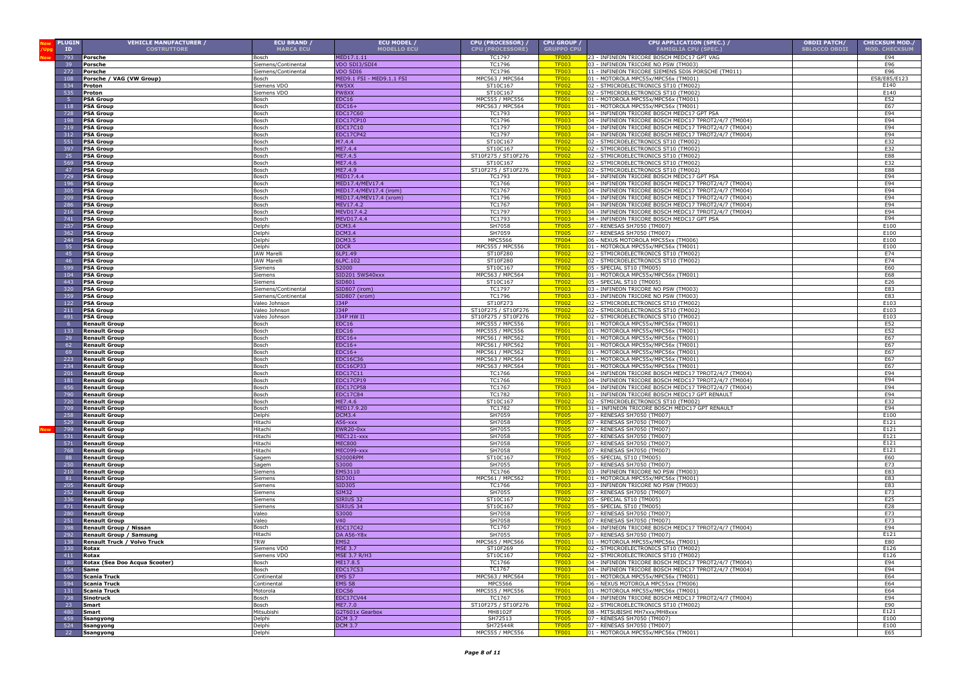| <b>PLUGIN</b><br>ID | <b>VEHICLE MANUFACTURER /</b><br><b>COSTRUTTORE</b> | ECU BRAND /<br><b>MARCA ECU</b> | ECU MODEL /<br><b>MODELLO ECU</b>         | CPU (PROCESSOR) /<br><b>CPU (PROCESSORE)</b> | CPU GROUP /<br><b>GRUPPO CPU</b> | CPU APPLICATION (SPEC.) /<br><b>FAMIGLIA CPU (SPEC.)</b>                                                       | <b>OBDII PATCH/</b><br><b>SBLOCCO OBDII</b> | <b>CHECKSUM MOD./</b><br><b>MOD. CHECKSUM</b> |
|---------------------|-----------------------------------------------------|---------------------------------|-------------------------------------------|----------------------------------------------|----------------------------------|----------------------------------------------------------------------------------------------------------------|---------------------------------------------|-----------------------------------------------|
| 793                 | Porsche                                             | Bosch                           | MED17.1.11                                | <b>TC1797</b>                                | <b>TF003</b>                     | 23 - INFINEON TRICORE BOSCH MEDC17 GPT VAG                                                                     |                                             | E94                                           |
| 39                  | Porsche                                             | Siemens/Continental             | VDO SDI3/SDI4                             | TC1796                                       | <b>TF003</b>                     | 03 - INFINEON TRICORE NO PSW (TM003)                                                                           |                                             | E96                                           |
| 272                 | Porsche                                             | Siemens/Continental             | VDO SDI6                                  | TC1796                                       | <b>TF003</b>                     | 11 - INFINEON TRICORE SIEMENS SDI6 PORSCHE (TM011)                                                             |                                             | E96                                           |
| 108                 | Porsche / VAG (VW Group)                            | Bosch                           | MED9.1 FSI - MED9.1.1 FSI                 | MPC563 / MPC564                              | <b>TF001</b>                     | 01 - MOTOROLA MPC55x/MPC56x (TM001)                                                                            |                                             | E58/E85/E123                                  |
| 534                 | Proton                                              | Siemens VDO                     | PW5XX                                     | ST10C167                                     | <b>TF002</b>                     | 02 - STMICROELECTRONICS ST10 (TM002)                                                                           |                                             | E140                                          |
| 535<br>-5           | Proton                                              | Siemens VDO                     | PW8XX                                     | ST10C167<br>MPC555 / MPC556                  | <b>TF002</b><br><b>TF001</b>     | 02 - STMICROELECTRONICS ST10 (TM002)<br>01 - MOTOROLA MPC55x/MPC56x (TM001)                                    |                                             | E140                                          |
| 118                 | <b>PSA Group</b><br><b>PSA Group</b>                | Bosch<br>Bosch                  | <b>EDC16</b><br>$EDC16+$                  | MPC563 / MPC564                              | <b>TF001</b>                     | 01 - MOTOROLA MPC55x/MPC56x (TM001)                                                                            |                                             | E52<br>E67                                    |
| 728                 | <b>PSA Group</b>                                    | Bosch                           | EDC17C60                                  | TC1793                                       | <b>TF003</b>                     | 34 - INFINEON TRICORE BOSCH MEDC17 GPT PSA                                                                     |                                             | E94                                           |
| 198                 | <b>PSA Group</b>                                    | <b>Sosch</b>                    | EDC17CP10                                 | TC1796                                       | <b>TF003</b>                     | 04 - INFINEON TRICORE BOSCH MEDC17 TPROT2/4/7 (TM004)                                                          |                                             | E94                                           |
| 219                 | <b>PSA Group</b>                                    | Bosch                           | EDC17C10                                  | TC1797                                       | <b>TF003</b>                     | 04 - INFINEON TRICORE BOSCH MEDC17 TPROT2/4/7 (TM004)                                                          |                                             | E94                                           |
| 312<br>551          | <b>PSA Group</b>                                    | Bosch<br>Bosch                  | EDC17CP42<br>M7.4.4                       | TC1797<br>ST10C167                           | <b>TF003</b><br><b>TF002</b>     | 04 - INFINEON TRICORE BOSCH MEDC17 TPROT2/4/7 (TM004)<br>02 - STMICROELECTRONICS ST10 (TM002)                  |                                             | E94<br>E32                                    |
| 397                 | <b>PSA Group</b><br><b>PSA Group</b>                | Bosch                           | ME7.4.4                                   | ST10C167                                     | <b>TF002</b>                     | 02 - STMICROELECTRONICS ST10 (TM002)                                                                           |                                             | E32                                           |
| 25                  | <b>PSA Group</b>                                    | Bosch                           | ME7.4.5                                   | ST10F275 / ST10F276                          | <b>TF002</b>                     | 02 - STMICROELECTRONICS ST10 (TM002)                                                                           |                                             | E88                                           |
| 569                 | <b>PSA Group</b>                                    | Bosch                           | ME7.4.6                                   | ST10C167                                     | <b>TF002</b>                     | 02 - STMICROELECTRONICS ST10 (TM002)                                                                           |                                             | E32                                           |
| 47                  | <b>PSA Group</b>                                    | Bosch                           | ME7.4.9                                   | ST10F275 / ST10F276                          | <b>TF002</b>                     | 02 - STMICROELECTRONICS ST10 (TM002)                                                                           |                                             | E88                                           |
| 729                 | <b>PSA Group</b>                                    | Bosch                           | MED17.4.4                                 | TC1793                                       | <b>TF003</b>                     | 34 - INFINEON TRICORE BOSCH MEDC17 GPT PSA                                                                     |                                             | E94<br>E94                                    |
| 196<br>305          | <b>PSA Group</b><br><b>PSA Group</b>                | Bosch<br>osch                   | MED17.4/MEV17.4<br>4ED17.4/MEV17.4 (irom) | TC1766<br>TC1767                             | <b>TF00</b><br><b>TF003</b>      | 04 - INFINEON TRICORE BOSCH MEDC17 TPROT2/4/7 (TM004)<br>04 - INFINEON TRICORE BOSCH MEDC17 TPROT2/4/7 (TM004) |                                             | E94                                           |
| 209                 | <b>PSA Group</b>                                    | Bosch                           | MED17.4/MEV17.4 (xrom)                    | TC1796                                       | <b>TF003</b>                     | 04 - INFINEON TRICORE BOSCH MEDC17 TPROT2/4/7 (TM004)                                                          |                                             | E94                                           |
| 286                 | <b>PSA Group</b>                                    | Bosch                           | MEV17.4.2                                 | <b>TC1767</b>                                | TF003                            | 04 - INFINEON TRICORE BOSCH MEDC17 TPROT2/4/7 (TM004)                                                          |                                             | E94                                           |
| 216                 | <b>PSA Group</b>                                    | Bosch                           | MEVD17.4.2                                | TC1797                                       | <b>TF003</b>                     | 04 - INFINEON TRICORE BOSCH MEDC17 TPROT2/4/7 (TM004)                                                          |                                             | E94                                           |
| 741                 | <b>PSA Group</b>                                    | Bosch                           | MEVD17.4.4<br><b>DCM3.4</b>               | TC1793<br>SH7058                             | <b>TF003</b>                     | 34 - INFINEON TRICORE BOSCH MEDC17 GPT PSA                                                                     |                                             | E94<br>E100                                   |
| 257<br>362          | <b>PSA Group</b><br><b>PSA Group</b>                | Delphi<br>Delphi                | <b>DCM3.4</b>                             | SH7059                                       | <b>TF005</b><br><b>TF005</b>     | 07 - RENESAS SH7050 (TM007)<br>07 - RENESAS SH7050 (TM007)                                                     |                                             | E100                                          |
| 244                 | <b>PSA Group</b>                                    | Delphi                          | <b>DCM3.5</b>                             | <b>MPC5566</b>                               | <b>TF004</b>                     | 06 - NEXUS MOTOROLA MPC55xx (TM006)                                                                            |                                             | E100                                          |
| 55                  | <b>PSA Group</b>                                    | Delphi                          | <b>DDCR</b>                               | MPC555 / MPC556                              | <b>TF001</b>                     | 01 - MOTOROLA MPC55x/MPC56x (TM001)                                                                            |                                             | E100                                          |
| 45                  | <b>PSA Group</b>                                    | <b>IAW Marelli</b>              | 6LP1.49                                   | ST10F280                                     | <b>TF002</b>                     | 02 - STMICROELECTRONICS ST10 (TM002)                                                                           |                                             | E74                                           |
| 46                  | <b>PSA Group</b>                                    | <b>IAW Marelli</b>              | 6LPC.102                                  | ST10F280                                     | <b>TF002</b>                     | 02 - STMICROELECTRONICS ST10 (TM002)                                                                           |                                             | E74                                           |
| 599<br>104          | <b>PSA Group</b><br><b>PSA Group</b>                | Siemens<br>Siemens              | S2000<br>SID201 5WS40xxx                  | ST10C167<br>MPC563 / MPC564                  | <b>TF002</b><br><b>TF001</b>     | 05 - SPECIAL ST10 (TM005)<br>01 - MOTOROLA MPC55x/MPC56x (TM001)                                               |                                             | E60<br>E68                                    |
| 443                 | <b>PSA Group</b>                                    | Siemens                         | SID801                                    | ST10C167                                     | <b>TF002</b>                     | 05 - SPECIAL ST10 (TM005)                                                                                      |                                             | E26                                           |
| 320                 | <b>PSA Group</b>                                    | Siemens/Continental             | SID807 (irom)                             | TC1797                                       | <b>TF003</b>                     | 03 - INFINEON TRICORE NO PSW (TM003)                                                                           |                                             | E83                                           |
| 359                 | <b>PSA Group</b>                                    | iemens/Continental              | SID807 (xrom)                             | TC1796                                       | <b>TF003</b>                     | 03 - INFINEON TRICORE NO PSW (TM003)                                                                           |                                             | E83                                           |
| 122                 | <b>PSA Group</b>                                    | Valeo Johnson                   | <b>J34P</b>                               | ST10F273                                     | <b>TF002</b>                     | 02 - STMICROELECTRONICS ST10 (TM002)                                                                           |                                             | E103                                          |
| 211<br>491          | <b>PSA Group</b><br><b>PSA Group</b>                | Valeo Johnson<br>Valeo Johnson  | <b>J34P</b><br><b>J34P HW II</b>          | ST10F275 / ST10F276<br>ST10F275 / ST10F276   | <b>TF002</b><br><b>TE002</b>     | 02 - STMICROELECTRONICS ST10 (TM002)<br>02 - STMICROELECTRONICS ST10 (TM002)                                   |                                             | E103<br>E103                                  |
| 6                   | <b>Renault Group</b>                                | Bosch                           | EDC16                                     | MPC555 / MPC556                              | <b>TF001</b>                     | 01 - MOTOROLA MPC55x/MPC56x (TM001)                                                                            |                                             | E52                                           |
| 133                 | <b>Renault Group</b>                                | Bosch                           | EDC16                                     | MPC555 / MPC556                              | <b>TF001</b>                     | 01 - MOTOROLA MPC55x/MPC56x (TM001)                                                                            |                                             | E52                                           |
| 29                  | <b>Renault Group</b>                                | Bosch                           | $EDC16+$                                  | MPC561 / MPC562                              | <b>TF00</b>                      | 01 - MOTOROLA MPC55x/MPC56x (TM001)                                                                            |                                             | E67                                           |
| 62                  | <b>Renault Group</b>                                | Bosch                           | $EDC16+$                                  | MPC561 / MPC562                              | <b>TF001</b>                     | 01 - MOTOROLA MPC55x/MPC56x (TM001)                                                                            |                                             | E67                                           |
| 69<br>223           | <b>Renault Group</b><br><b>Renault Group</b>        | osch<br>osch                    | $EDC16+$<br>EDC16C36                      | MPC561 / MPC562<br>MPC563 / MPC564           | <b>TF001</b><br><b>TF001</b>     | 01 - MOTOROLA MPC55x/MPC56x (TM001)<br>01 - MOTOROLA MPC55x/MPC56x (TM001)                                     |                                             | E67<br>E67                                    |
| 234                 | <b>Renault Group</b>                                | Bosch                           | <b>EDC16CP33</b>                          | MPC563 / MPC564                              | <b>TF001</b>                     | 01 - MOTOROLA MPC55x/MPC56x (TM001)                                                                            |                                             | E67                                           |
| 201                 | <b>Renault Group</b>                                | Bosch                           | EDC17C11                                  | TC1766                                       | <b>TF003</b>                     | 04 - INFINEON TRICORE BOSCH MEDC17 TPROT2/4/7 (TM004)                                                          |                                             | E94                                           |
| 181                 | <b>Renault Group</b>                                | Bosch                           | EDC17CP19                                 | TC1766                                       | TF003                            | 04 - INFINEON TRICORE BOSCH MEDC17 TPROT2/4/7 (TM004)                                                          |                                             | E94                                           |
| 456                 | <b>Renault Group</b><br><b>Renault Group</b>        | Bosch                           | <b>EDC17CP58</b><br><b>EDC17C84</b>       | TC1767<br><b>TC1782</b>                      | <b>TF003</b>                     | 04 - INFINEON TRICORE BOSCH MEDC17 TPROT2/4/7 (TM004)<br>31 - INFINEON TRICORE BOSCH MEDC17 GPT RENAULT        |                                             | E94<br>E94                                    |
| 790<br>720          | <b>Renault Group</b>                                | Bosch<br>Bosch                  | ME7.4.6                                   | ST10C167                                     | <b>TF003</b><br><b>TF002</b>     | 02 - STMICROELECTRONICS ST10 (TM002)                                                                           |                                             | E32                                           |
| 709                 | <b>Renault Group</b>                                | Bosch                           | MED17.9.20                                | TC1782                                       | <b>TF003</b>                     | 31 - INFINEON TRICORE BOSCH MEDC17 GPT RENAULT                                                                 |                                             | E94                                           |
| 258                 | <b>Renault Group</b>                                | Delphi                          | <b>DCM3.4</b>                             | SH7059                                       | TF005                            | 07 - RENESAS SH7050 (TM007)                                                                                    |                                             | E100                                          |
| 529                 | <b>Renault Group</b>                                | Hitachi                         | A56-xxx                                   | SH7058                                       | <b>TF005</b>                     | 07 - RENESAS SH7050 (TM007)                                                                                    |                                             | E121                                          |
| 799<br>531          | <b>Renault Group</b><br><b>Renault Group</b>        | Hitachi<br>litachi              | EWR20-0xx<br>MEC121-xxx                   | SH7055<br>SH7058                             | <b>TF005</b><br><b>TF005</b>     | 07 - RENESAS SH7050 (TM007)<br>07 - RENESAS SH7050 (TM007)                                                     |                                             | E121<br>E121                                  |
| 571                 | <b>Renault Group</b>                                | litachi                         | <b>MEC800</b>                             | SH7058                                       | <b>TF005</b>                     | 07 - RENESAS SH7050 (TM007)                                                                                    |                                             | E121                                          |
| 768                 | <b>Renault Group</b>                                | litachi                         | MEC099-xxx                                | SH7058                                       | <b>TF005</b>                     | 07 - RENESAS SH7050 (TM007)                                                                                    |                                             | E121                                          |
| 88                  | <b>Renault Group</b>                                | Sagem                           | <b>S2000RPM</b>                           | ST10C167                                     | <b>TF002</b>                     | 05 - SPECIAL ST10 (TM005)                                                                                      |                                             | E60                                           |
| 250                 | <b>Renault Group</b>                                | Sagem                           | 53000                                     | SH7055                                       | <b>TF005</b>                     | 07 - RENESAS SH7050 (TM007)                                                                                    |                                             | E73                                           |
| 210<br>81           | <b>Renault Group</b>                                | Siemens<br>Siemens              | EMS3110<br>SID301                         | TC1766<br>MPC561 / MPC562                    | <b>TF003</b><br><b>TF001</b>     | 03 - INFINEON TRICORE NO PSW (TM003)<br>01 - MOTOROLA MPC55x/MPC56x (TM001)                                    |                                             | E83<br>E83                                    |
| 205                 | Renault Group<br><b>Renault Group</b>               | Siemens                         | <b>SID305</b>                             | <b>TC1766</b>                                | <b>TF003</b>                     | 03 - INFINEON TRICORE NO PSW (TM003)                                                                           |                                             | E83                                           |
| 252                 | Renault Group                                       | iemens                          | <b>SIM32</b>                              | SH7055                                       | TF <sub>00</sub> s               | 07 - RENESAS SH7050 (TM007)                                                                                    |                                             | E73                                           |
| 336                 | <b>Renault Group</b>                                | Siemens                         | SIRIUS 32                                 | ST10C167                                     | <b>TF002</b>                     | 05 - SPECIAL ST10 (TM005)                                                                                      |                                             | E25                                           |
| 471                 | <b>Renault Group</b>                                | Siemens                         | SIRIUS 34                                 | ST10C167                                     | TF001                            | 05 - SPECIAL ST10 (TM005)                                                                                      |                                             | E28                                           |
| 280<br>251          | <b>Renault Group</b><br>Renault Group               | Valeo<br>aleo                   | S3000<br><b>V40</b>                       | SH7058<br>SH7058                             | TF00'<br><b>TF00!</b>            | 07 - RENESAS SH7050 (TM007)<br>07 - RENESAS SH7050 (TM007)                                                     |                                             | E73<br>E73                                    |
|                     | <b>Renault Group / Nissan</b>                       | osch                            | <b>EDC17C42</b>                           | TC1767                                       | <b>TF003</b>                     | 04 - INFINEON TRICORE BOSCH MEDC17 TPROT2/4/7 (TM004)                                                          |                                             | E94                                           |
| 292                 | Renault Group / Samsung                             | litachi                         | DA A56-Y8x                                | SH7055                                       | <b>TF005</b>                     | 07 - RENESAS SH7050 (TM007)                                                                                    |                                             | E121                                          |
| 138                 | Renault Truck / Volvo Truck                         | <b>FRW</b>                      | EMS <sub>2</sub>                          | MPC565 / MPC566                              | <b>TF001</b>                     | 01 - MOTOROLA MPC55x/MPC56x (TM001)                                                                            |                                             | E80                                           |
| 330                 | Rotax                                               | Siemens VDO                     | <b>MSE 3.7</b>                            | ST10F269                                     | <u>TF002</u>                     | 02 - STMICROELECTRONICS ST10 (TM002)                                                                           |                                             | E126                                          |
| 411<br>180          | Rotax<br>Rotax (Sea Doo Acqua Scooter)              | Siemens VDO<br>Bosch            | MSE 3.7 R/H3<br>ME17.8.5                  | ST10C167<br>TC1766                           | <b>TF002</b><br><b>TF003</b>     | 02 - STMICROELECTRONICS ST10 (TM002)<br>04 - INFINEON TRICORE BOSCH MEDC17 TPROT2/4/7 (TM004)                  |                                             | E126<br>E94                                   |
| 654                 | Same                                                | Bosch                           | <b>EDC17C53</b>                           | <b>TC1767</b>                                | <b>TF003</b>                     | 04 - INFINEON TRICORE BOSCH MEDC17 TPROT2/4/7 (TM004)                                                          |                                             | E94                                           |
| 590                 | Scania Truck                                        | Continental                     | EMS S7                                    | MPC563 / MPC564                              | <b>TF001</b>                     | 01 - MOTOROLA MPC55x/MPC56x (TM001)                                                                            |                                             | E64                                           |
| 594                 | Scania Truck                                        | Continental                     | EMS S8                                    | MPC5566                                      | <b>TF004</b>                     | 06 - NEXUS MOTOROLA MPC55xx (TM006)                                                                            |                                             | E64                                           |
| 131                 | Scania Truck                                        | Motorola                        | EDCS6                                     | MPC555 / MPC556                              | <b>TF001</b>                     | 01 - MOTOROLA MPC55x/MPC56x (TM001)                                                                            |                                             | E64                                           |
| 738<br>23           | <b>Sinotruck</b><br>Smart                           | Bosch<br>Bosch                  | EDC17CV44<br>ME7.7.0                      | TC1767<br>ST10F275 / ST10F276                | <b>TF003</b><br><b>TF002</b>     | 04 - INFINEON TRICORE BOSCH MEDC17 TPROT2/4/7 (TM004)<br>02 - STMICROELECTRONICS ST10 (TM002)                  |                                             | E94<br>E90                                    |
| 480                 | Smart                                               | Mitsubish                       | G2T601x Gearbox                           | MH8102F                                      | <b>TF006</b>                     | 08 - MITSUBISHI MH7xxx/MH8xxx                                                                                  |                                             | E121                                          |
| 459                 | Ssangyong                                           | Delphi                          | <b>DCM 3.7</b>                            | SH72513                                      | <b>TF005</b>                     | 07 - RENESAS SH7050 (TM007)                                                                                    |                                             | E100                                          |
| 524                 | Ssangyong                                           | Delphi                          | <b>DCM 3.7</b>                            | SH72544R                                     | <b>TF005</b>                     | 07 - RENESAS SH7050 (TM007)                                                                                    |                                             | E100                                          |
| 22                  | Ssangyong                                           | Delphi                          |                                           | MPC555 / MPC556                              | <b>TF001</b>                     | 01 - MOTOROLA MPC55x/MPC56x (TM001)                                                                            |                                             | E65                                           |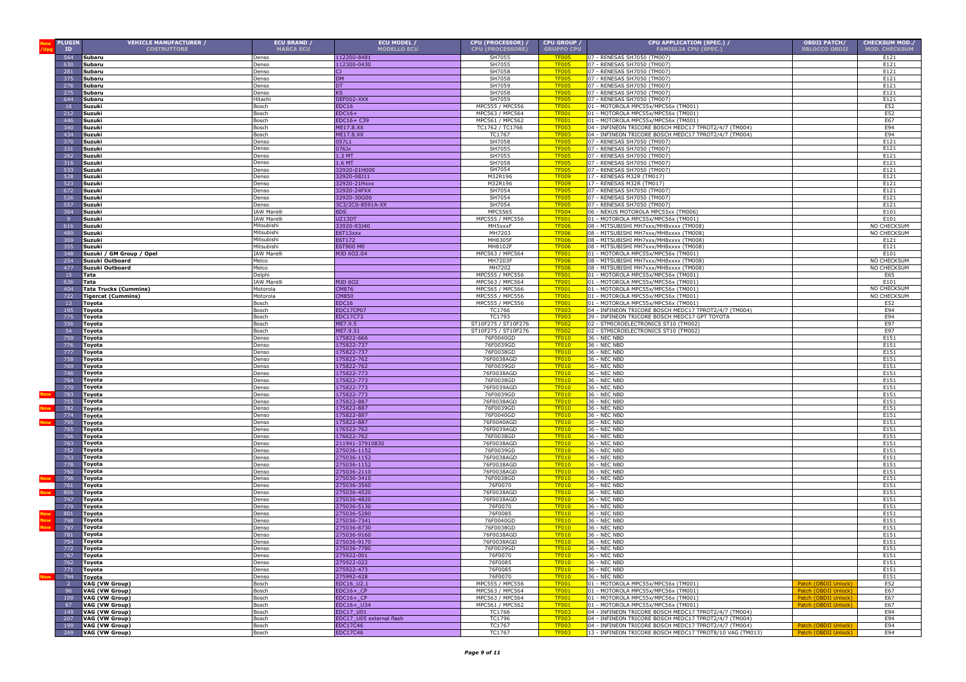| PLUGIN<br>ID   | <b>VEHICLE MANUFACTURER /</b><br><b>COSTRUTTORE</b> | ECU BRAND /<br><b>MARCA ECU</b>  | ECU MODEL /<br><b>MODELLO ECU</b> | CPU (PROCESSOR) /<br><b>CPU (PROCESSORE)</b> | <b>CPU GROUP /</b><br><b>GRUPPO CPU</b> | CPU APPLICATION (SPEC.) /<br><b>FAMIGLIA CPU (SPEC.)</b>                                                       | <b>OBDII PATCH/</b><br><b>SBLOCCO OBDII</b> | <b>CHECKSUM MOD./</b><br><b>MOD. CHECKSUM</b> |
|----------------|-----------------------------------------------------|----------------------------------|-----------------------------------|----------------------------------------------|-----------------------------------------|----------------------------------------------------------------------------------------------------------------|---------------------------------------------|-----------------------------------------------|
| 564            | Subaru                                              | enso                             | 112200-8481                       | SH7055                                       | <b>TF005</b>                            | 07 - RENESAS SH7050 (TM007)                                                                                    |                                             | E121                                          |
| 630            | Subaru                                              | Denso                            | 112300-0430                       | SH7055                                       | <b>TF005</b>                            | 07 - RENESAS SH7050 (TM007)                                                                                    |                                             | E121                                          |
| 281            | Subaru                                              | Denso                            | CJ.                               | SH7058                                       | <b>TF005</b>                            | 07 - RENESAS SH7050 (TM007)                                                                                    |                                             | E121                                          |
| 375            | Subaru                                              | Denso                            | <b>DM</b>                         | SH7058                                       | <b>TF005</b>                            | 07 - RENESAS SH7050 (TM007)                                                                                    |                                             | E121                                          |
| 276<br>275     | Subaru<br>Subaru                                    | Denso                            | DT<br>ΚS                          | SH7059<br>SH7058                             | <b>TF005</b><br><b>TF005</b>            | 07 - RENESAS SH7050 (TM007)<br>07 - RENESAS SH7050 (TM007)                                                     |                                             | E121<br>E121                                  |
| 644            | Subaru                                              | Denso<br>litachi                 | DEF002-XXX                        | SH7059                                       | <b>TF005</b>                            | 07 - RENESAS SH7050 (TM007)                                                                                    |                                             | E121                                          |
| 16             | Suzuki                                              | Bosch                            | EDC16                             | MPC555 / MPC556                              | <b>TF001</b>                            | 01 - MOTOROLA MPC55x/MPC56x (TM001)                                                                            |                                             | E52                                           |
| 212            | Suzuki                                              | Bosch                            | $EDC16+$                          | MPC563 / MPC564                              | <b>TF001</b>                            | 01 - MOTOROLA MPC55x/MPC56x (TM001)                                                                            |                                             | E52                                           |
| 446            | Suzuki                                              | Bosch                            | EDC16+ C39                        | MPC561 / MPC562                              | <b>TF001</b>                            | 01 - MOTOROLA MPC55x/MPC56x (TM001)                                                                            |                                             | E67                                           |
| 340<br>434     | Suzuki<br>Suzuki                                    | Bosch<br>Bosch                   | ME17.8.XX<br>ME17.8.XX            | TC1762 / TC1766<br>TC1767                    | <b>TF003</b><br><b>TF003</b>            | 04 - INFINEON TRICORE BOSCH MEDC17 TPROT2/4/7 (TM004)<br>04 - INFINEON TRICORE BOSCH MEDC17 TPROT2/4/7 (TM004) |                                             | E94<br>E94                                    |
| 37(            | Suzuki                                              | enso                             | 057L1                             | SH7058                                       | <b>TF005</b>                            | 07 - RENESAS SH7050 (TM007)                                                                                    |                                             | E121                                          |
| 331            | Suzuki                                              | enso)                            | 076Jx                             | SH7055                                       | <b>TF005</b>                            | 07 - RENESAS SH7050 (TM007)                                                                                    |                                             | E121                                          |
| 262            | Suzuki                                              | Denso                            | 1.3 MT                            | SH7055                                       | <b>TF005</b>                            | 07 - RENESAS SH7050 (TM007)                                                                                    |                                             | E121                                          |
| 316<br>533     | Suzuki                                              | Denso                            | $1.6$ MT                          | SH7058<br>SH7054                             | TF00 <sup>s</sup><br>TF <sub>00</sub>   | 07 - RENESAS SH7050 (TM007)<br>07 - RENESAS SH7050 (TM007)                                                     |                                             | E121<br>E121                                  |
| 528            | Suzuki<br>Suzuki                                    | <b>Denso</b><br>enso             | 32920-01H000<br>32920-08J11       | M32R196                                      | <b>TF009</b>                            | 17 - RENESAS M32R (TM017)                                                                                      |                                             | E121                                          |
| 523            | Suzuki                                              | enso                             | 32920-21Hxxx                      | M32R196                                      | TF009                                   | 17 - RENESAS M32R (TM017)                                                                                      |                                             | E121                                          |
| 672            | Suzuki                                              | enso                             | 32920-24FXX                       | SH7054                                       | <b>TF005</b>                            | 07 - RENESAS SH7050 (TM007                                                                                     |                                             | E121                                          |
| 526            | Suzuki                                              | enso                             | 32920-30G00                       | SH7054                                       | <b>TF005</b>                            | 07 - RENESAS SH7050 (TM007)                                                                                    |                                             | E121                                          |
| 557<br>364     | Suzuki<br>Suzuki                                    | enso<br><b>IAW Marell</b>        | 3C3/2C0-8591A-XX<br>8DS           | SH7054<br>MPC5565                            | TF005<br><b>TF004</b>                   | 07 - RENESAS SH7050 (TM007)<br>06 - NEXUS MOTOROLA MPC55xx (TM006)                                             |                                             | E121<br>E101                                  |
|                | Suzuki                                              | <b>IAW Marelli</b>               | UZ13DT                            | MPC555 / MPC556                              | <b>TF001</b>                            | 01 - MOTOROLA MPC55x/MPC56x (TM001)                                                                            |                                             | E101                                          |
| 616            | Suzuki                                              | Mitsubishi                       | 33920-93J40                       | MH5xxxF                                      | TF006                                   | 08 - MITSUBISHI MH7xxx/MH8xxxx (TM008                                                                          |                                             | NO CHECKSUM                                   |
| 489            | Suzuki                                              | Mitsubishi                       | E6T13xxx                          | MH7203                                       | <b>TF006</b>                            | 08 - MITSUBISHI MH7xxx/MH8xxxx (TM008                                                                          |                                             | NO CHECKSUM                                   |
| 369<br>355     | Suzuki<br>Suzuki                                    | Mitsubishi<br>Mitsubishi         | E6T172<br>E6T900 M0               | MH8305F<br>MH8102F                           | <b>TF006</b><br><b>TF006</b>            | 08 - MITSUBISHI MH7xxx/MH8xxxx (TM008)<br>08 - MITSUBISHI MH7xxx/MH8xxxx (TM008)                               |                                             | E121<br>E121                                  |
| 348            | Suzuki / GM Group / Opel                            | <b>IAW Marelli</b>               | MJD 602.04                        | MPC563 / MPC564                              | <b>TF001</b>                            | 01 - MOTOROLA MPC55x/MPC56x (TM001)                                                                            |                                             | E101                                          |
| 254            | Suzuki Outboard                                     | Melco                            |                                   | MH7203F                                      | <b>TF006</b>                            | 08 - MITSUBISHI MH7xxx/MH8xxxx (TM008                                                                          |                                             | NO CHECKSUM                                   |
| 477            | Suzuki Outboard                                     | Melco                            |                                   | MH7202                                       | <b>TF006</b>                            | 08 - MITSUBISHI MH7xxx/MH8xxxx (TM008)                                                                         |                                             | NO CHECKSUM                                   |
| 15<br>636      | Tata                                                | <b>Delphi</b><br><b>IAW Mare</b> | <b>MJD 602</b>                    | MPC555 / MPC556<br>MPC563 / MPC564           | <b>TF001</b><br><b>TF001</b>            | 01 - MOTOROLA MPC55x/MPC56x (TM001)<br>01 - MOTOROLA MPC55x/MPC56x (TM001)                                     |                                             | F65<br>E101                                   |
| 404            | Tata<br><b>Tata Trucks (Cummins)</b>                | Motorola                         | CM876                             | MPC565 / MPC566                              | <b>TF001</b>                            | 01 - MOTOROLA MPC55x/MPC56x (TM001)                                                                            |                                             | NO CHECKSUI                                   |
| 722            | <b>Tigercat (Cummins)</b>                           | Motorola                         | CM850                             | MPC555 / MPC556                              | <b>TF001</b>                            | 01 - MOTOROLA MPC55x/MPC56x (TM001)                                                                            |                                             | NO CHECKSUM                                   |
| 13             | <b>Toyota</b>                                       | Bosch                            | EDC16                             | MPC555 / MPC556                              | <b>TF001</b>                            | 01 - MOTOROLA MPC55x/MPC56x (TM001)                                                                            |                                             | E52                                           |
| 195            | Toyota                                              | Bosch                            | EDC17CP07                         | TC1766                                       | <b>TF003</b><br><b>TF003</b>            | 04 - INFINEON TRICORE BOSCH MEDC17 TPROT2/4/7 (TM004)                                                          |                                             | E94                                           |
| 775<br>351     | Toyota<br><b>Toyota</b>                             | Bosch<br>Bosch                   | EDC17C73<br>ME7.9.5               | TC1793<br>ST10F275 / ST10F276                | <b>TF002</b>                            | 39 - INFINEON TRICORE BOSCH MEDC17 GPT TOYOTA<br>02 - STMICROELECTRONICS ST10 (TM002)                          |                                             | E94<br>E97                                    |
| 54             | Toyota                                              | Bosch                            | ME7.9.51                          | ST10F275 / ST10F276                          | <b>TF002</b>                            | 02 - STMICROELECTRONICS ST10 (TM002)                                                                           |                                             | E97                                           |
| 759            | Toyota                                              | enso                             | 175822-666                        | 76F0040GD                                    | <b>TF010</b>                            | 36 - NEC NBD                                                                                                   |                                             | E151                                          |
| 776            | Toyota                                              | enso                             | 175822-737                        | 76F0039GD                                    | <b>TF010</b>                            | 36 - NEC NBD                                                                                                   |                                             | E151                                          |
| 777<br>758     | Toyota<br>Toyota                                    | enso<br>enso                     | 175822-737<br>175822-762          | 76F0038GD<br>76F0038AGD                      | <b>TF010</b><br><b>TF010</b>            | <b>36 - NEC NBD</b><br>36 - NEC NBD                                                                            |                                             | E151<br>E151                                  |
| 769            | Toyota                                              | enso                             | 175822-762                        | 76F0039GD                                    | <b>TF010</b>                            | <b>36 - NEC NBD</b>                                                                                            |                                             | E151                                          |
| 746            | <b>Toyota</b>                                       | enso                             | 175822-773                        | 76F0038AGD                                   | <b>TF010</b>                            | 36 - NEC NBD                                                                                                   |                                             | E151                                          |
| 764            | <b>Toyota</b>                                       | enso                             | 75822-773                         | 76F0038GD                                    | TF010                                   | 36 - NEC NBD                                                                                                   |                                             | E151                                          |
| 770<br>783     | Toyota                                              | enso)<br>)enso                   | 175822-773<br>175822-773          | 76F0039AGD<br>76F0039GD                      | <b>TF010</b><br><b>TF010</b>            | 36 - NEC NBD<br>36 - NEC NBD                                                                                   |                                             | E151<br>E151                                  |
| 755            | <b>Toyota</b><br>Toyota                             | enso)                            | 175822-887                        | 76F0038AGD                                   | <b>TF010</b>                            | 36 - NEC NBD                                                                                                   |                                             | E151                                          |
| 782            | Toyota                                              | Denso                            | 175822-887                        | 76F0039GD                                    | <b>TF010</b>                            | 36 - NEC NBD                                                                                                   |                                             | E151                                          |
| 774            | Toyota                                              | Denso                            | 175822-887                        | 76F0040GD                                    | <b>TF010</b>                            | 36 - NEC NBD                                                                                                   |                                             | E151                                          |
| 795            | Toyota                                              | Denso                            | 175822-887                        | 76F0040AGD                                   | <b>TF010</b>                            | 36 - NEC NBD                                                                                                   |                                             | E151                                          |
| 765<br>766     | <b>Toyota</b><br>Toyota                             | Denso<br>enso                    | 176522-762<br>176622-762          | 76F0039AGD<br>76F0038GD                      | <b>TF010</b><br><b>TF010</b>            | 36 - NEC NBD<br><b>36 - NEC NBD</b>                                                                            |                                             | E151<br>E151                                  |
| 763            | Toyota                                              | enso                             | 211941-37910830                   | 76F0038AGD                                   | <b>TF010</b>                            | 36 - NEC NBD                                                                                                   |                                             | E151                                          |
| 752            | <b>Toyota</b>                                       | enso                             | 275036-1152                       | 76F0039GD                                    | <b>TF010</b>                            | 36 - NEC NBD                                                                                                   |                                             | E151                                          |
| 753<br>778     | <b>Toyota</b>                                       | enso<br>enso                     | 275036-1152                       | 76F0038AGD<br>76F0038AGD                     | <b>TF010</b><br><b>TF010</b>            | <b>36 - NEC NBD</b><br><b>36 - NEC NBD</b>                                                                     |                                             | E151<br>E151                                  |
| 760            | <b>Toyota</b><br><b>Toyota</b>                      | enso                             | 275036-1152<br>275036-2110        | 76F0038AGD                                   | <b>TF010</b>                            | 36 - NEC NBD                                                                                                   |                                             | E151                                          |
| 796            | Toyota                                              | <b>enso</b>                      | 275036-3410                       | 76F0038GD                                    | <b>TF010</b>                            | 36 - NEC NBD                                                                                                   |                                             | E151                                          |
| 761            | Toyota                                              | enso                             | 275036-3560                       | 76F0070                                      | <b>TF010</b>                            | 36 - NEC NBD                                                                                                   |                                             | E151                                          |
| 806<br>747     | Toyota                                              | enso<br>Denso                    | 275036-4520<br>275036-4820        | 76F0038AGD<br>76F0038AGD                     | <b>TF010</b><br><b>TF010</b>            | 36 - NEC NBD<br>36 - NEC NBD                                                                                   |                                             | E151<br>E151                                  |
| 779            | Toyota<br>Toyota                                    | <b>Denso</b>                     | 275036-5130                       | 76F0070                                      | <b>TF010</b>                            | 36 - NEC NBD                                                                                                   |                                             | E151                                          |
| 801            | Toyota                                              | <b>Denso</b>                     | 275036-5280                       | 76F0085                                      | <b>TF010</b>                            | 36 - NEC NBD                                                                                                   |                                             | E151                                          |
| 798            | Toyota                                              | enso                             | 275036-7341                       | 76F0040GD                                    | <b>TF010</b>                            | 36 - NEC NBD                                                                                                   |                                             | E151                                          |
| 797<br>781     | Toyota<br>Toyota                                    | enso<br>enso                     | 275036-8730<br>275036-9160        | 76F0038GD<br>76F0038AGD                      | <b>TF010</b><br><b>TF010</b>            | <b>36 - NEC NBD</b><br>36 - NEC NBD                                                                            |                                             | E151<br>E151                                  |
| 754            | Toyota                                              | enso                             | 275036-9170                       | 76F0038AGD                                   | <b>TF010</b>                            | 36 - NEC NBD                                                                                                   |                                             | E151                                          |
| 772            | Toyota                                              | lenso                            | 275036-7780                       | 76F0039GD                                    | TF010                                   | 36 - NEC NBD                                                                                                   |                                             | E151                                          |
|                | 767 Toyota                                          | Denso                            | 275922-001                        | 76F0070                                      | <b>TF010</b>                            | 36 - NEC NBD                                                                                                   |                                             | E151                                          |
| 762            | Toyota                                              | Denso                            | 275922-022                        | 76F0085                                      | <b>TF010</b>                            | 36 - NEC NBD                                                                                                   |                                             | E151                                          |
| 771<br>794     | Toyota<br>Toyota                                    | Denso<br>Denso                   | 275922-473<br>275992-428          | 76F0085<br>76F0070                           | <b>TF010</b><br><b>TF010</b>            | 36 - NEC NBD<br>36 - NEC NBD                                                                                   |                                             | E151<br>E151                                  |
| $\overline{2}$ | VAG (VW Group)                                      | Bosch                            | EDC16_U2.1                        | MPC555 / MPC556                              | <b>TF001</b>                            | 01 - MOTOROLA MPC55x/MPC56x (TM001)                                                                            | Patch (OBDII Unlock)                        | E52                                           |
| 96             | VAG (VW Group)                                      | Bosch                            | $EDC16+$ <sup>CP</sup>            | MPC563 / MPC564                              | <b>TF001</b>                            | 01 - MOTOROLA MPC55x/MPC56x (TM001)                                                                            | Patch (OBDII Unlock)                        | E67                                           |
| 109            | VAG (VW Group)                                      | Bosch                            | $EDC16+CP$                        | MPC563 / MPC564                              | <b>TF001</b>                            | 01 - MOTOROLA MPC55x/MPC56x (TM001)                                                                            | Patch (OBDII Unlock)                        | E67                                           |
| 67<br>149      | VAG (VW Group)<br>VAG (VW Group)                    | Bosch<br>Bosch                   | EDC16+ U34<br>EDC17 U01           | MPC561 / MPC562<br>TC1766                    | <b>TF001</b><br><b>TF003</b>            | 01 - MOTOROLA MPC55x/MPC56x (TM001)<br>04 - INFINEON TRICORE BOSCH MEDC17 TPROT2/4/7 (TM004)                   | Patch (OBDII Unlock)                        | E67<br>E94                                    |
| 207            | VAG (VW Group)                                      | Bosch                            | EDC17 U05 external flash          | TC1796                                       | <b>TF003</b>                            | 04 - INFINEON TRICORE BOSCH MEDC17 TPROT2/4/7 (TM004)                                                          |                                             | E94                                           |
| 199            | VAG (VW Group)                                      | Bosch                            | EDC17C46                          | TC1767                                       | <b>TF003</b>                            | 04 - INFINEON TRICORE BOSCH MEDC17 TPROT2/4/7 (TM004)                                                          | Patch (OBDII Unlock                         | E94                                           |
| 269            | VAG (VW Group)                                      | Bosch                            | EDC17C46                          | TC1767                                       | <b>TF003</b>                            | 13 - INFINEON TRICORE BOSCH MEDC17 TPROT8/10 VAG (TM013)                                                       | Patch (OBDII Unlock                         | E94                                           |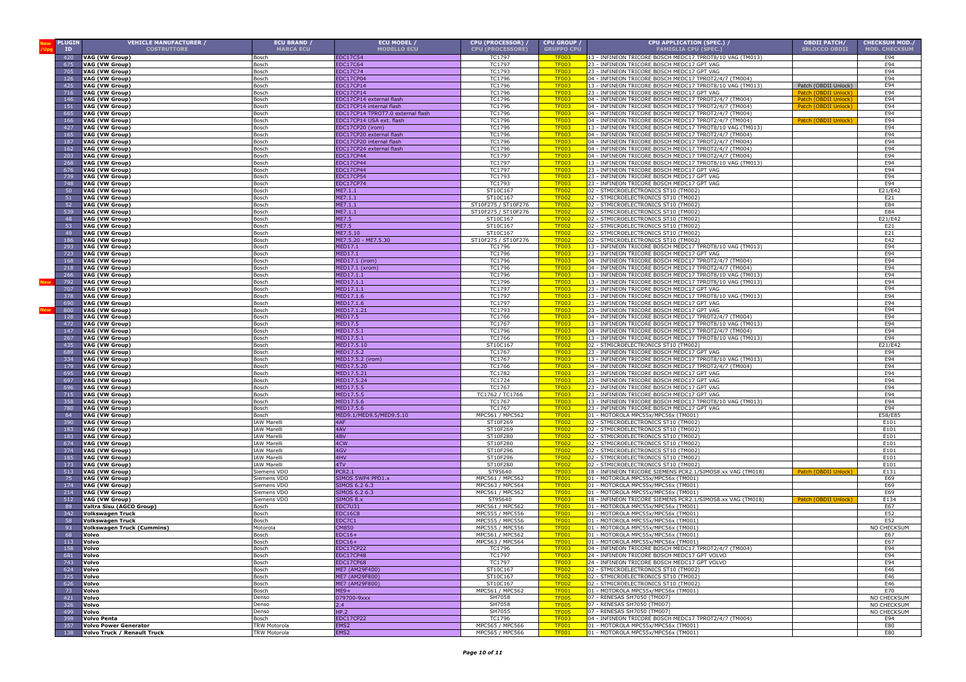|            | <b>PLUGIN</b><br>ID | <b>VEHICLE MANUFACTURER /</b><br><b>COSTRUTTORE</b>   | <b>ECU BRAND /</b><br><b>MARCA ECU</b> | ECU MODEL /<br><b>MODELLO ECU</b> | CPU (PROCESSOR) /<br><b>CPU (PROCESSORE)</b> | CPU GROUP /<br><b>GRUPPO CPU</b> | CPU APPLICATION (SPEC.) /<br><b>FAMIGLIA CPU (SPEC.)</b>                                                       | <b>OBDII PATCH/</b><br><b>SBLOCCO OBDII</b> | <b>CHECKSUM MOD./</b><br><b>MOD. CHECKSUM</b> |
|------------|---------------------|-------------------------------------------------------|----------------------------------------|-----------------------------------|----------------------------------------------|----------------------------------|----------------------------------------------------------------------------------------------------------------|---------------------------------------------|-----------------------------------------------|
|            | 420                 | VAG (VW Group)                                        | 3osch                                  | EDC17C54                          | TC1797                                       | TF003                            | 13 - INFINEON TRICORE BOSCH MEDC17 TPROT8/10 VAG (TM013)                                                       |                                             | E94                                           |
|            | 675                 | VAG (VW Group)                                        | Bosch                                  | <b>EDC17C64</b>                   | TC1797                                       | TF003                            | 23 - INFINEON TRICORE BOSCH MEDC17 GPT VAG                                                                     |                                             | E94                                           |
|            | 705                 | VAG (VW Group)                                        | Bosch                                  | EDC17C74                          | TC1793                                       | <b>TF003</b>                     | 23 - INFINEON TRICORE BOSCH MEDC17 GPT VAG                                                                     |                                             | E94                                           |
|            | 126                 | VAG (VW Group)                                        | Bosch                                  | EDC17CP04                         | TC1796                                       | <b>TF003</b>                     | 04 - INFINEON TRICORE BOSCH MEDC17 TPROT2/4/7 (TM004)                                                          |                                             | E94<br>E94                                    |
|            | 425<br>716          | VAG (VW Group)<br>VAG (VW Group)                      | Bosch                                  | EDC17CP14<br>EDC17CP14            | TC1796<br>TC1796                             | TF003<br><b>TF003</b>            | 13 - INFINEON TRICORE BOSCH MEDC17 TPROT8/10 VAG (TM013)<br>23 - INFINEON TRICORE BOSCH MEDC17 GPT VAG         | Patch (OBDII Unlock)<br>Patch (OBDII        | E94                                           |
|            | 146                 | VAG (VW Group)                                        | Bosch<br>Bosch                         | EDC17CP14 external flash          | TC1796                                       | <b>TF003</b>                     | 04 - INFINEON TRICORE BOSCH MEDC17 TPROT2/4/7 (TM004)                                                          | Patch (OBDII Unlock)                        | E94                                           |
|            | 151                 | VAG (VW Group)                                        | Bosch                                  | EDC17CP14 internal flash          | TC1796                                       | <b>TF003</b>                     | 04 - INFINEON TRICORE BOSCH MEDC17 TPROT2/4/7 (TM004)                                                          | Patch (OBDII Unlock                         | E94                                           |
|            | 665                 | VAG (VW Group)                                        | Bosch                                  | EDC17CP14 TPROT7.0 external flash | TC1796                                       | <b>TF003</b>                     | 04 - INFINEON TRICORE BOSCH MEDC17 TPROT2/4/7 (TM004)                                                          |                                             | E94                                           |
|            | 166                 | VAG (VW Group)                                        | osch                                   | EDC17CP14 USA ext. flash          | TC1796                                       | <b>TF003</b>                     | 04 - INFINEON TRICORE BOSCH MEDC17 TPROT2/4/7 (TM004)                                                          | <b>Patch (OBDII Unlock</b>                  | E94                                           |
|            | 427                 | VAG (VW Group)                                        | Bosch                                  | EDC17CP20 (irom)                  | TC1796                                       | <b>TF003</b>                     | 13 - INFINEON TRICORE BOSCH MEDC17 TPROT8/10 VAG (TM013                                                        |                                             | E94                                           |
|            | 165                 | VAG (VW Group)                                        | Bosch                                  | EDC17CP20 external flash          | TC1796                                       | <b>TF003</b>                     | 04 - INFINEON TRICORE BOSCH MEDC17 TPROT2/4/7 (TM004)                                                          |                                             | E94                                           |
|            | 187                 | VAG (VW Group)                                        | Bosch                                  | EDC17CP20 internal flash          | TC1796                                       | <b>TF003</b>                     | 04 - INFINEON TRICORE BOSCH MEDC17 TPROT2/4/7 (TM004)                                                          |                                             | E94                                           |
|            | 162                 | VAG (VW Group)                                        | Bosch                                  | EDC17CP24 external flash          | TC1796                                       | <b>TF003</b><br><b>TF003</b>     | 04 - INFINEON TRICORE BOSCH MEDC17 TPROT2/4/7 (TM004)<br>04 - INFINEON TRICORE BOSCH MEDC17 TPROT2/4/7 (TM004) |                                             | E94<br>E94                                    |
|            | 203<br>261          | VAG (VW Group)<br><b>VAG (VW Group)</b>               | Bosch<br>Bosch                         | EDC17CP44<br>EDC17CP44            | TC1797<br>TC1797                             | <b>TF003</b>                     | 13 - INFINEON TRICORE BOSCH MEDC17 TPROT8/10 VAG (TM013)                                                       |                                             | E94                                           |
|            | 676                 | VAG (VW Group)                                        | Bosch                                  | EDC17CP44                         | <b>TC1797</b>                                | <b>TF003</b>                     | 23 - INFINEON TRICORE BOSCH MEDC17 GPT VAG                                                                     |                                             | E94                                           |
|            | 739                 | VAG (VW Group)                                        | Bosch                                  | EDC17CP54                         | <b>TC1793</b>                                | <b>TF003</b>                     | 23 - INFINEON TRICORE BOSCH MEDC17 GPT VAG                                                                     |                                             | E94                                           |
|            | 748                 | VAG (VW Group)                                        | Bosch                                  | EDC17CP74                         | TC1793                                       | <b>TF003</b>                     | 23 - INFINEON TRICORE BOSCH MEDC17 GPT VAG                                                                     |                                             | E94                                           |
|            | 50                  | VAG (VW Group)                                        | Bosch                                  | ME7.1.1                           | ST10C167                                     | <b>TF002</b>                     | 02 - STMICROELECTRONICS ST10 (TM002)                                                                           |                                             | E21/E42                                       |
|            | 51                  | VAG (VW Group)                                        | Bosch                                  | ME7.1.1                           | ST10C167                                     | <b>TF002</b>                     | 02 - STMICROELECTRONICS ST10 (TM002)                                                                           |                                             | E21                                           |
|            | 52                  | VAG (VW Group)                                        | osch                                   | ME7.1.1                           | ST10F275 / ST10F276                          | <b>TF002</b>                     | 02 - STMICROELECTRONICS ST10 (TM002)                                                                           |                                             | E84                                           |
|            | 539                 | VAG (VW Group)                                        | osch                                   | IE7.1.1                           | ST10F275 / ST10F276                          | <b>TF002</b>                     | 02 - STMICROELECTRONICS ST10 (TM002)                                                                           |                                             | E84                                           |
|            | 48<br>53            | VAG (VW Group)<br>VAG (VW Group)                      | Bosch<br>Bosch                         | ME7.5<br><b>ME7.5</b>             | ST10C167<br>ST10C167                         | <b>TF002</b><br><b>TF002</b>     | 02 - STMICROELECTRONICS ST10 (TM002)<br>02 - STMICROELECTRONICS ST10 (TM002)                                   |                                             | E21/E42<br>E21                                |
|            | 49                  | VAG (VW Group)                                        | Bosch                                  | ME7.5.10                          | ST10C167                                     | <b>TF002</b>                     | 02 - STMICROELECTRONICS ST10 (TM002)                                                                           |                                             | E21                                           |
|            | 186                 | VAG (VW Group)                                        | Bosch                                  | ME7.5.20 - ME7.5.30               | ST10F275 / ST10F276                          | <b>TF002</b>                     | 02 - STMICROELECTRONICS ST10 (TM002)                                                                           |                                             | E42                                           |
|            | 293                 | VAG (VW Group)                                        | Bosch                                  | MED17.1                           | TC1796                                       | <u>TF003</u>                     | 13 - INFINEON TRICORE BOSCH MEDC17 TPROT8/10 VAG (TM013)                                                       |                                             | E94                                           |
|            | 723                 | VAG (VW Group)                                        | Bosch                                  | MED17.1                           | TC1796                                       | <b>TF003</b>                     | 23 - INFINEON TRICORE BOSCH MEDC17 GPT VAG                                                                     |                                             | E94                                           |
|            | 168                 | VAG (VW Group)                                        | Bosch                                  | MED17.1 (irom)                    | TC1796                                       | <b>TF003</b>                     | 04 - INFINEON TRICORE BOSCH MEDC17 TPROT2/4/7 (TM004)                                                          |                                             | E94                                           |
|            | 218                 | VAG (VW Group)                                        | Bosch                                  | MED17.1 (xrom)                    | TC1796                                       | <b>TF003</b>                     | 04 - INFINEON TRICORE BOSCH MEDC17 TPROT2/4/7 (TM004)                                                          |                                             | E94                                           |
|            | 266                 | VAG (VW Group)                                        | Bosch                                  | MED17.1.1                         | TC1796                                       | <b>TF003</b>                     | 13 - INFINEON TRICORE BOSCH MEDC17 TPROT8/10 VAG (TM013)                                                       |                                             | E94                                           |
|            | 792<br>707          | VAG (VW Group)<br>VAG (VW Group)                      | Bosch<br>Bosch                         | MED17.1.1<br>MED17.1.1            | TC1796<br>TC1797                             | <b>TF003</b><br><b>TF003</b>     | 13 - INFINEON TRICORE BOSCH MEDC17 TPROT8/10 VAG (TM013)<br>23 - INFINEON TRICORE BOSCH MEDC17 GPT VAG         |                                             | E94<br>E94                                    |
|            | 378                 | VAG (VW Group)                                        | Bosch                                  | MED17.1.6                         | TC1797                                       | <b>TF003</b>                     | 13 - INFINEON TRICORE BOSCH MEDC17 TPROT8/10 VAG (TM013)                                                       |                                             | E94                                           |
|            | 690                 | VAG (VW Group)                                        | Bosch                                  | MED17.1.6                         | TC1797                                       | <b>TF003</b>                     | 23 - INFINEON TRICORE BOSCH MEDC17 GPT VAG                                                                     |                                             | E94                                           |
| <b>Nev</b> | 800                 | VAG (VW Group)                                        | Bosch                                  | MED17.1.21                        | TC1793                                       | <b>TF003</b>                     | 23 - INFINEON TRICORE BOSCH MEDC17 GPT VAG                                                                     |                                             | E94                                           |
|            | 128                 | VAG (VW Group)                                        | Bosch                                  | MED17.5                           | TC1766                                       | <b>TF003</b>                     | 04 - INFINEON TRICORE BOSCH MEDC17 TPROT2/4/7 (TM004)                                                          |                                             | E94                                           |
|            | 472                 | VAG (VW Group)                                        | Bosch                                  | MED17.5                           | TC1767                                       | <b>TF003</b>                     | 13 - INFINEON TRICORE BOSCH MEDC17 TPROT8/10 VAG (TM013                                                        |                                             | E94                                           |
|            | 147                 | VAG (VW Group)                                        | Bosch                                  | MED17.5.1                         | TC1796                                       | <b>TF003</b>                     | 04 - INFINEON TRICORE BOSCH MEDC17 TPROT2/4/7 (TM004)                                                          |                                             | E94                                           |
|            | 267                 | VAG (VW Group)                                        | Bosch                                  | MED17.5.1                         | <b>TC1766</b>                                | <b>TF003</b><br><b>TF002</b>     | 13 - INFINEON TRICORE BOSCH MEDC17 TPROT8/10 VAG (TM013)                                                       |                                             | E94                                           |
|            | 435<br>689          | VAG (VW Group)<br><b>VAG (VW Group)</b>               | Bosch<br>Bosch                         | MED17.5.10<br><b>MED17.5.2</b>    | ST10C167<br><b>TC1767</b>                    | <b>TF003</b>                     | 02 - STMICROELECTRONICS ST10 (TM002)<br>23 - INFINEON TRICORE BOSCH MEDC17 GPT VAG                             |                                             | E21/E42<br>E94                                |
|            | 334                 | VAG (VW Group)                                        | Bosch                                  | 4ED17.5.2 (irom)                  | TC1767                                       | TF <sub>00</sub>                 | 13 - INFINEON TRICORE BOSCH MEDC17 TPROT8/10 VAG (TM013)                                                       |                                             | E94                                           |
|            | 179                 | VAG (VW Group)                                        | Bosch                                  | MED17.5.20                        | TC1766                                       | <b>TF003</b>                     | 04 - INFINEON TRICORE BOSCH MEDC17 TPROT2/4/7 (TM004)                                                          |                                             | E94                                           |
|            | 695                 | VAG (VW Group)                                        | osch                                   | IED17.5.21                        | TC1782                                       | <b>TF003</b>                     | 23 - INFINEON TRICORE BOSCH MEDC17 GPT VAG                                                                     |                                             | E94                                           |
|            | 697                 | VAG (VW Group)                                        | osch                                   | ED17.5.24                         | TC1724                                       | <b>TF003</b>                     | 23 - INFINEON TRICORE BOSCH MEDC17 GPT VAG                                                                     |                                             | E94                                           |
|            | 696                 | VAG (VW Group)                                        | osch                                   | ED17.5.5                          | TC1767                                       | <b>TF003</b>                     | 23 - INFINEON TRICORE BOSCH MEDC17 GPT VAG                                                                     |                                             | E94                                           |
|            | 715                 | VAG (VW Group)                                        | osch                                   | IED17.5.5                         | TC1762 / TC1766                              | <b>TF003</b>                     | 23 - INFINEON TRICORE BOSCH MEDC17 GPT VAG                                                                     |                                             | E94                                           |
|            | 358<br>780          | VAG (VW Group)<br>VAG (VW Group)                      | Bosch<br>Bosch                         | 4ED17.5.6<br>HED17.5.6            | TC1767<br>TC1767                             | <b>TF003</b>                     | 13 - INFINEON TRICORE BOSCH MEDC17 TPROT8/10 VAG (TM013)<br>23 - INFINEON TRICORE BOSCH MEDC17 GPT VAG         |                                             | E94<br>E94                                    |
|            | 64                  | VAG (VW Group)                                        | osch                                   | MED9.1/MED9.5/MED9.5.10           | MPC561 / MPC562                              | <b>TF003</b><br><b>TF001</b>     | 01 - MOTOROLA MPC55x/MPC56x (TM001)                                                                            |                                             | E58/E85                                       |
|            | 390                 | VAG (VW Group)                                        | <b>AW Marell</b>                       | 4AF                               | ST10F269                                     | <b>TF002</b>                     | 02 - STMICROELECTRONICS ST10 (TM002)                                                                           |                                             | E101                                          |
|            | 183                 | VAG (VW Group)                                        | <b>IAW Marelli</b>                     | 4AV                               | ST10F269                                     | <b>TF002</b>                     | 02 - STMICROELECTRONICS ST10 (TM002)                                                                           |                                             | E101                                          |
|            | 183                 | VAG (VW Group)                                        | <b>IAW Marelli</b>                     | 4BV                               | ST10F280                                     | <b>TF002</b>                     | 02 - STMICROELECTRONICS ST10 (TM002)                                                                           |                                             | E101                                          |
|            | 674                 | VAG (VW Group)                                        | <b>IAW Marelli</b>                     | 4CW                               | ST10F280                                     | <b>TF002</b>                     | 02 - STMICROELECTRONICS ST10 (TM002)                                                                           |                                             | E101                                          |
|            | 374                 | VAG (VW Group)                                        | IAW Marelli                            | 4GV                               | ST10F296                                     | <b>TF002</b>                     | 02 - STMICROELECTRONICS ST10 (TM002)                                                                           |                                             | E101                                          |
|            | 185<br>173          | VAG (VW Group)<br>VAG (VW Group)                      | <b>IAW Marell</b>                      | 4HV                               | ST10F296                                     | <b>TF002</b><br><b>TF002</b>     | 02 - STMICROELECTRONICS ST10 (TM002)                                                                           |                                             | E101                                          |
|            | 513                 | VAG (VW Group)                                        | <b>IAW Marell</b><br>Siemens VDC       | 4TV<br><b>PCR2.1</b>              | ST10F280<br>ST95640                          | <b>TF003</b>                     | 02 - STMICROELECTRONICS ST10 (TM002)<br>18 - INFINEON TRICORE SIEMENS PCR2.1/SIMOS8.xx VAG (TM018)             | Patch (OBDII Unlock                         | E101<br>E131                                  |
|            | 75                  | VAG (VW Group)                                        | Siemens VDC                            | SIMOS 5WP4 PPD1.x                 | MPC561 / MPC562                              | <b>TF001</b>                     | 01 - MOTOROLA MPC55x/MPC56x (TM001)                                                                            |                                             | E69                                           |
|            | 174                 | VAG (VW Group)                                        | Siemens VDC                            | SIMOS 6.2 6.3                     | MPC563 / MPC564                              | <b>TF001</b>                     | 01 - MOTOROLA MPC55x/MPC56x (TM001)                                                                            |                                             | E69                                           |
|            | 214                 | VAG (VW Group)                                        | Siemens VDO                            | SIMOS 6.2 6.3                     | MPC561 / MPC562                              | <b>TF001</b>                     | 01 - MOTOROLA MPC55x/MPC56x (TM001)                                                                            |                                             | E69                                           |
|            | 512                 | VAG (VW Group)                                        | Siemens VDO                            | SIMOS 8.x                         | ST95640                                      | <b>TF003</b>                     | 18 - INFINEON TRICORE SIEMENS PCR2.1/SIMOS8.xx VAG (TM018)                                                     | Patch (OBDII Unlock)                        | E134                                          |
|            | R <sup>o</sup>      | Valtra Sisu (AGCO Group)                              | Bosch                                  | EDC7U31                           | MPC561 / MPC562                              | <b>TF001</b>                     | 01 - MOTOROLA MPC55x/MPC56x (TM001)                                                                            |                                             | E67                                           |
|            | 342<br>58           | <b>Volkswagen Truck</b>                               | Bosch                                  | EDC16C8                           | MPC555 / MPC556<br>MPC555 / MPC556           | TF <sub>00</sub><br><b>TF001</b> | 01 - MOTOROLA MPC55x/MPC56x (TM001)                                                                            |                                             | E52<br>E52                                    |
|            | <b>PP</b>           | Volkswagen Truck<br><b>Volkswagen Truck (Cummins)</b> | Bosch<br>Motorola                      | EDC7C1<br>CM850                   | MPC555 / MPC556                              | <b>TF001</b>                     | 01 - MOTOROLA MPC55x/MPC56x (TM001)<br>01 - MOTOROLA MPC55x/MPC56x (TM001)                                     |                                             | NO CHECKSUM                                   |
|            | 68                  | Volvo                                                 | Bosch                                  | $EDC16+$                          | MPC561 / MPC562                              | <b>TF001</b>                     | 01 - MOTOROLA MPC55x/MPC56x (TM001)                                                                            |                                             | E67                                           |
|            | 113                 | Volvo                                                 | Bosch                                  | $EDC16+$                          | MPC563 / MPC564                              | <b>TF001</b>                     | 01 - MOTOROLA MPC55x/MPC56x (TM001)                                                                            |                                             | E67                                           |
|            | 158                 | Volvo                                                 |                                        | EDC17CP22                         | TC1796                                       | <b>TF003</b>                     | 04 - INFINEON TRICORE BOSCH MEDC17 TPROT2/4/7 (TM004)                                                          |                                             | E94                                           |
|            | 681                 | <b>Volvo</b>                                          | Bosch                                  | EDC17CP48                         | TC1797                                       | <b>TF003</b>                     | 24 - INFINEON TRICORE BOSCH MEDC17 GPT VOLVO                                                                   |                                             | E94                                           |
|            | 743                 | Volvo                                                 | Bosch                                  | <b>EDC17CP68</b>                  | TC1797                                       | <b>TF003</b>                     | 24 - INFINEON TRICORE BOSCH MEDC17 GPT VOLVO                                                                   |                                             | F94                                           |
|            | 624                 | Volvo                                                 | Bosch                                  | ME7 (AM29F400)                    | ST10C167                                     | <b>TF002</b>                     | 02 - STMICROELECTRONICS ST10 (TM002)                                                                           |                                             | E46                                           |
|            | 325                 | <b>Volvo</b>                                          | Bosch                                  | ME7 (AM29F800)                    | ST10C167                                     | <b>TF002</b>                     | 02 - STMICROELECTRONICS ST10 (TM002)                                                                           |                                             | E46                                           |
|            | 626<br>73           | Volvo<br>Volvo                                        | Bosch<br>Bosch                         | ME7 (AM29F800)<br>ME9+            | ST10C167<br>MPC561 / MPC562                  | <b>TF002</b><br><b>TF001</b>     | 02 - STMICROELECTRONICS ST10 (TM002)<br>01 - MOTOROLA MPC55x/MPC56x (TM001)                                    |                                             | E46<br>E70                                    |
|            | 421                 | Volvo                                                 | Denso                                  | 079700-9xxx                       | SH7058                                       | <b>TF005</b>                     | 07 - RENESAS SH7050 (TM007)                                                                                    |                                             | NO CHECKSUM                                   |
|            | 326                 | Volvo                                                 | Denso                                  | 2.4                               | SH7058                                       | <b>TF005</b>                     | 07 - RENESAS SH7050 (TM007)                                                                                    |                                             | NO CHECKSUM                                   |
|            | 499                 | Volvo                                                 | Denso                                  | HP.2                              | SH7055                                       | <b>TF005</b>                     | 07 - RENESAS SH7050 (TM007)                                                                                    |                                             | NO CHECKSUM                                   |
|            | 399                 | Volvo Penta                                           | Bosch                                  | <b>EDC17CP22</b>                  | TC1796                                       | <b>TF003</b>                     | 04 - INFINEON TRICORE BOSCH MEDC17 TPROT2/4/7 (TM004)                                                          |                                             | E94                                           |
|            | 357                 | <b>Volvo Power Generator</b>                          | TRW Motorola                           | EMS <sub>2</sub>                  | MPC565 / MPC566                              | <b>TF001</b>                     | 01 - MOTOROLA MPC55x/MPC56x (TM001)                                                                            |                                             | E80                                           |
|            | 138                 | Volvo Truck / Renault Truck                           | <b>TRW Motorola</b>                    | EMS <sub>2</sub>                  | MPC565 / MPC566                              | <b>TF001</b>                     | 01 - MOTOROLA MPC55x/MPC56x (TM001)                                                                            |                                             | E80                                           |